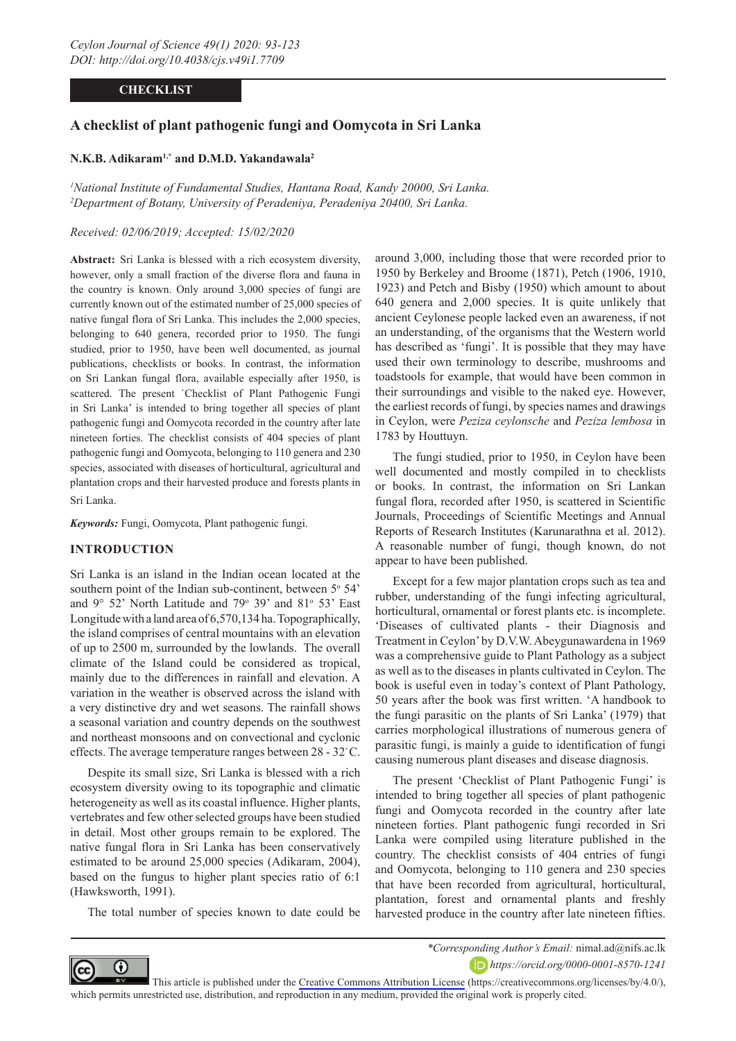# **CHECKLIST**

# **A checklist of plant pathogenic fungi and Oomycota in Sri Lanka**

### **N.K.B. Adikaram1,\* and D.M.D. Yakandawala2**

*1 National Institute of Fundamental Studies, Hantana Road, Kandy 20000, Sri Lanka. 2 Department of Botany, University of Peradeniya, Peradeniya 20400, Sri Lanka.*

### *Received: 02/06/2019; Accepted: 15/02/2020*

**Abstract:** Sri Lanka is blessed with a rich ecosystem diversity, however, only a small fraction of the diverse flora and fauna in the country is known. Only around 3,000 species of fungi are currently known out of the estimated number of 25,000 species of native fungal flora of Sri Lanka. This includes the 2,000 species, belonging to 640 genera, recorded prior to 1950. The fungi studied, prior to 1950, have been well documented, as journal publications, checklists or books. In contrast, the information on Sri Lankan fungal flora, available especially after 1950, is scattered. The present `Checklist of Plant Pathogenic Fungi in Sri Lanka' is intended to bring together all species of plant pathogenic fungi and Oomycota recorded in the country after late nineteen forties. The checklist consists of 404 species of plant pathogenic fungi and Oomycota, belonging to 110 genera and 230 species, associated with diseases of horticultural, agricultural and plantation crops and their harvested produce and forests plants in

Sri Lanka.

*Keywords:* Fungi, Oomycota, Plant pathogenic fungi.

## **INTRODUCTION**

Sri Lanka is an island in the Indian ocean located at the southern point of the Indian sub-continent, between 5° 54' and 9° 52' North Latitude and 79o 39' and 81o 53' East Longitude with a land area of 6,570,134 ha. Topographically, the island comprises of central mountains with an elevation of up to 2500 m, surrounded by the lowlands. The overall climate of the Island could be considered as tropical, mainly due to the differences in rainfall and elevation. A variation in the weather is observed across the island with a very distinctive dry and wet seasons. The rainfall shows a seasonal variation and country depends on the southwest and northeast monsoons and on convectional and cyclonic effects. The average temperature ranges between  $28 - 32^{\circ}$ C.

Despite its small size, Sri Lanka is blessed with a rich ecosystem diversity owing to its topographic and climatic heterogeneity as well as its coastal influence. Higher plants, vertebrates and few other selected groups have been studied in detail. Most other groups remain to be explored. The native fungal flora in Sri Lanka has been conservatively estimated to be around 25,000 species (Adikaram, 2004), based on the fungus to higher plant species ratio of 6:1 (Hawksworth, 1991).

The total number of species known to date could be

around 3,000, including those that were recorded prior to 1950 by Berkeley and Broome (1871), Petch (1906, 1910, 1923) and Petch and Bisby (1950) which amount to about 640 genera and 2,000 species. It is quite unlikely that ancient Ceylonese people lacked even an awareness, if not an understanding, of the organisms that the Western world has described as 'fungi'. It is possible that they may have used their own terminology to describe, mushrooms and toadstools for example, that would have been common in their surroundings and visible to the naked eye. However, the earliest records of fungi, by species names and drawings in Ceylon, were *Peziza ceylonsche* and *Peziza lembosa* in 1783 by Houttuyn.

The fungi studied, prior to 1950, in Ceylon have been well documented and mostly compiled in to checklists or books. In contrast, the information on Sri Lankan fungal flora, recorded after 1950, is scattered in Scientific Journals, Proceedings of Scientific Meetings and Annual Reports of Research Institutes (Karunarathna et al. 2012). A reasonable number of fungi, though known, do not appear to have been published.

Except for a few major plantation crops such as tea and rubber, understanding of the fungi infecting agricultural, horticultural, ornamental or forest plants etc. is incomplete. 'Diseases of cultivated plants - their Diagnosis and Treatment in Ceylon' by D.V.W. Abeygunawardena in 1969 was a comprehensive guide to Plant Pathology as a subject as well as to the diseases in plants cultivated in Ceylon. The book is useful even in today's context of Plant Pathology, 50 years after the book was first written. 'A handbook to the fungi parasitic on the plants of Sri Lanka' (1979) that carries morphological illustrations of numerous genera of parasitic fungi, is mainly a guide to identification of fungi causing numerous plant diseases and disease diagnosis.

The present 'Checklist of Plant Pathogenic Fungi' is intended to bring together all species of plant pathogenic fungi and Oomycota recorded in the country after late nineteen forties. Plant pathogenic fungi recorded in Sri Lanka were compiled using literature published in the country. The checklist consists of 404 entries of fungi and Oomycota, belonging to 110 genera and 230 species that have been recorded from agricultural, horticultural, plantation, forest and ornamental plants and freshly harvested produce in the country after late nineteen fifties.

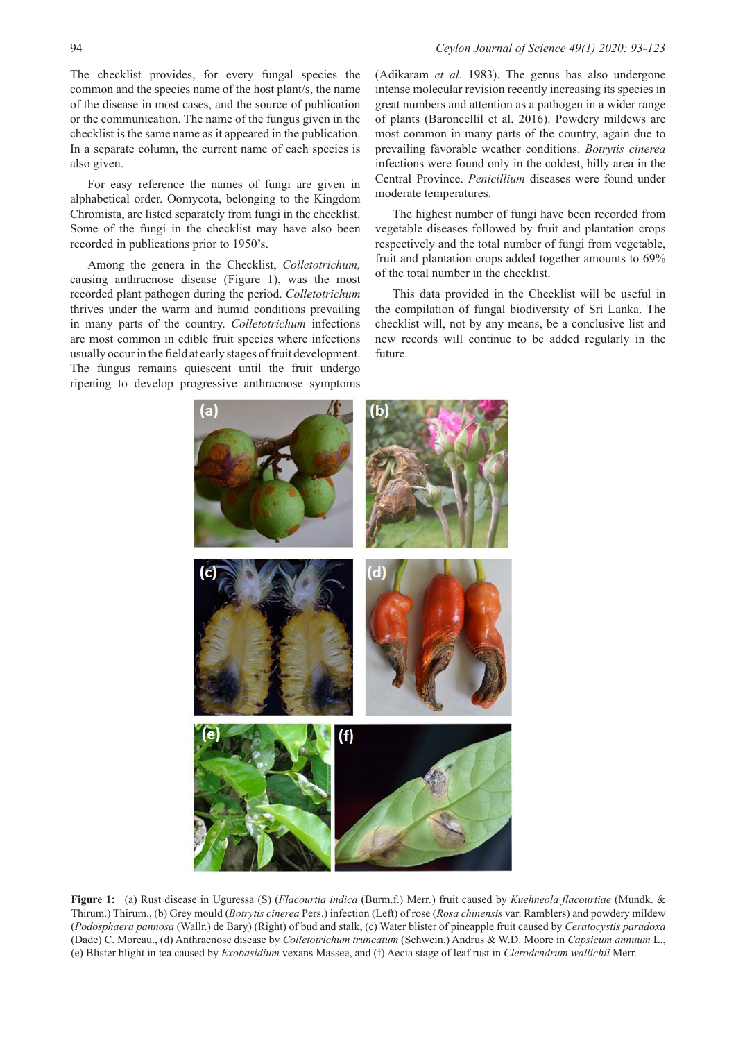The checklist provides, for every fungal species the common and the species name of the host plant/s, the name of the disease in most cases, and the source of publication or the communication. The name of the fungus given in the checklist is the same name as it appeared in the publication. In a separate column, the current name of each species is also given.

For easy reference the names of fungi are given in alphabetical order. Oomycota, belonging to the Kingdom Chromista, are listed separately from fungi in the checklist. Some of the fungi in the checklist may have also been recorded in publications prior to 1950's.

Among the genera in the Checklist, *Colletotrichum,* causing anthracnose disease (Figure 1), was the most recorded plant pathogen during the period. *Colletotrichum* thrives under the warm and humid conditions prevailing in many parts of the country. *Colletotrichum* infections are most common in edible fruit species where infections usually occur in the field at early stages of fruit development. The fungus remains quiescent until the fruit undergo ripening to develop progressive anthracnose symptoms

(Adikaram *et al*. 1983). The genus has also undergone intense molecular revision recently increasing its species in great numbers and attention as a pathogen in a wider range of plants (Baroncellil et al. 2016). Powdery mildews are most common in many parts of the country, again due to prevailing favorable weather conditions. *Botrytis cinerea* infections were found only in the coldest, hilly area in the Central Province. *Penicillium* diseases were found under moderate temperatures.

The highest number of fungi have been recorded from vegetable diseases followed by fruit and plantation crops respectively and the total number of fungi from vegetable, fruit and plantation crops added together amounts to 69% of the total number in the checklist.

This data provided in the Checklist will be useful in the compilation of fungal biodiversity of Sri Lanka. The checklist will, not by any means, be a conclusive list and new records will continue to be added regularly in the future.



**Figure 1:** (a) Rust disease in Uguressa (S) (*Flacourtia indica* (Burm.f.) Merr*.*) fruit caused by *Kuehneola flacourtiae* (Mundk. & Thirum.) Thirum., (b) Grey mould (*Botrytis cinerea* Pers.) infection (Left) of rose (*Rosa chinensis* var. Ramblers) and powdery mildew (*Podosphaera pannosa* (Wallr.) de Bary) (Right) of bud and stalk, (c) Water blister of pineapple fruit caused by *Ceratocystis paradoxa* (Dade) C. Moreau., (d) Anthracnose disease by *Colletotrichum truncatum* (Schwein.) Andrus & W.D. Moore in *Capsicum annuum* L., (e) Blister blight in tea caused by *Exobasidium* vexans Massee, and (f) Aecia stage of leaf rust in *Clerodendrum wallichii* Merr.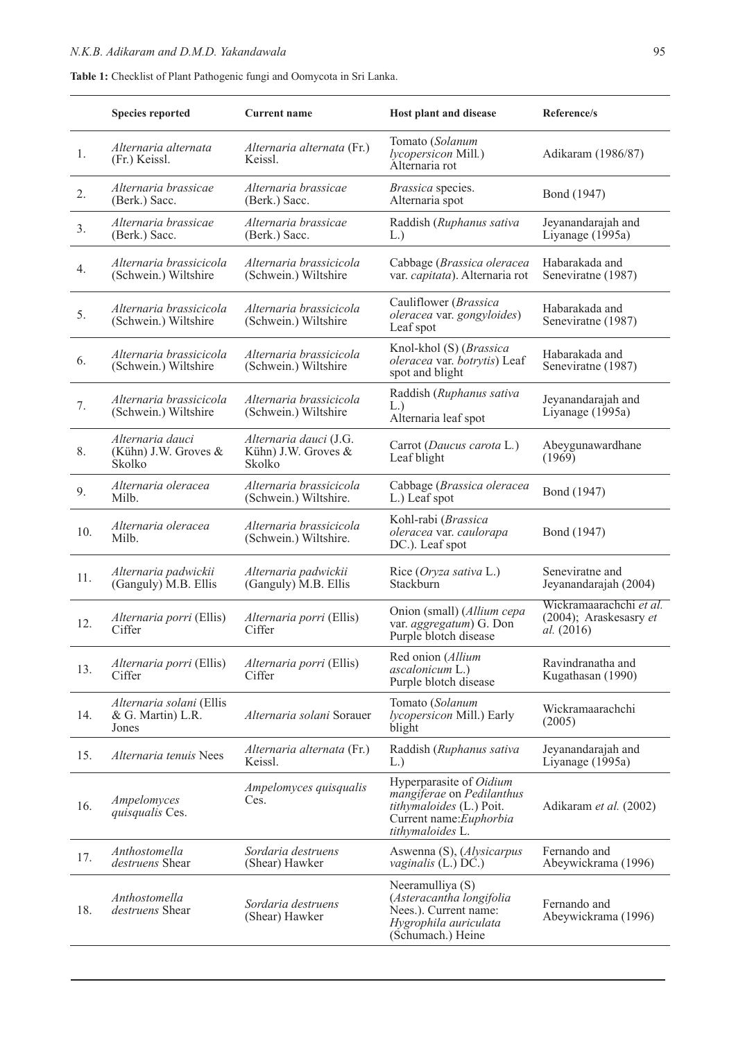**Table 1:** Checklist of Plant Pathogenic fungi and Oomycota in Sri Lanka.

|     | <b>Species reported</b>                                | <b>Current name</b>                                     | Host plant and disease                                                                                                                 | Reference/s                                                            |
|-----|--------------------------------------------------------|---------------------------------------------------------|----------------------------------------------------------------------------------------------------------------------------------------|------------------------------------------------------------------------|
| 1.  | Alternaria alternata<br>(Fr.) Keissl.                  | Alternaria alternata (Fr.)<br>Keissl.                   | Tomato (Solanum<br>lycopersicon Mill.)<br>Alternaria rot                                                                               | Adikaram (1986/87)                                                     |
| 2.  | Alternaria brassicae<br>(Berk.) Sacc.                  | Alternaria brassicae<br>(Berk.) Sacc.                   | Brassica species.<br>Alternaria spot                                                                                                   | Bond (1947)                                                            |
| 3.  | Alternaria brassicae<br>(Berk.) Sacc.                  | Alternaria brassicae<br>(Berk.) Sacc.                   | Raddish (Ruphanus sativa<br>L.                                                                                                         | Jeyanandarajah and<br>Liyanage (1995a)                                 |
| 4.  | Alternaria brassicicola<br>(Schwein.) Wiltshire        | Alternaria brassicicola<br>(Schwein.) Wiltshire         | Cabbage (Brassica oleracea<br>var. capitata). Alternaria rot                                                                           | Habarakada and<br>Seneviratne (1987)                                   |
| 5.  | Alternaria brassicicola<br>(Schwein.) Wiltshire        | Alternaria brassicicola<br>(Schwein.) Wiltshire         | Cauliflower (Brassica<br>oleracea var. gongyloides)<br>Leaf spot                                                                       | Habarakada and<br>Seneviratne (1987)                                   |
| 6.  | Alternaria brassicicola<br>(Schwein.) Wiltshire        | Alternaria brassicicola<br>(Schwein.) Wiltshire         | Knol-khol (S) (Brassica<br>oleracea var. botrytis) Leaf<br>spot and blight                                                             | Habarakada and<br>Seneviratne (1987)                                   |
| 7.  | Alternaria brassicicola<br>(Schwein.) Wiltshire        | Alternaria brassicicola<br>(Schwein.) Wiltshire         | Raddish (Ruphanus sativa<br>L.<br>Alternaria leaf spot                                                                                 | Jeyanandarajah and<br>Liyanage (1995a)                                 |
| 8.  | Alternaria dauci<br>(Kühn) J.W. Groves $\&$<br>Skolko  | Alternaria dauci (J.G.<br>Kühn) J.W. Groves &<br>Skolko | Carrot (Daucus carota L.)<br>Leaf blight                                                                                               | Abeygunawardhane<br>(1969)                                             |
| 9.  | Alternaria oleracea<br>Mil <sub>b</sub>                | Alternaria brassicicola<br>(Schwein.) Wiltshire.        | Cabbage (Brassica oleracea<br>L.) Leaf spot                                                                                            | Bond (1947)                                                            |
| 10. | Alternaria oleracea<br>Milb.                           | Alternaria brassicicola<br>(Schwein.) Wiltshire.        | Kohl-rabi (Brassica<br>oleracea var. caulorapa<br>DC.). Leaf spot                                                                      | Bond (1947)                                                            |
| 11. | Alternaria padwickii<br>(Ganguly) M.B. Ellis           | Alternaria padwickii<br>(Ganguly) M.B. Ellis            | Rice (Oryza sativa L.)<br>Stackburn                                                                                                    | Seneviratne and<br>Jeyanandarajah (2004)                               |
| 12. | Alternaria porri (Ellis)<br>Ciffer                     | <i>Alternaria porri</i> (Ellis)<br>Ciffer               | Onion (small) (Allium cepa<br>var. aggregatum) G. Don<br>Purple blotch disease                                                         | Wickramaarachchi et al.<br>(2004); Araskesasry et<br><i>al.</i> (2016) |
| 13. | Alternaria porri (Ellis)<br>Ciffer                     | Alternaria porri (Ellis)<br>Ciffer                      | Red onion (Allium<br>ascalonicum L.)<br>Purple blotch disease                                                                          | Ravindranatha and<br>Kugathasan (1990)                                 |
| 14. | Alternaria solani (Ellis<br>& G. Martin) L.R.<br>Jones | Alternaria solani Sorauer                               | Tomato (Solanum<br>lycopersicon Mill.) Early<br>blight                                                                                 | Wickramaarachchi<br>(2005)                                             |
| 15. | <i>Alternaria tenuis</i> Nees                          | Alternaria alternata (Fr.)<br>Keissl.                   | Raddish (Ruphanus sativa<br>L.                                                                                                         | Jeyanandarajah and<br>Liyanage (1995a)                                 |
| 16. | Ampelomyces<br><i>quisqualis</i> Ces.                  | Ampelomyces quisqualis<br>Ces.                          | Hyperparasite of <i>Oidium</i><br>mangiferae on Pedilanthus<br>tithymaloides (L.) Poit.<br>Current name: Euphorbia<br>tithymaloides L. | Adikaram et al. (2002)                                                 |
| 17. | Anthostomella<br>destruens Shear                       | Sordaria destruens<br>(Shear) Hawker                    | Aswenna (S), (Alysicarpus<br><i>vaginalis</i> $(L.)$ DC.)                                                                              | Fernando and<br>Abeywickrama (1996)                                    |
| 18. | Anthostomella<br>destruens Shear                       | Sordaria destruens<br>(Shear) Hawker                    | Neeramulliya (S)<br>(Asteracantha longifolia<br>Nees.). Current name:<br>Hygrophila auriculata<br>(Schumach.) Heine                    | Fernando and<br>Abeywickrama (1996)                                    |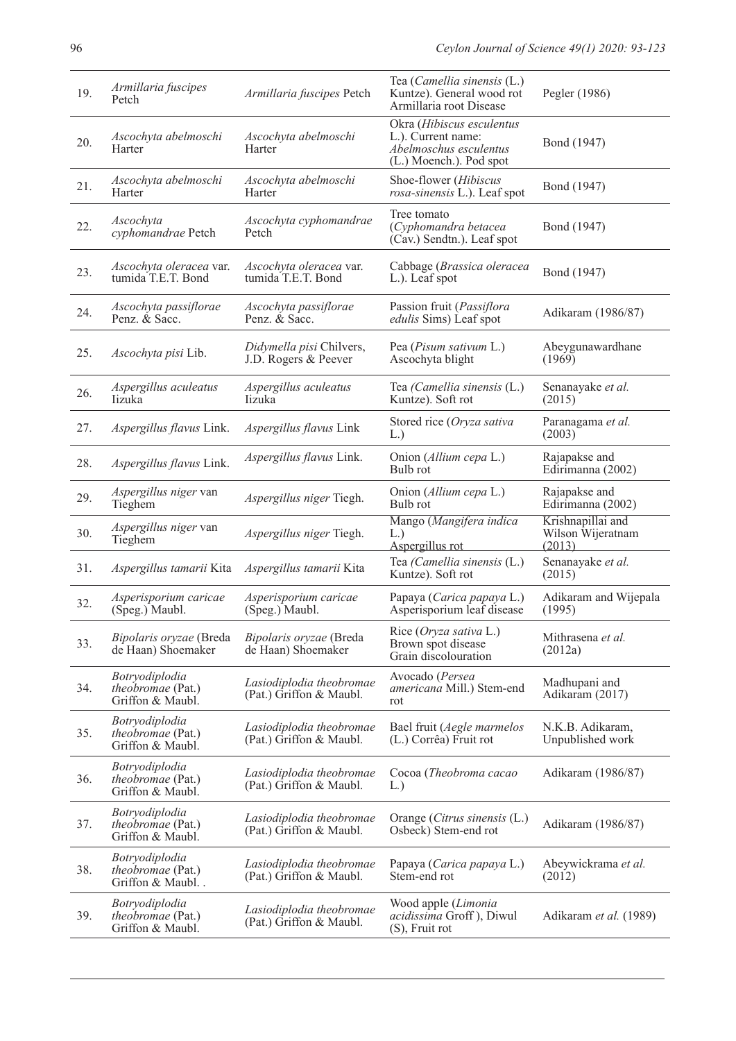| 19. | Armillaria fuscipes<br>Petch                                   | Armillaria fuscipes Petch                           | Tea (Camellia sinensis (L.)<br>Kuntze). General wood rot<br>Armillaria root Disease                  | Pegler (1986)                                    |
|-----|----------------------------------------------------------------|-----------------------------------------------------|------------------------------------------------------------------------------------------------------|--------------------------------------------------|
| 20. | Ascochyta abelmoschi<br>Harter                                 | Ascochyta abelmoschi<br>Harter                      | Okra (Hibiscus esculentus<br>L.). Current name:<br>Abelmoschus esculentus<br>(L.) Moench.). Pod spot | Bond (1947)                                      |
| 21. | Ascochyta abelmoschi<br>Harter                                 | Ascochyta abelmoschi<br>Harter                      | Shoe-flower (Hibiscus<br>rosa-sinensis L.). Leaf spot                                                | Bond (1947)                                      |
| 22. | Ascochyta<br>cyphomandrae Petch                                | Ascochyta cyphomandrae<br>Petch                     | Tree tomato<br>(Cyphomandra betacea<br>(Cav.) Sendtn.). Leaf spot                                    | Bond (1947)                                      |
| 23. | Ascochyta oleracea var.<br>tumida T.E.T. Bond                  | Ascochyta oleracea var.<br>tumida T.E.T. Bond       | Cabbage (Brassica oleracea<br>L.). Leaf spot                                                         | Bond (1947)                                      |
| 24. | Ascochyta passiflorae<br>Penz. & Sacc.                         | Ascochyta passiflorae<br>Penz. & Sacc.              | Passion fruit (Passiflora<br>edulis Sims) Leaf spot                                                  | Adikaram (1986/87)                               |
| 25. | Ascochyta pisi Lib.                                            | Didymella pisi Chilvers,<br>J.D. Rogers & Peever    | Pea (Pisum sativum L.)<br>Ascochyta blight                                                           | Abeygunawardhane<br>(1969)                       |
| 26. | Aspergillus aculeatus<br><b>Iizuka</b>                         | Aspergillus aculeatus<br><b>Iizuka</b>              | Tea (Camellia sinensis (L.)<br>Kuntze). Soft rot                                                     | Senanayake et al.<br>(2015)                      |
| 27. | Aspergillus flavus Link.                                       | Aspergillus flavus Link                             | Stored rice (Oryza sativa<br>L.                                                                      | Paranagama et al.<br>(2003)                      |
| 28. | Aspergillus flavus Link.                                       | Aspergillus flavus Link.                            | Onion (Allium cepa L.)<br>Bulb rot                                                                   | Rajapakse and<br>Edirimanna (2002)               |
| 29. | Aspergillus niger van<br>Tieghem                               | Aspergillus niger Tiegh.                            | Onion (Allium cepa L.)<br>Bulb rot                                                                   | Rajapakse and<br>Edirimanna (2002)               |
| 30. | Aspergillus niger van<br>Tieghem                               | Aspergillus niger Tiegh.                            | Mango (Mangifera indica<br>L.<br>Aspergillus rot                                                     | Krishnapillai and<br>Wilson Wijeratnam<br>(2013) |
| 31. | Aspergillus tamarii Kita                                       | Aspergillus tamarii Kita                            | Tea (Camellia sinensis (L.)<br>Kuntze). Soft rot                                                     | Senanayake et al.<br>(2015)                      |
| 32. | Asperisporium caricae<br>(Speg.) Maubl.                        | Asperisporium caricae<br>(Speg.) Maubl.             | Papaya (Carica papaya L.)<br>Asperisporium leaf disease                                              | Adikaram and Wijepala<br>(1995)                  |
| 33. | Bipolaris oryzae (Breda<br>de Haan) Shoemaker                  | Bipolaris oryzae (Breda<br>de Haan) Shoemaker       | Rice (Oryza sativa L.)<br>Brown spot disease<br>Grain discolouration                                 | Mithrasena et al.<br>(2012a)                     |
| 34. | Botryodiplodia<br>theobromae (Pat.)<br>Griffon & Maubl.        | Lasiodiplodia theobromae<br>(Pat.) Griffon & Maubl. | Avocado (Persea<br>americana Mill.) Stem-end<br>rot                                                  | Madhupani and<br>Adikaram (2017)                 |
| 35. | Botryodiplodia<br>theobromae (Pat.)<br>Griffon & Maubl.        | Lasiodiplodia theobromae<br>(Pat.) Griffon & Maubl. | Bael fruit (Aegle marmelos<br>(L.) Corrêa) Fruit rot                                                 | N.K.B. Adikaram,<br>Unpublished work             |
| 36. | Botryodiplodia<br><i>theobromae</i> (Pat.)<br>Griffon & Maubl. | Lasiodiplodia theobromae<br>(Pat.) Griffon & Maubl. | Cocoa (Theobroma cacao<br>L.                                                                         | Adikaram (1986/87)                               |
| 37. | Botryodiplodia<br><i>theobromae</i> (Pat.)<br>Griffon & Maubl. | Lasiodiplodia theobromae<br>(Pat.) Griffon & Maubl. | Orange (Citrus sinensis (L.)<br>Osbeck) Stem-end rot                                                 | Adikaram (1986/87)                               |
| 38. | Botryodiplodia<br><i>theobromae</i> (Pat.)<br>Griffon & Maubl  | Lasiodiplodia theobromae<br>(Pat.) Griffon & Maubl. | Papaya (Carica papaya L.)<br>Stem-end rot                                                            | Abeywickrama et al.<br>(2012)                    |
| 39. | Botryodiplodia<br><i>theobromae</i> (Pat.)<br>Griffon & Maubl. | Lasiodiplodia theobromae<br>(Pat.) Griffon & Maubl. | Wood apple (Limonia<br>acidissima Groff), Diwul<br>(S), Fruit rot                                    | Adikaram et al. (1989)                           |
|     |                                                                |                                                     |                                                                                                      |                                                  |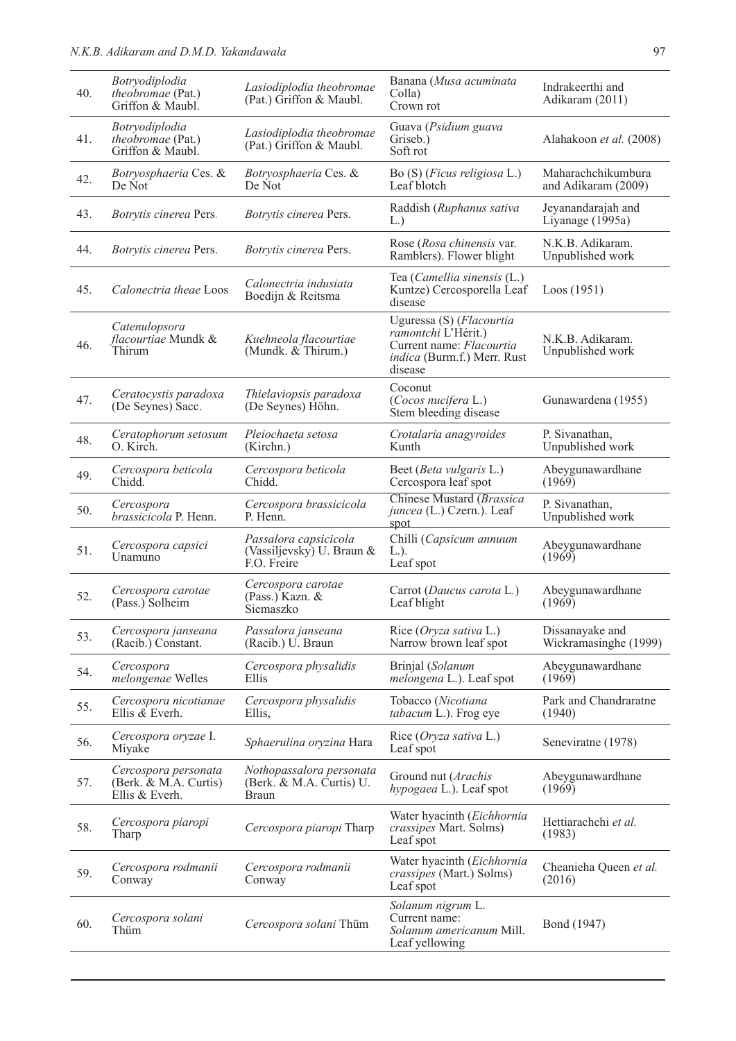| 40. | Botryodiplodia<br>theobromae (Pat.)<br>Griffon & Maubl.         | Lasiodiplodia theobromae<br>(Pat.) Griffon & Maubl.                  | Banana (Musa acuminata<br>Colla)<br>Crown rot                                                                         | Indrakeerthi and<br>Adikaram (2011)       |
|-----|-----------------------------------------------------------------|----------------------------------------------------------------------|-----------------------------------------------------------------------------------------------------------------------|-------------------------------------------|
| 41. | Botryodiplodia<br><i>theobromae</i> (Pat.)<br>Griffon & Maubl.  | Lasiodiplodia theobromae<br>(Pat.) Griffon & Maubl.                  | Guava (Psidium guava<br>Griseb.)<br>Soft rot                                                                          | Alahakoon et al. (2008)                   |
| 42. | Botryosphaeria Ces. &<br>De Not                                 | Botryosphaeria Ces. &<br>De Not                                      | Bo $(S)$ ( <i>Ficus religiosa</i> L.)<br>Leaf blotch                                                                  | Maharachchikumbura<br>and Adikaram (2009) |
| 43. | Botrytis cinerea Pers.                                          | Botrytis cinerea Pers.                                               | Raddish (Ruphanus sativa<br>L.                                                                                        | Jeyanandarajah and<br>Liyanage (1995a)    |
| 44. | Botrytis cinerea Pers.                                          | Botrytis cinerea Pers.                                               | Rose (Rosa chinensis var.<br>Ramblers). Flower blight                                                                 | N.K.B. Adikaram.<br>Unpublished work      |
| 45. | Calonectria theae Loos                                          | Calonectria indusiata<br>Boedijn & Reitsma                           | Tea (Camellia sinensis (L.)<br>Kuntze) Cercosporella Leaf<br>disease                                                  | Loos(1951)                                |
| 46. | Catenulopsora<br>flacourtiae Mundk &<br>Thirum                  | Kuehneola flacourtiae<br>(Mundk. & Thirum.)                          | Uguressa (S) (Flacourtia<br>ramontchi L'Hérit.)<br>Current name: Flacourtia<br>indica (Burm.f.) Merr. Rust<br>disease | N.K.B. Adikaram.<br>Unpublished work      |
| 47. | Ceratocystis paradoxa<br>(De Seynes) Sacc.                      | Thielaviopsis paradoxa<br>(De Seynes) Höhn.                          | Coconut<br>(Cocos nucifera L.)<br>Stem bleeding disease                                                               | Gunawardena (1955)                        |
| 48. | Ceratophorum setosum<br>O. Kirch.                               | Pleiochaeta setosa<br>(Kirchn.)                                      | Crotalaria anagyroides<br>Kunth                                                                                       | P. Sivanathan,<br>Unpublished work        |
| 49. | Cercospora beticola<br>Chidd.                                   | Cercospora beticola<br>Chidd.                                        | Beet ( <i>Beta vulgaris</i> L.)<br>Cercospora leaf spot                                                               | Abeygunawardhane<br>(1969)                |
| 50. | Cercospora<br>brassicicola P. Henn.                             | Cercospora brassicicola<br>P. Henn.                                  | Chinese Mustard (Brassica<br>juncea (L.) Czern.). Leaf<br>spot                                                        | P. Sivanathan,<br>Unpublished work        |
| 51. | Cercospora capsici<br>Unamuno                                   | Passalora capsicicola<br>(Vassiljevsky) U. Braun &<br>F.O. Freire    | Chilli (Capsicum annuum<br>$L.$ ).<br>Leaf spot                                                                       | Abeygunawardhane<br>(1969)                |
| 52. | Cercospora carotae<br>(Pass.) Solheim                           | Cercospora carotae<br>(Pass.) Kazn. $&$<br>Siemaszko                 | Carrot (Daucus carota L.)<br>Leaf blight                                                                              | Abeygunawardhane<br>(1969)                |
| 53. | Cercospora janseana<br>(Racib.) Constant.                       | Passalora janseana<br>(Racib.) U. Braun                              | Rice (Oryza sativa L.)<br>Narrow brown leaf spot                                                                      | Dissanayake and<br>Wickramasinghe (1999)  |
| 54. | Cercospora<br><i>melongenae</i> Welles                          | Cercospora physalidis<br>Ellis                                       | Brinjal (Solanum<br>melongena L.). Leaf spot                                                                          | Abeygunawardhane<br>(1969)                |
| 55. | Cercospora nicotianae<br>Ellis $\&$ Everh.                      | Cercospora physalidis<br>Ellis,                                      | Tobacco (Nicotiana<br>tabacum L.). Frog eye                                                                           | Park and Chandraratne<br>(1940)           |
| 56. | Cercospora oryzae I.<br>Miyake                                  | Sphaerulina oryzina Hara                                             | Rice (Oryza sativa L.)<br>Leaf spot                                                                                   | Seneviratne (1978)                        |
| 57. | Cercospora personata<br>(Berk. & M.A. Curtis)<br>Ellis & Everh. | Nothopassalora personata<br>(Berk. & M.A. Curtis) U.<br><b>Braun</b> | Ground nut (Arachis<br>hypogaea L.). Leaf spot                                                                        | Abeygunawardhane<br>(1969)                |
| 58. | Cercospora piaropi<br>Tharp                                     | Cercospora piaropi Tharp                                             | Water hyacinth (Eichhornia<br>crassipes Mart. Solms)<br>Leaf spot                                                     | Hettiarachchi et al.<br>(1983)            |
| 59. | Cercospora rodmanii<br>Conway                                   | Cercospora rodmanii<br>Conway                                        | Water hyacinth (Eichhornia<br><i>crassipes</i> (Mart.) Solms)<br>Leaf spot                                            | Cheanieha Queen et al.<br>(2016)          |
| 60. | Cercospora solani<br>Thüm                                       | Cercospora solani Thüm                                               | Solanum nigrum L.<br>Current name:<br>Solanum americanum Mill.<br>Leaf yellowing                                      | Bond (1947)                               |
|     |                                                                 |                                                                      |                                                                                                                       |                                           |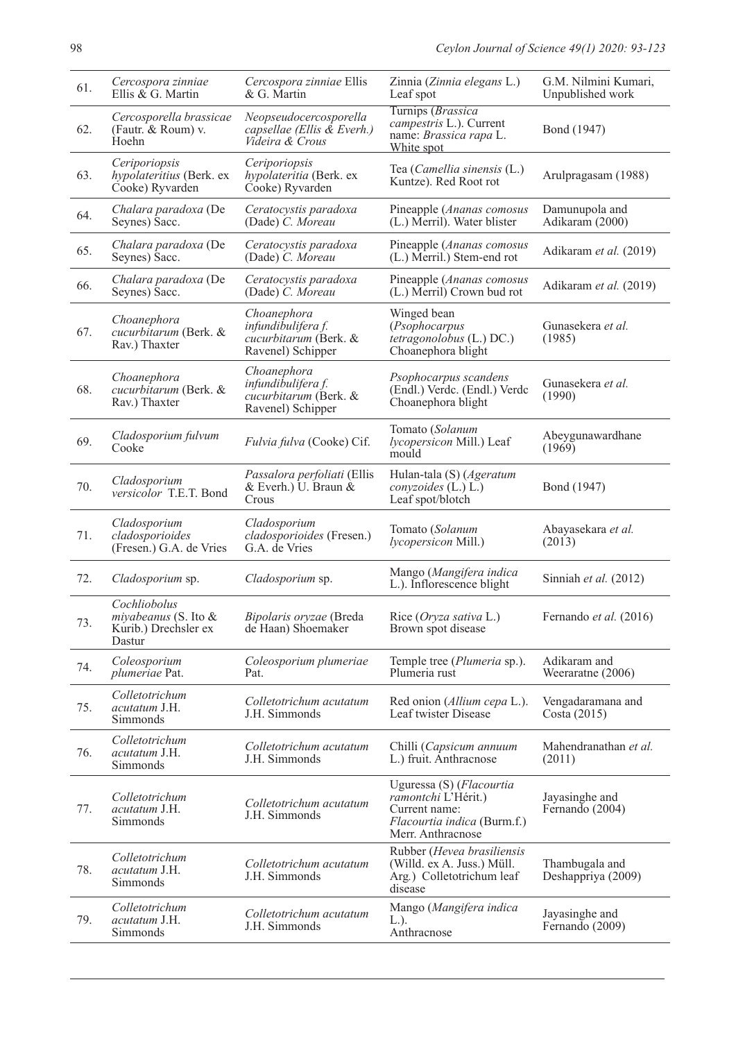| 61. | Cercospora zinniae<br>Ellis & G. Martin                                  | Cercospora zinniae Ellis<br>& G. Martin                                         | Zinnia (Zinnia elegans L.)<br>Leaf spot                                                                              | G.M. Nilmini Kumari,<br>Unpublished work |
|-----|--------------------------------------------------------------------------|---------------------------------------------------------------------------------|----------------------------------------------------------------------------------------------------------------------|------------------------------------------|
| 62. | Cercosporella brassicae<br>(Fautr. & Roum) v.<br>Hoehn                   | Neopseudocercosporella<br>capsellae (Ellis & Everh.)<br>Videira & Crous         | Turnips (Brassica<br>campestris L.). Current<br>name: Brassica rapa L.<br>White spot                                 | Bond (1947)                              |
| 63. | Ceriporiopsis<br>hypolateritius (Berk. ex<br>Cooke) Ryvarden             | Ceriporiopsis<br>hypolateritia (Berk. ex<br>Cooke) Ryvarden                     | Tea (Camellia sinensis (L.)<br>Kuntze). Red Root rot                                                                 | Arulpragasam (1988)                      |
| 64. | Chalara paradoxa (De<br>Seynes) Sacc.                                    | Ceratocystis paradoxa<br>(Dade) C. Moreau                                       | Pineapple (Ananas comosus<br>(L.) Merril). Water blister                                                             | Damunupola and<br>Adikaram (2000)        |
| 65. | Chalara paradoxa (De<br>Seynes) Sacc.                                    | Ceratocystis paradoxa<br>(Dade) C. Moreau                                       | Pineapple (Ananas comosus<br>(L.) Merril.) Stem-end rot                                                              | Adikaram et al. (2019)                   |
| 66. | Chalara paradoxa (De<br>Seynes) Sacc.                                    | Ceratocystis paradoxa<br>(Dade) C. Moreau                                       | Pineapple (Ananas comosus<br>(L.) Merril) Crown bud rot                                                              | Adikaram et al. (2019)                   |
| 67. | Choanephora<br>cucurbitarum (Berk. &<br>Rav.) Thaxter                    | Choanephora<br>infundibulifera f.<br>cucurbitarum (Berk. &<br>Ravenel) Schipper | Winged bean<br>(Psophocarpus<br>tetragonolobus (L.) DC.)<br>Choanephora blight                                       | Gunasekera et al.<br>(1985)              |
| 68. | Choanephora<br>cucurbitarum (Berk. &<br>Rav.) Thaxter                    | Choanephora<br>infundibulifera f.<br>cucurbitarum (Berk. &<br>Ravenel) Schipper | Psophocarpus scandens<br>(Endl.) Verdc. (Endl.) Verdc<br>Choanephora blight                                          | Gunasekera et al.<br>(1990)              |
| 69. | Cladosporium fulvum<br>Cooke                                             | Fulvia fulva (Cooke) Cif.                                                       | Tomato (Solanum<br>lycopersicon Mill.) Leaf<br>mould                                                                 | Abeygunawardhane<br>(1969)               |
| 70. | Cladosporium<br>versicolor T.E.T. Bond                                   | Passalora perfoliati (Ellis<br>& Everh.) U. Braun &<br>Crous                    | Hulan-tala (S) (Ageratum<br>$conyzoides$ (L.) L.)<br>Leaf spot/blotch                                                | Bond (1947)                              |
|     |                                                                          |                                                                                 |                                                                                                                      |                                          |
| 71. | Cladosporium<br>cladosporioides<br>(Fresen.) G.A. de Vries               | Cladosporium<br>cladosporioides (Fresen.)<br>G.A. de Vries                      | Tomato (Solanum<br>lycopersicon Mill.)                                                                               | Abayasekara et al.<br>(2013)             |
| 72. | Cladosporium sp.                                                         | Cladosporium sp.                                                                | Mango (Mangifera indica<br>L.). Inflorescence blight                                                                 | Sinniah et al. (2012)                    |
| 73. | Cochliobolus<br>miyabeanus (S. Ito $&$<br>Kurib.) Drechsler ex<br>Dastur | Bipolaris oryzae (Breda<br>de Haan) Shoemaker                                   | Rice (Oryza sativa L.)<br>Brown spot disease                                                                         | Fernando et al. (2016)                   |
| 74. | Coleosporium<br><i>plumeriae</i> Pat.                                    | Coleosporium plumeriae<br>Pat.                                                  | Temple tree (Plumeria sp.).<br>Plumeria rust                                                                         | Adikaram and<br>Weeraratne (2006)        |
| 75. | Colletotrichum<br>acutatum J.H.<br>Simmonds                              | Colletotrichum acutatum<br>J.H. Simmonds                                        | Red onion (Allium cepa L.).<br>Leaf twister Disease                                                                  | Vengadaramana and<br>Costa (2015)        |
| 76. | Colletotrichum<br><i>acutatum</i> J.H.<br>Simmonds                       | Colletotrichum acutatum<br>J.H. Simmonds                                        | Chilli (Capsicum annuum<br>L.) fruit. Anthracnose                                                                    | Mahendranathan et al.<br>(2011)          |
| 77. | Colletotrichum<br>acutatum J.H.<br>Simmonds                              | Colletotrichum acutatum<br>J.H. Simmonds                                        | Uguressa (S) (Flacourtia<br>ramontchi L'Hérit.)<br>Current name:<br>Flacourtia indica (Burm.f.)<br>Merr. Anthracnose | Jayasinghe and<br>Fernando (2004)        |
| 78. | Colletotrichum<br>acutatum J.H.<br>Simmonds                              | Colletotrichum acutatum<br>J.H. Simmonds                                        | Rubber (Hevea brasiliensis<br>(Willd. ex A. Juss.) Müll.<br>Arg.) Colletotrichum leaf<br>disease                     | Thambugala and<br>Deshappriya (2009)     |
| 79. | Colletotrichum<br><i>acutatum</i> J.H.<br>Simmonds                       | Colletotrichum acutatum<br>J.H. Simmonds                                        | Mango (Mangifera indica<br>$L.$ ).<br>Anthracnose                                                                    | Jayasinghe and<br>Fernando (2009)        |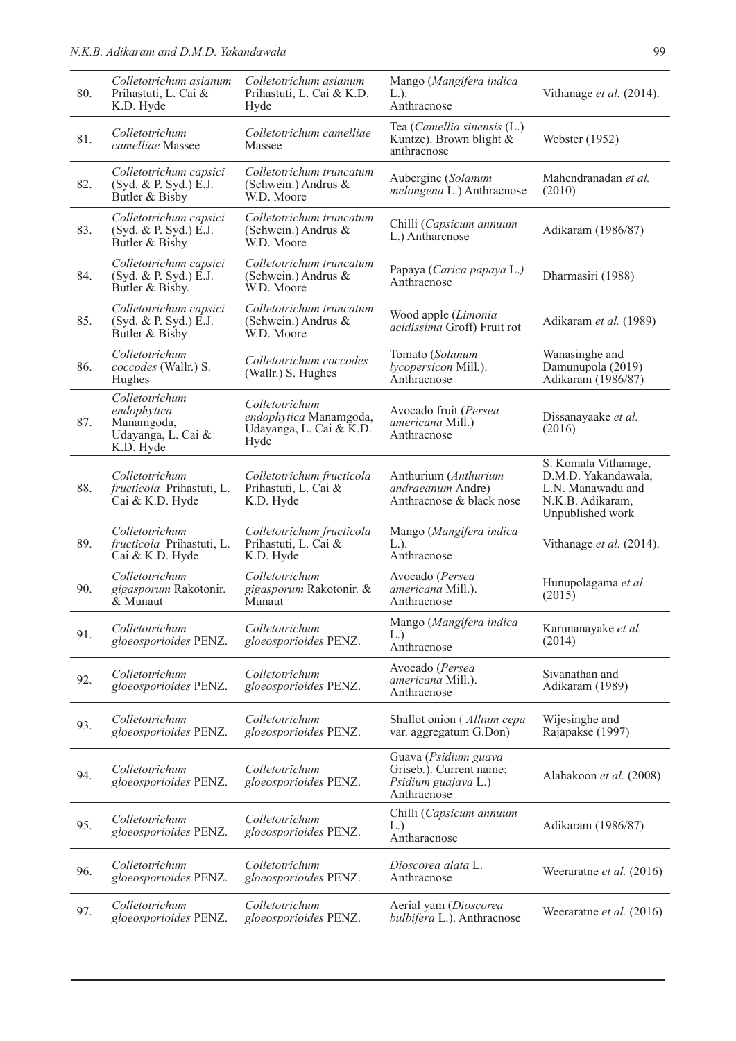| 80. | Colletotrichum asianum<br>Prihastuti, L. Cai &<br>K.D. Hyde                    | Colletotrichum asianum<br>Prihastuti, L. Cai & K.D.<br>Hyde                 | Mango (Mangifera indica<br>$L.$ ).<br>Anthracnose                                     | Vithanage et al. (2014).                                                                                 |
|-----|--------------------------------------------------------------------------------|-----------------------------------------------------------------------------|---------------------------------------------------------------------------------------|----------------------------------------------------------------------------------------------------------|
| 81. | Colletotrichum<br>camelliae Massee                                             | Colletotrichum camelliae<br>Massee                                          | Tea (Camellia sinensis (L.)<br>Kuntze). Brown blight &<br>anthracnose                 | Webster (1952)                                                                                           |
| 82. | Colletotrichum capsici<br>(Syd. & P. Syd.) E.J.<br>Butler & Bisby              | Colletotrichum truncatum<br>(Schwein.) Andrus &<br>W.D. Moore               | Aubergine (Solanum<br><i>melongena</i> L.) Anthracnose                                | Mahendranadan et al.<br>(2010)                                                                           |
| 83. | Colletotrichum capsici<br>(Syd. & P. Syd.) E.J.<br>Butler & Bisby              | Colletotrichum truncatum<br>(Schwein.) Andrus $\&$<br>W.D. Moore            | Chilli (Capsicum annuum<br>L.) Antharcnose                                            | Adikaram (1986/87)                                                                                       |
| 84. | Colletotrichum capsici<br>(Syd. & P. Syd.) E.J.<br>Butler & Bisby.             | Colletotrichum truncatum<br>(Schwein.) Andrus &<br>W.D. Moore               | Papaya (Carica papaya L.)<br>Anthracnose                                              | Dharmasiri (1988)                                                                                        |
| 85. | Colletotrichum capsici<br>(Syd. & P. Syd.) E.J.<br>Butler & Bisby              | Colletotrichum truncatum<br>(Schwein.) Andrus &<br>W.D. Moore               | Wood apple (Limonia<br><i>acidissima</i> Groff) Fruit rot                             | Adikaram et al. (1989)                                                                                   |
| 86. | Colletotrichum<br><i>coccodes</i> (Wallr.) S.<br>Hughes                        | Colletotrichum coccodes<br>(Wallr.) S. Hughes                               | Tomato (Solanum<br>lycopersicon Mill.).<br>Anthracnose                                | Wanasinghe and<br>Damunupola (2019)<br>Adikaram (1986/87)                                                |
| 87. | Colletotrichum<br>endophytica<br>Manamgoda,<br>Udayanga, L. Cai &<br>K.D. Hyde | Colletotrichum<br>endophytica Manamgoda,<br>Udayanga, L. Cai & K.D.<br>Hyde | Avocado fruit (Persea<br>americana Mill.)<br>Anthracnose                              | Dissanayaake et al.<br>(2016)                                                                            |
| 88. | Colletotrichum<br>fructicola Prihastuti, L.<br>Cai & K.D. Hyde                 | Colletotrichum fructicola<br>Prihastuti, L. Cai &<br>K.D. Hyde              | Anthurium (Anthurium<br>andraeanum Andre)<br>Anthracnose & black nose                 | S. Komala Vithanage,<br>D.M.D. Yakandawala,<br>L.N. Manawadu and<br>N.K.B. Adikaram,<br>Unpublished work |
| 89. | Colletotrichum<br>fructicola Prihastuti, L.<br>Cai & K.D. Hyde                 | Colletotrichum fructicola<br>Prihastuti, L. Cai &<br>K.D. Hyde              | Mango (Mangifera indica<br>$L.$ ).<br>Anthracnose                                     | Vithanage et al. (2014).                                                                                 |
| 90. | Colletotrichum<br>gigasporum Rakotonir.<br>& Munaut                            | Colletotrichum<br>gigasporum Rakotonir. &<br>Munaut                         | Avocado (Persea<br><i>americana</i> Mill.).<br>Anthracnose                            | Hunupolagama et al.<br>(2015)                                                                            |
| 91. | Colletotrichum<br>gloeosporioides PENZ.                                        | Colletotrichum<br>gloeosporioides PENZ.                                     | Mango (Mangifera indica<br>L.)<br>Anthracnose                                         | Karunanayake et al.<br>(2014)                                                                            |
| 92. | Colletotrichum<br>gloeosporioides PENZ.                                        | Colletotrichum<br>gloeosporioides PENZ.                                     | Avocado (Persea<br>americana Mill.).<br>Anthracnose                                   | Sivanathan and<br>Adikaram (1989)                                                                        |
| 93. | Colletotrichum<br>gloeosporioides PENZ.                                        | Colletotrichum<br>gloeosporioides PENZ.                                     | Shallot onion (Allium cepa<br>var. aggregatum G.Don)                                  | Wijesinghe and<br>Rajapakse (1997)                                                                       |
| 94. | Colletotrichum<br>gloeosporioides PENZ.                                        | Colletotrichum<br>gloeosporioides PENZ.                                     | Guava (Psidium guava<br>Griseb.). Current name:<br>Psidium guajava L.)<br>Anthracnose | Alahakoon et al. (2008)                                                                                  |
| 95. | Colletotrichum<br>gloeosporioides PENZ.                                        | Colletotrichum<br>gloeosporioides PENZ.                                     | Chilli (Capsicum annuum<br>L.)<br>Antharacnose                                        | Adikaram (1986/87)                                                                                       |
| 96. | Colletotrichum<br>gloeosporioides PENZ.                                        | Colletotrichum<br>gloeosporioides PENZ.                                     | Dioscorea alata L.<br>Anthracnose                                                     | Weeraratne et al. (2016)                                                                                 |
| 97. | Colletotrichum<br>gloeosporioides PENZ.                                        | Colletotrichum<br>gloeosporioides PENZ.                                     | Aerial yam (Dioscorea<br>bulbifera L.). Anthracnose                                   | Weeraratne et al. (2016)                                                                                 |
|     |                                                                                |                                                                             |                                                                                       |                                                                                                          |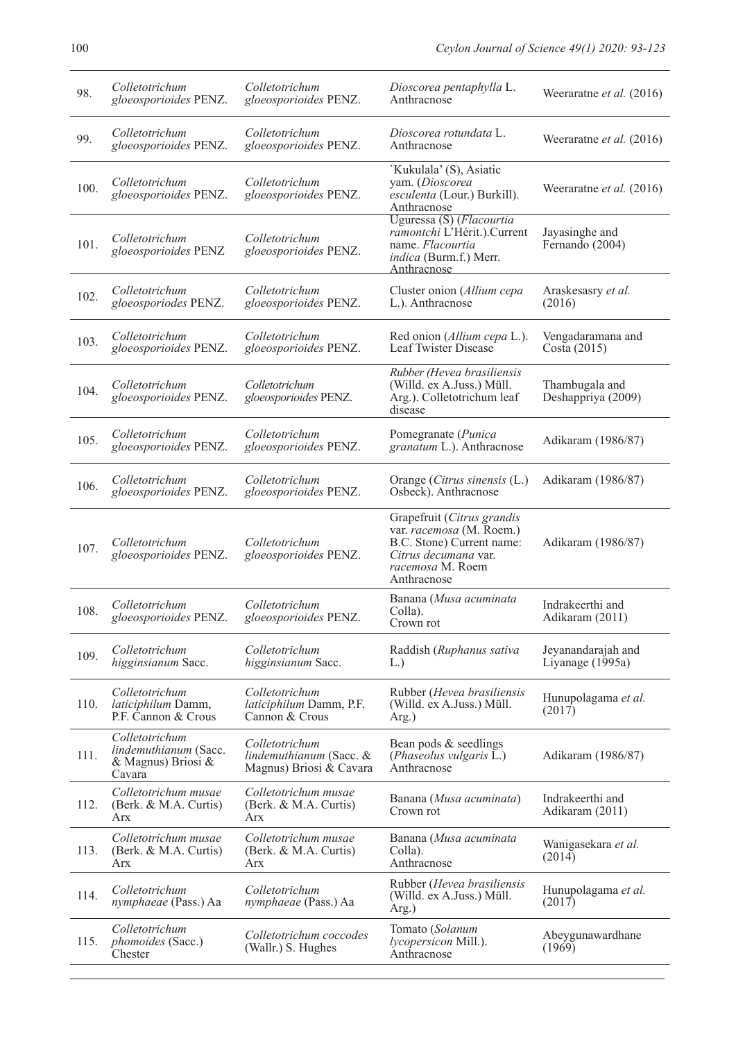| 98.  | Colletotrichum<br>gloeosporioides PENZ.                                 | Colletotrichum<br>gloeosporioides PENZ.                              | Dioscorea pentaphylla L.<br>Anthracnose                                                                                                        | Weeraratne et al. (2016)               |
|------|-------------------------------------------------------------------------|----------------------------------------------------------------------|------------------------------------------------------------------------------------------------------------------------------------------------|----------------------------------------|
| 99.  | Colletotrichum<br>gloeosporioides PENZ.                                 | Colletotrichum<br>gloeosporioides PENZ.                              | Dioscorea rotundata L.<br>Anthracnose                                                                                                          | Weeraratne et al. (2016)               |
| 100. | Colletotrichum<br>gloeosporioides PENZ.                                 | Colletotrichum<br>gloeosporioides PENZ.                              | 'Kukulala' (S), Asiatic<br>yam. (Dioscorea<br>esculenta (Lour.) Burkill).<br>Anthracnose                                                       | Weeraratne et al. (2016)               |
| 101. | Colletotrichum<br>gloeosporioides PENZ                                  | Colletotrichum<br>gloeosporioides PENZ.                              | Uguressa (S) (Flacourtia<br>ramontchi L'Hérit.).Current<br>name. Flacourtia<br>indica (Burm.f.) Merr.<br>Anthracnose                           | Jayasinghe and<br>Fernando (2004)      |
| 102. | Colletotrichum<br>gloeosporiodes PENZ.                                  | Colletotrichum<br>gloeosporioides PENZ.                              | Cluster onion (Allium cepa<br>L.). Anthracnose                                                                                                 | Araskesasry et al.<br>(2016)           |
| 103. | Colletotrichum<br>gloeosporioides PENZ.                                 | Colletotrichum<br>gloeosporioides PENZ.                              | Red onion (Allium cepa L.).<br>Leaf Twister Disease                                                                                            | Vengadaramana and<br>Costa (2015)      |
| 104. | Colletotrichum<br>gloeosporioides PENZ.                                 | Colletotrichum<br>gloeosporioides PENZ.                              | Rubber (Hevea brasiliensis<br>(Willd. ex A.Juss.) Müll.<br>Arg.). Colletotrichum leaf<br>disease                                               | Thambugala and<br>Deshappriya (2009)   |
| 105. | Colletotrichum<br>gloeosporioides PENZ.                                 | Colletotrichum<br>gloeosporioides PENZ.                              | Pomegranate (Punica<br>granatum L.). Anthracnose                                                                                               | Adikaram (1986/87)                     |
| 106. | Colletotrichum<br>gloeosporioides PENZ.                                 | Colletotrichum<br>gloeosporioides PENZ.                              | Orange (Citrus sinensis (L.)<br>Osbeck). Anthracnose                                                                                           | Adikaram (1986/87)                     |
| 107. | Colletotrichum<br>gloeosporioides PENZ.                                 | Colletotrichum<br>gloeosporioides PENZ.                              | Grapefruit (Citrus grandis<br>var. racemosa (M. Roem.)<br>B.C. Stone) Current name:<br>Citrus decumana var.<br>racemosa M. Roem<br>Anthracnose | Adikaram (1986/87)                     |
| 108. | Colletotrichum<br>gloeosporioides PENZ.                                 | Colletotrichum<br>gloeosporioides PENZ.                              | Banana (Musa acuminata<br>Colla).<br>Crown rot                                                                                                 | Indrakeerthi and<br>Adikaram (2011)    |
| 109. | Colletotrichum<br>higginsianum Sacc.                                    | Colletotrichum<br>higginsianum Sacc.                                 | Raddish (Ruphanus sativa<br>L.                                                                                                                 | Jeyanandarajah and<br>Liyanage (1995a) |
| 110. | Colletotrichum<br>laticiphilum Damm,<br>P.F. Cannon & Crous             | Colletotrichum<br>laticiphilum Damm, P.F.<br>Cannon & Crous          | Rubber (Hevea brasiliensis<br>(Willd. ex A.Juss.) Müll.<br>Arg.)                                                                               | Hunupolagama et al.<br>(2017)          |
| 111. | Colletotrichum<br>lindemuthianum (Sacc.<br>& Magnus) Briosi &<br>Cavara | Colletotrichum<br>lindemuthianum (Sacc. &<br>Magnus) Briosi & Cavara | Bean pods & seedlings<br>(Phaseolus vulgaris L.)<br>Anthracnose                                                                                | Adikaram (1986/87)                     |
| 112. | Colletotrichum musae<br>(Berk. & M.A. Curtis)<br>Arx                    | Colletotrichum musae<br>(Berk. & M.A. Curtis)<br>Arx                 | Banana (Musa acuminata)<br>Crown rot                                                                                                           | Indrakeerthi and<br>Adikaram (2011)    |
| 113. | Colletotrichum musae<br>(Berk. & M.A. Curtis)<br>Arx                    | Colletotrichum musae<br>(Berk. & M.A. Curtis)<br>Arx                 | Banana (Musa acuminata<br>Colla).<br>Anthracnose                                                                                               | Wanigasekara et al.<br>(2014)          |
| 114. | Colletotrichum<br>nymphaeae (Pass.) Aa                                  | Colletotrichum<br>nymphaeae (Pass.) Aa                               | Rubber ( <i>Hevea brasiliensis</i><br>(Willd. ex A.Juss.) Müll.<br>Arg.)                                                                       | Hunupolagama et al.<br>(2017)          |
| 115. | Colletotrichum<br>phomoides (Sacc.)<br>Chester                          | Colletotrichum coccodes<br>(Wallr.) S. Hughes                        | Tomato (Solanum<br>lycopersicon Mill.).<br>Anthracnose                                                                                         | Abeygunawardhane<br>(1969)             |
|      |                                                                         |                                                                      |                                                                                                                                                |                                        |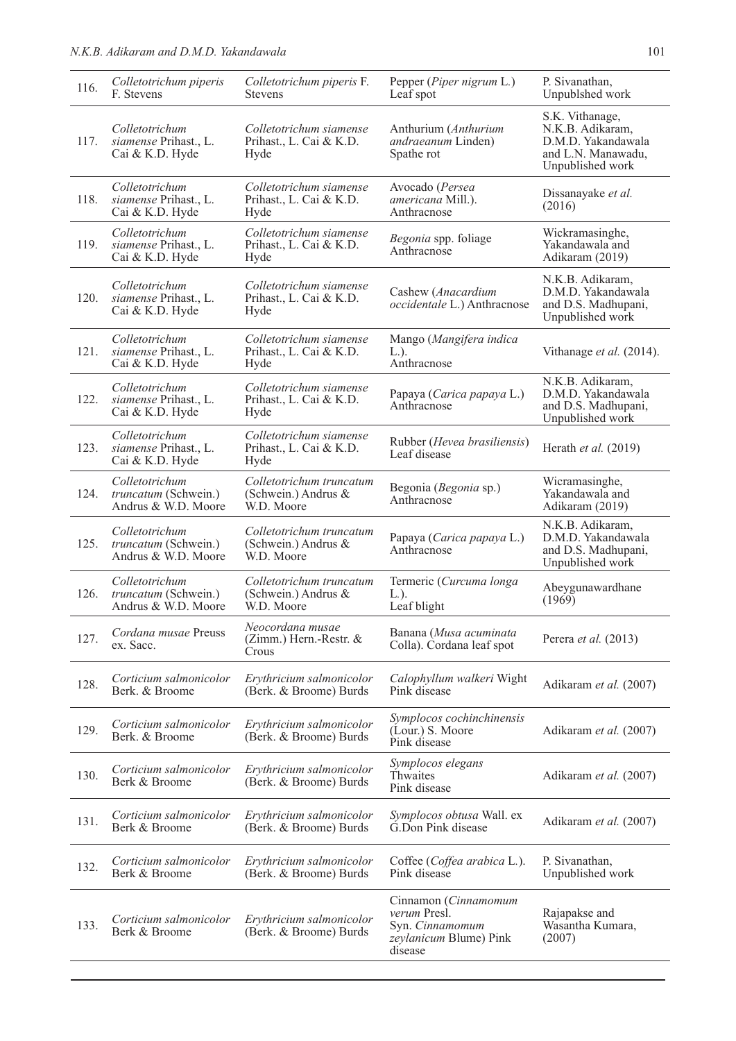| 116. | Colletotrichum piperis<br>F. Stevens                          | Colletotrichum piperis F.<br>Stevens                          | Pepper (Piper nigrum L.)<br>Leaf spot                                                               | P. Sivanathan,<br>Unpublshed work                                                                   |
|------|---------------------------------------------------------------|---------------------------------------------------------------|-----------------------------------------------------------------------------------------------------|-----------------------------------------------------------------------------------------------------|
| 117. | Colletotrichum<br>siamense Prihast., L.<br>Cai & K.D. Hyde    | Colletotrichum siamense<br>Prihast., L. Cai & K.D.<br>Hyde    | Anthurium (Anthurium<br>andraeanum Linden)<br>Spathe rot                                            | S.K. Vithanage,<br>N.K.B. Adikaram,<br>D.M.D. Yakandawala<br>and L.N. Manawadu,<br>Unpublished work |
| 118. | Colletotrichum<br>siamense Prihast., L.<br>Cai & K.D. Hyde    | Colletotrichum siamense<br>Prihast., L. Cai & K.D.<br>Hyde    | Avocado (Persea<br>americana Mill.).<br>Anthracnose                                                 | Dissanayake et al.<br>(2016)                                                                        |
| 119. | Colletotrichum<br>siamense Prihast., L.<br>Cai & K.D. Hyde    | Colletotrichum siamense<br>Prihast., L. Cai & K.D.<br>Hyde    | Begonia spp. foliage<br>Anthracnose                                                                 | Wickramasinghe,<br>Yakandawala and<br>Adikaram (2019)                                               |
| 120. | Colletotrichum<br>siamense Prihast., L.<br>Cai & K.D. Hyde    | Colletotrichum siamense<br>Prihast., L. Cai & K.D.<br>Hyde    | Cashew (Anacardium<br>occidentale L.) Anthracnose                                                   | N.K.B. Adikaram,<br>D.M.D. Yakandawala<br>and D.S. Madhupani,<br>Unpublished work                   |
| 121. | Colletotrichum<br>siamense Prihast., L.<br>Cai & K.D. Hyde    | Colletotrichum siamense<br>Prihast., L. Cai & K.D.<br>Hyde    | Mango (Mangifera indica<br>$L.$ ).<br>Anthracnose                                                   | Vithanage et al. (2014).                                                                            |
| 122. | Colletotrichum<br>siamense Prihast., L.<br>Cai & K.D. Hyde    | Colletotrichum siamense<br>Prihast., L. Cai & K.D.<br>Hyde    | Papaya (Carica papaya L.)<br>Anthracnose                                                            | N.K.B. Adikaram,<br>D.M.D. Yakandawala<br>and D.S. Madhupani,<br>Unpublished work                   |
| 123. | Colletotrichum<br>siamense Prihast., L.<br>Cai & K.D. Hyde    | Colletotrichum siamense<br>Prihast., L. Cai & K.D.<br>Hyde    | Rubber (Hevea brasiliensis)<br>Leaf disease                                                         | Herath et al. (2019)                                                                                |
| 124. | Colletotrichum<br>truncatum (Schwein.)<br>Andrus & W.D. Moore | Colletotrichum truncatum<br>(Schwein.) Andrus &<br>W.D. Moore | Begonia (Begonia sp.)<br>Anthracnose                                                                | Wicramasinghe,<br>Yakandawala and<br>Adikaram (2019)                                                |
| 125. | Colletotrichum<br>truncatum (Schwein.)<br>Andrus & W.D. Moore | Colletotrichum truncatum<br>(Schwein.) Andrus &<br>W.D. Moore | Papaya (Carica papaya L.)<br>Anthracnose                                                            | N.K.B. Adikaram,<br>D.M.D. Yakandawala<br>and D.S. Madhupani,<br>Unpublished work                   |
| 126. | Colletotrichum<br>truncatum (Schwein.)<br>Andrus & W.D. Moore | Colletotrichum truncatum<br>(Schwein.) Andrus &<br>W.D. Moore | Termeric (Curcuma longa<br>$L.$ ).<br>Leaf blight                                                   | Abeygunawardhane<br>(1969)                                                                          |
| 127. | Cordana musae Preuss<br>ex. Sacc.                             | Neocordana musae<br>$(Zimm.)$ Hern.-Restr. &<br>Crous         | Banana (Musa acuminata<br>Colla). Cordana leaf spot                                                 | Perera et al. (2013)                                                                                |
| 128. | Corticium salmonicolor<br>Berk. & Broome                      | Erythricium salmonicolor<br>(Berk. & Broome) Burds            | Calophyllum walkeri Wight<br>Pink disease                                                           | Adikaram et al. (2007)                                                                              |
| 129. | Corticium salmonicolor<br>Berk. & Broome                      | Erythricium salmonicolor<br>(Berk. & Broome) Burds            | Symplocos cochinchinensis<br>(Lour.) S. Moore<br>Pink disease                                       | Adikaram et al. (2007)                                                                              |
| 130. | Corticium salmonicolor<br>Berk & Broome                       | Erythricium salmonicolor<br>(Berk. & Broome) Burds            | Symplocos elegans<br>Thwaites<br>Pink disease                                                       | Adikaram et al. (2007)                                                                              |
| 131. | Corticium salmonicolor<br>Berk & Broome                       | Erythricium salmonicolor<br>(Berk. & Broome) Burds            | Symplocos obtusa Wall. ex<br>G.Don Pink disease                                                     | Adikaram et al. (2007)                                                                              |
| 132. | Corticium salmonicolor<br>Berk & Broome                       | Erythricium salmonicolor<br>(Berk. & Broome) Burds            | Coffee (Coffea arabica L.).<br>Pink disease                                                         | P. Sivanathan,<br>Unpublished work                                                                  |
| 133. | Corticium salmonicolor<br>Berk & Broome                       | Erythricium salmonicolor<br>(Berk. & Broome) Burds            | Cinnamon (Cinnamomum<br><i>verum</i> Presl.<br>Syn. Cinnamomum<br>zeylanicum Blume) Pink<br>disease | Rajapakse and<br>Wasantha Kumara,<br>(2007)                                                         |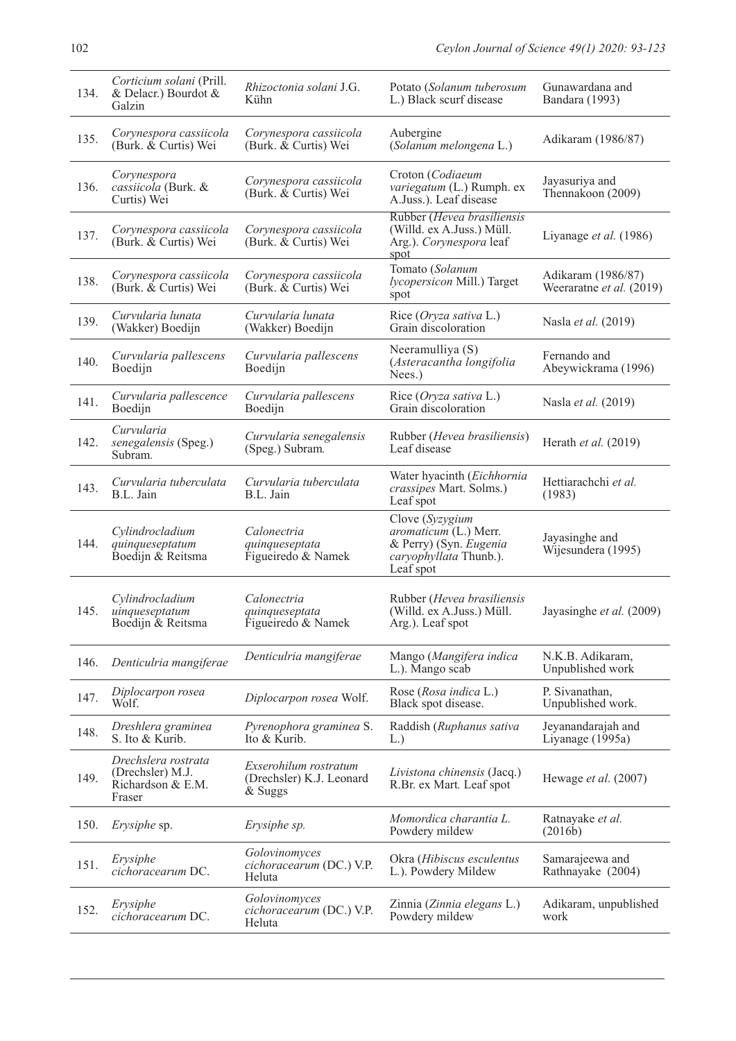| 134. | Corticium solani (Prill.<br>& Delacr.) Bourdot &<br>Galzin             | Rhizoctonia solani J.G.<br>Kühn                              | Potato (Solanum tuberosum<br>L.) Black scurf disease                                                      | Gunawardana and<br>Bandara (1993)              |
|------|------------------------------------------------------------------------|--------------------------------------------------------------|-----------------------------------------------------------------------------------------------------------|------------------------------------------------|
| 135. | Corynespora cassiicola<br>(Burk. & Curtis) Wei                         | Corynespora cassiicola<br>(Burk. & Curtis) Wei               | Aubergine<br>(Solanum melongena L.)                                                                       | Adikaram (1986/87)                             |
| 136. | Corynespora<br>cassiicola (Burk. &<br>Curtis) Wei                      | Corynespora cassiicola<br>(Burk. & Curtis) Wei               | Croton (Codiaeum<br>variegatum (L.) Rumph. ex<br>A.Juss.). Leaf disease                                   | Jayasuriya and<br>Thennakoon (2009)            |
| 137. | Corynespora cassiicola<br>(Burk. & Curtis) Wei                         | Corynespora cassiicola<br>(Burk. & Curtis) Wei               | Rubber (Hevea brasiliensis<br>(Willd. ex A.Juss.) Müll.<br>Arg.). Corynespora leaf<br>spot                | Liyanage et al. (1986)                         |
| 138. | Corynespora cassiicola<br>(Burk. & Curtis) Wei                         | Corynespora cassiicola<br>(Burk. & Curtis) Wei               | Tomato (Solanum<br>lycopersicon Mill.) Target<br>spot                                                     | Adikaram (1986/87)<br>Weeraratne et al. (2019) |
| 139. | Curvularia lunata<br>(Wakker) Boedijn                                  | Curvularia lunata<br>(Wakker) Boedijn                        | Rice (Oryza sativa L.)<br>Grain discoloration                                                             | Nasla et al. (2019)                            |
| 140. | Curvularia pallescens<br>Boedijn                                       | Curvularia pallescens<br>Boedijn                             | Neeramulliya (S)<br>(Asteracantha longifolia<br>Nees.)                                                    | Fernando and<br>Abeywickrama (1996)            |
| 141. | Curvularia pallescence<br>Boedijn                                      | Curvularia pallescens<br>Boedijn                             | Rice (Oryza sativa L.)<br>Grain discoloration                                                             | Nasla et al. (2019)                            |
| 142. | Curvularia<br>senegalensis (Speg.)<br>Subram.                          | Curvularia senegalensis<br>(Speg.) Subram.                   | Rubber (Hevea brasiliensis)<br>Leaf disease                                                               | Herath et al. (2019)                           |
| 143. | Curvularia tuberculata<br>B.L. Jain                                    | Curvularia tuberculata<br>B.L. Jain                          | Water hyacinth (Eichhornia<br>crassipes Mart. Solms.)<br>Leaf spot                                        | Hettiarachchi et al.<br>(1983)                 |
| 144. | Cylindrocladium<br>quinqueseptatum<br>Boedijn & Reitsma                | Calonectria<br>quinqueseptata<br>Figueiredo & Namek          | Clove (Syzygium<br>aromaticum (L.) Merr.<br>& Perry) (Syn. Eugenia<br>caryophyllata Thunb.).<br>Leaf spot | Jayasinghe and<br>Wijesundera (1995)           |
| 145. | Cylindrocladium<br>uinqueseptatum<br>Boedijn & Reitsma                 | Calonectria<br>quinqueseptata<br>Figueiredo & Namek          | Rubber (Hevea brasiliensis<br>(Willd. ex A.Juss.) Müll.<br>Arg.). Leaf spot                               | Jayasinghe et al. (2009)                       |
| 146. | Denticulria mangiferae                                                 | Denticulria mangiferae                                       | Mango (Mangifera indica<br>L.). Mango scab                                                                | N.K.B. Adikaram,<br>Unpublished work           |
| 147. | Diplocarpon rosea<br>Wolf.                                             | Diplocarpon rosea Wolf.                                      | Rose (Rosa indica L.)<br>Black spot disease.                                                              | P. Sivanathan,<br>Unpublished work.            |
| 148. | Dreshlera graminea<br>S. Ito & Kurib.                                  | Pyrenophora graminea S.<br>Ito & Kurib.                      | Raddish (Ruphanus sativa<br>L.                                                                            | Jeyanandarajah and<br>Liyanage (1995a)         |
| 149. | Drechslera rostrata<br>(Drechsler) M.J.<br>Richardson & E.M.<br>Fraser | Exserohilum rostratum<br>(Drechsler) K.J. Leonard<br>& Suggs | Livistona chinensis (Jacq.)<br>R.Br. ex Mart. Leaf spot                                                   | Hewage et al. (2007)                           |
| 150. | Erysiphe sp.                                                           | Erysiphe sp.                                                 | Momordica charantia L.<br>Powdery mildew                                                                  | Ratnayake et al.<br>(2016b)                    |
| 151. | Erysiphe<br>cichoracearum DC.                                          | Golovinomyces<br>cichoracearum (DC.) V.P.<br>Heluta          | Okra (Hibiscus esculentus<br>L.). Powdery Mildew                                                          | Samarajeewa and<br>Rathnayake (2004)           |
| 152. | Erysiphe<br>cichoracearum DC.                                          | Golovinomyces<br>cichoracearum (DC.) V.P.<br>Heluta          | Zinnia (Zinnia elegans L.)<br>Powdery mildew                                                              | Adikaram, unpublished<br>work                  |
|      |                                                                        |                                                              |                                                                                                           |                                                |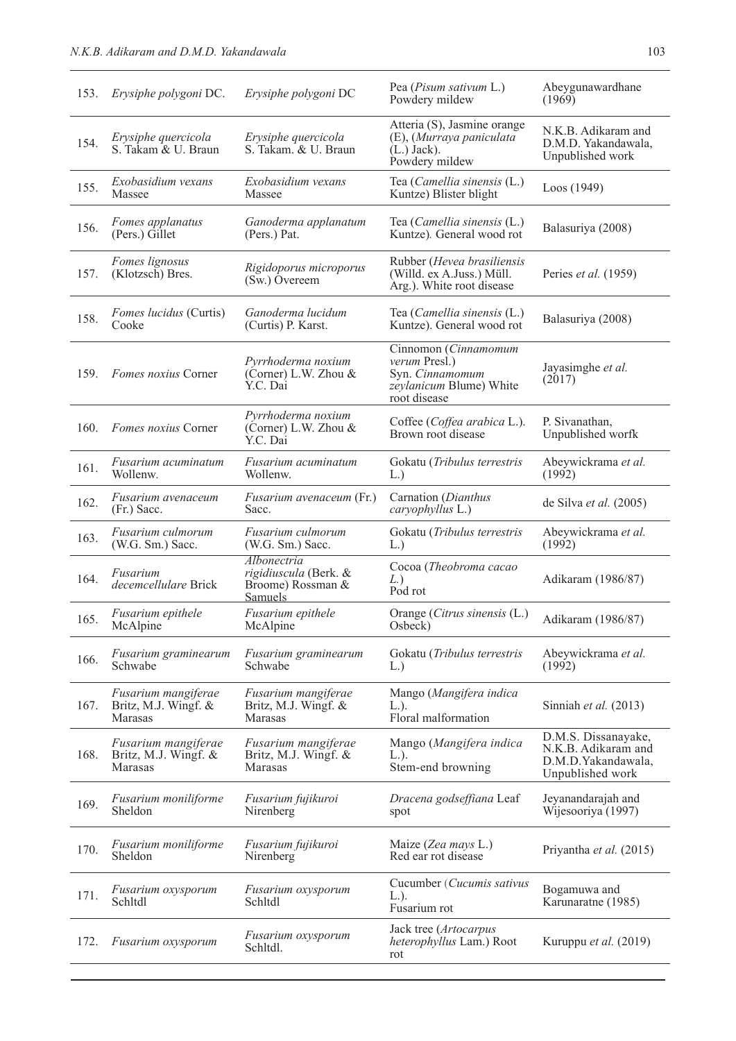| 153. | Erysiphe polygoni DC.                                  | Erysiphe polygoni DC                                                 | Pea ( <i>Pisum sativum L.</i> )<br>Powdery mildew                                                   | Abeygunawardhane<br>(1969)                                                           |
|------|--------------------------------------------------------|----------------------------------------------------------------------|-----------------------------------------------------------------------------------------------------|--------------------------------------------------------------------------------------|
| 154. | Erysiphe quercicola<br>S. Takam & U. Braun             | Erysiphe quercicola<br>S. Takam. & U. Braun                          | Atteria (S), Jasmine orange<br>(E), (Murraya paniculata<br>$(L.)$ Jack).<br>Powdery mildew          | N.K.B. Adikaram and<br>D.M.D. Yakandawala,<br>Unpublished work                       |
| 155. | Exobasidium vexans<br>Massee                           | Exobasidium vexans<br>Massee                                         | Tea (Camellia sinensis (L.)<br>Kuntze) Blister blight                                               | Loos (1949)                                                                          |
| 156. | Fomes applanatus<br>(Pers.) Gillet                     | Ganoderma applanatum<br>(Pers.) Pat.                                 | Tea (Camellia sinensis (L.)<br>Kuntze). General wood rot                                            | Balasuriya (2008)                                                                    |
| 157. | Fomes lignosus<br>(Klotzsch) Bres.                     | Rigidoporus microporus<br>(Sw.) Overeem                              | Rubber (Hevea brasiliensis<br>(Willd. ex A.Juss.) Müll.<br>Arg.). White root disease                | Peries et al. (1959)                                                                 |
| 158. | Fomes lucidus (Curtis)<br>Cooke                        | Ganoderma lucidum<br>(Curtis) P. Karst.                              | Tea (Camellia sinensis (L.)<br>Kuntze). General wood rot                                            | Balasuriya (2008)                                                                    |
| 159. | <i>Fomes noxius</i> Corner                             | Pyrrhoderma noxium<br>(Corner) L.W. Zhou &<br>Y.C. Dai               | Cinnomon (Cinnamomum<br>verum Presl.)<br>Syn. Cinnamomum<br>zeylanicum Blume) White<br>root disease | Jayasimghe et al.<br>(2017)                                                          |
| 160. | Fomes noxius Corner                                    | Pyrrhoderma noxium<br>(Corner) L.W. Zhou &<br>Y.C. Dai               | Coffee (Coffea arabica L.).<br>Brown root disease                                                   | P. Sivanathan,<br>Unpublished worfk                                                  |
| 161. | Fusarium acuminatum<br>Wollenw.                        | Fusarium acuminatum<br>Wollenw.                                      | Gokatu (Tribulus terrestris<br>L.)                                                                  | Abeywickrama et al.<br>(1992)                                                        |
| 162. | Fusarium avenaceum<br>(Fr.) Sacc.                      | <i>Fusarium avenaceum</i> (Fr.)<br>Sacc.                             | Carnation (Dianthus<br>caryophyllus L.)                                                             | de Silva et al. $(2005)$                                                             |
| 163. | Fusarium culmorum<br>(W.G. Sm.) Sacc.                  | Fusarium culmorum<br>(W.G. Sm.) Sacc.                                | Gokatu (Tribulus terrestris<br>L.                                                                   | Abeywickrama et al.<br>(1992)                                                        |
| 164. | Fusarium<br>decemcellulare Brick                       | Albonectria<br>rigidiuscula (Berk. &<br>Broome) Rossman &<br>Samuels | Cocoa (Theobroma cacao<br>L.<br>Pod rot                                                             | Adikaram (1986/87)                                                                   |
| 165. | <i>Fusarium epithele</i><br>McAlpine                   | Fusarium epithele<br>McAlpine                                        | Orange (Citrus sinensis (L.)<br>Osbeck)                                                             | Adikaram (1986/87)                                                                   |
| 166. | Fusarium graminearum<br>Schwabe                        | Fusarium graminearum<br>Schwabe                                      | Gokatu (Tribulus terrestris<br>L.)                                                                  | Abeywickrama et al.<br>(1992)                                                        |
| 167. | Fusarium mangiferae<br>Britz, M.J. Wingf. &<br>Marasas | Fusarium mangiferae<br>Britz, M.J. Wingf. &<br>Marasas               | Mango (Mangifera indica<br>$L.$ ).<br>Floral malformation                                           | Sinniah et al. (2013)                                                                |
| 168. | Fusarium mangiferae<br>Britz, M.J. Wingf. &<br>Marasas | Fusarium mangiferae<br>Britz, M.J. Wingf. &<br>Marasas               | Mango (Mangifera indica<br>$L.$ ).<br>Stem-end browning                                             | D.M.S. Dissanayake,<br>N.K.B. Adikaram and<br>D.M.D.Yakandawala,<br>Unpublished work |
| 169. | Fusarium moniliforme<br>Sheldon                        | Fusarium fujikuroi<br>Nirenberg                                      | Dracena godseffiana Leaf<br>spot                                                                    | Jeyanandarajah and<br>Wijesooriya (1997)                                             |
| 170. | Fusarium moniliforme<br>Sheldon                        | Fusarium fujikuroi<br>Nirenberg                                      | Maize (Zea mays L.)<br>Red ear rot disease                                                          | Priyantha et al. (2015)                                                              |
| 171. | Fusarium oxysporum<br>Schltdl                          | Fusarium oxysporum<br>Schltdl                                        | Cucumber (Cucumis sativus<br>$L.$ ).<br>Fusarium rot                                                | Bogamuwa and<br>Karunaratne (1985)                                                   |
| 172. | Fusarium oxysporum                                     | Fusarium oxysporum<br>Schltdl.                                       | Jack tree (Artocarpus<br>heterophyllus Lam.) Root<br>rot                                            | Kuruppu et al. (2019)                                                                |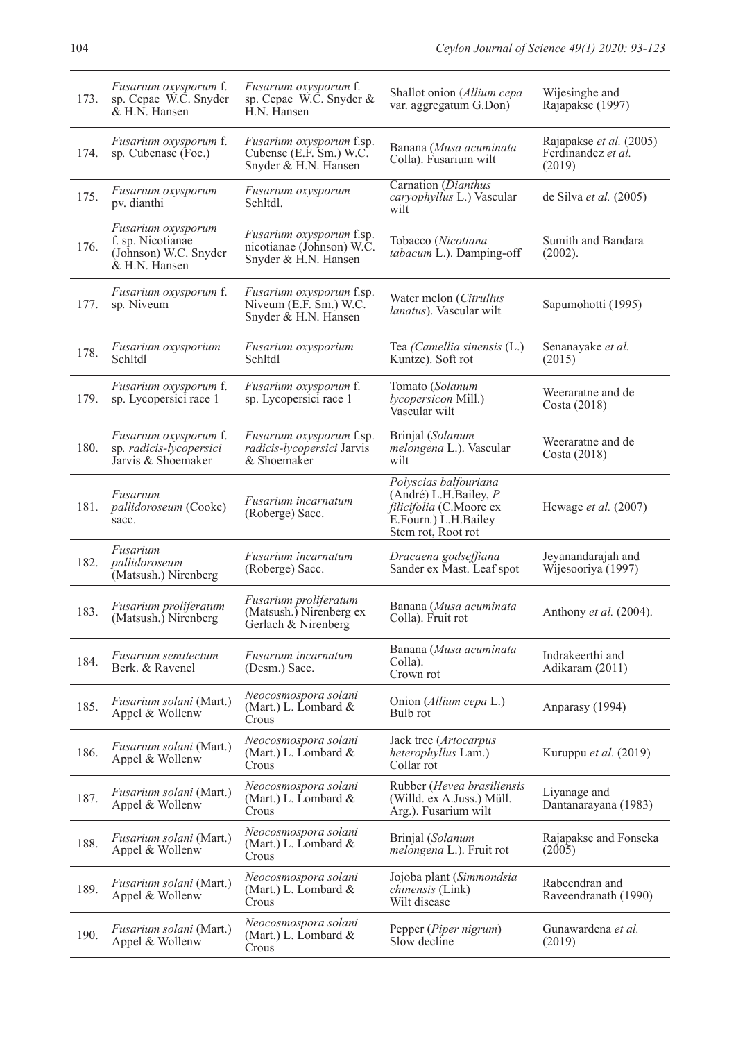| 173. | <i>Fusarium oxysporum f.</i><br>sp. Cepae W.C. Snyder<br>& H.N. Hansen            | Fusarium oxysporum f.<br>sp. Cepae W.C. Snyder &<br>H.N. Hansen                     | Shallot onion (Allium cepa<br>var. aggregatum G.Don)                                                                     | Wijesinghe and<br>Rajapakse (1997)                      |
|------|-----------------------------------------------------------------------------------|-------------------------------------------------------------------------------------|--------------------------------------------------------------------------------------------------------------------------|---------------------------------------------------------|
| 174. | <i>Fusarium oxysporum f.</i><br>sp. Cubenase (Foc.)                               | <i>Fusarium oxysporum</i> f.sp.<br>Cubense (E.F. Sm.) W.C.<br>Snyder & H.N. Hansen  | Banana (Musa acuminata<br>Colla). Fusarium wilt                                                                          | Rajapakse et al. (2005)<br>Ferdinandez et al.<br>(2019) |
| 175. | Fusarium oxysporum<br>pv. dianthi                                                 | Fusarium oxysporum<br>Schltdl.                                                      | Carnation (Dianthus<br>caryophyllus L.) Vascular<br>wilt                                                                 | de Silva et al. (2005)                                  |
| 176. | Fusarium oxysporum<br>f. sp. Nicotianae<br>(Johnson) W.C. Snyder<br>& H.N. Hansen | Fusarium oxysporum f.sp.<br>nicotianae (Johnson) W.C.<br>Snyder & H.N. Hansen       | Tobacco (Nicotiana<br>tabacum L.). Damping-off                                                                           | Sumith and Bandara<br>$(2002)$ .                        |
| 177. | Fusarium oxysporum f.<br>sp. Niveum                                               | <i>Fusarium oxysporum</i> f.sp.<br>Niveum $(E.F. Sm.)$ W.C.<br>Snyder & H.N. Hansen | Water melon (Citrullus<br>lanatus). Vascular wilt                                                                        | Sapumohotti (1995)                                      |
| 178. | Fusarium oxysporium<br>Schltdl                                                    | Fusarium oxysporium<br>Schltdl                                                      | Tea (Camellia sinensis (L.)<br>Kuntze). Soft rot                                                                         | Senanayake et al.<br>(2015)                             |
| 179. | Fusarium oxysporum f.<br>sp. Lycopersici race 1                                   | Fusarium oxysporum f.<br>sp. Lycopersici race 1                                     | Tomato (Solanum<br>lycopersicon Mill.)<br>Vascular wilt                                                                  | Weeraratne and de<br>Costa (2018)                       |
| 180. | Fusarium oxysporum f.<br>sp. radicis-lycopersici<br>Jarvis & Shoemaker            | Fusarium oxysporum f.sp.<br>radicis-lycopersici Jarvis<br>& Shoemaker               | Brinjal (Solanum<br>melongena L.). Vascular<br>wilt                                                                      | Weeraratne and de<br>Costa (2018)                       |
| 181. | Fusarium<br>pallidoroseum (Cooke)<br>sacc.                                        | Fusarium incarnatum<br>(Roberge) Sacc.                                              | Polyscias balfouriana<br>(André) L.H.Bailey, P.<br>filicifolia (C.Moore ex<br>E.Fourn.) L.H.Bailey<br>Stem rot, Root rot | Hewage et al. (2007)                                    |
| 182. | Fusarium<br>pallidoroseum<br>(Matsush.) Nirenberg                                 | Fusarium incarnatum<br>(Roberge) Sacc.                                              | Dracaena godseffiana<br>Sander ex Mast. Leaf spot                                                                        | Jeyanandarajah and<br>Wijesooriya (1997)                |
| 183. | Fusarium proliferatum<br>(Matsush.) Nirenberg                                     | Fusarium proliferatum<br>(Matsush.) Nirenberg ex<br>Gerlach & Nirenberg             | Banana (Musa acuminata<br>Colla). Fruit rot                                                                              | Anthony et al. (2004).                                  |
| 184. | Fusarium semitectum<br>Berk. & Ravenel                                            | Fusarium incarnatum<br>(Desm.) Sacc.                                                | Banana (Musa acuminata<br>Colla).<br>Crown rot                                                                           | Indrakeerthi and<br>Adikaram (2011)                     |
| 185. | Fusarium solani (Mart.)<br>Appel & Wollenw                                        | Neocosmospora solani<br>(Mart.) L. Lombard $\&$<br>Crous                            | Onion (Allium cepa L.)<br>Bulb rot                                                                                       | Anparasy (1994)                                         |
| 186. | Fusarium solani (Mart.)<br>Appel & Wollenw                                        | Neocosmospora solani<br>(Mart.) L. Lombard &<br>Crous                               | Jack tree (Artocarpus<br>heterophyllus Lam.)<br>Collar rot                                                               | Kuruppu et al. (2019)                                   |
| 187. | Fusarium solani (Mart.)<br>Appel & Wollenw                                        | Neocosmospora solani<br>(Mart.) L. Lombard $\&$<br>Crous                            | Rubber (Hevea brasiliensis<br>(Willd. ex A.Juss.) Müll.<br>Arg.). Fusarium wilt                                          | Liyanage and<br>Dantanarayana (1983)                    |
| 188. | Fusarium solani (Mart.)<br>Appel & Wollenw                                        | Neocosmospora solani<br>(Mart.) L. Lombard $\&$<br>Crous                            | Brinjal (Solanum<br>melongena L.). Fruit rot                                                                             | Rajapakse and Fonseka<br>(2005)                         |
| 189. | Fusarium solani (Mart.)<br>Appel & Wollenw                                        | Neocosmospora solani<br>(Mart.) L. Lombard $\&$<br>Crous                            | Jojoba plant (Simmondsia<br>chinensis (Link)<br>Wilt disease                                                             | Rabeendran and<br>Raveendranath (1990)                  |
| 190. | Fusarium solani (Mart.)<br>Appel & Wollenw                                        | Neocosmospora solani<br>(Mart.) L. Lombard $\&$<br>Crous                            | Pepper (Piper nigrum)<br>Slow decline                                                                                    | Gunawardena et al.<br>(2019)                            |
|      |                                                                                   |                                                                                     |                                                                                                                          |                                                         |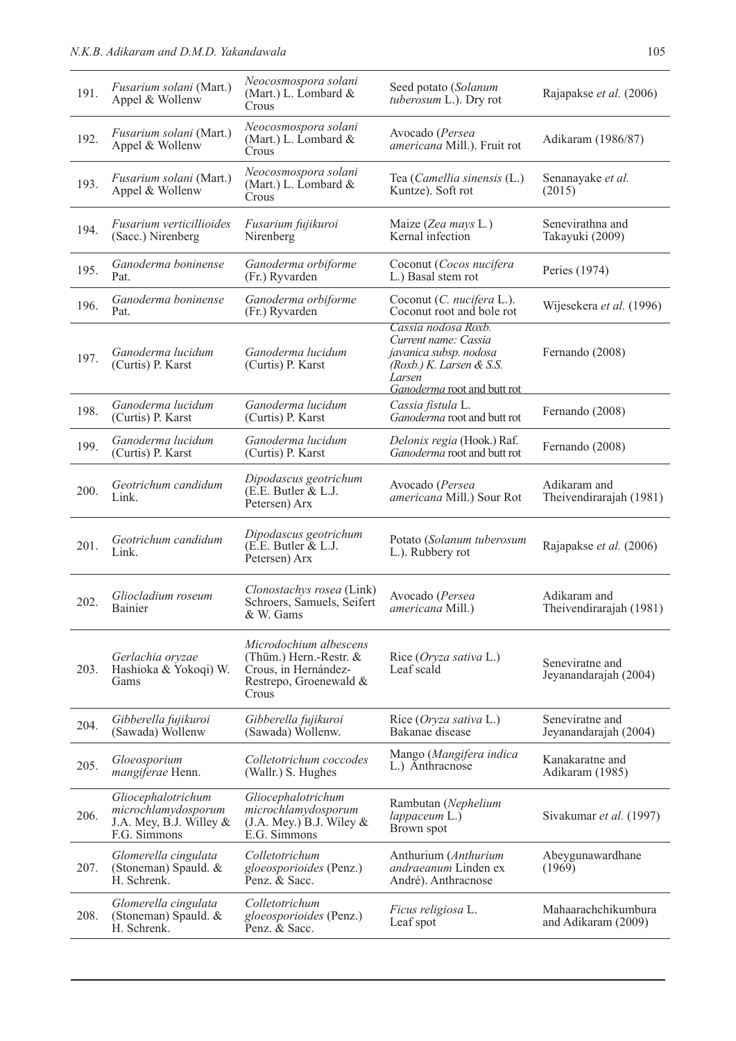| 191. | Fusarium solani (Mart.)<br>Appel & Wollenw                                              | Neocosmospora solani<br>(Mart.) L. Lombard $\&$<br>Crous                                                    | Seed potato (Solanum<br>tuberosum L.). Dry rot                                                                                               | Rajapakse et al. (2006)                    |
|------|-----------------------------------------------------------------------------------------|-------------------------------------------------------------------------------------------------------------|----------------------------------------------------------------------------------------------------------------------------------------------|--------------------------------------------|
| 192. | Fusarium solani (Mart.)<br>Appel & Wollenw                                              | Neocosmospora solani<br>(Mart.) L. Lombard $\&$<br>Crous                                                    | Avocado (Persea<br>americana Mill.). Fruit rot                                                                                               | Adikaram (1986/87)                         |
| 193. | Fusarium solani (Mart.)<br>Appel & Wollenw                                              | Neocosmospora solani<br>(Mart.) L. Lombard $\&$<br>Crous                                                    | Tea (Camellia sinensis (L.)<br>Kuntze). Soft rot                                                                                             | Senanayake et al.<br>(2015)                |
| 194. | Fusarium verticillioides<br>(Sacc.) Nirenberg                                           | Fusarium fujikuroi<br>Nirenberg                                                                             | Maize (Zea mays L.)<br>Kernal infection                                                                                                      | Senevirathna and<br>Takayuki (2009)        |
| 195. | Ganoderma boninense<br>Pat.                                                             | Ganoderma orbiforme<br>(Fr.) Ryvarden                                                                       | Coconut (Cocos nucifera<br>L.) Basal stem rot                                                                                                | Peries (1974)                              |
| 196. | Ganoderma boninense<br>Pat.                                                             | Ganoderma orbiforme<br>(Fr.) Ryvarden                                                                       | Coconut (C. nucifera L.).<br>Coconut root and bole rot                                                                                       | Wijesekera et al. (1996)                   |
| 197. | Ganoderma lucidum<br>(Curtis) P. Karst                                                  | Ganoderma lucidum<br>(Curtis) P. Karst                                                                      | Cassia nodosa Roxb.<br>Current name: Cassia<br>javanica subsp. nodosa<br>$(Roxb.)$ K. Larsen & S.S.<br>Larsen<br>Ganoderma root and butt rot | Fernando (2008)                            |
| 198. | Ganoderma lucidum<br>(Curtis) P. Karst                                                  | Ganoderma lucidum<br>(Curtis) P. Karst                                                                      | Cassia fistula L.<br>Ganoderma root and butt rot                                                                                             | Fernando (2008)                            |
| 199. | Ganoderma lucidum<br>(Curtis) P. Karst                                                  | Ganoderma lucidum<br>(Curtis) P. Karst                                                                      | Delonix regia (Hook.) Raf.<br>Ganoderma root and butt rot                                                                                    | Fernando (2008)                            |
| 200. | Geotrichum candidum<br>Link.                                                            | Dipodascus geotrichum<br>(E.E. Butler & L.J.<br>Petersen) Arx                                               | Avocado (Persea<br>americana Mill.) Sour Rot                                                                                                 | Adikaram and<br>Theivendirarajah (1981)    |
| 201. | Geotrichum candidum<br>Link.                                                            | Dipodascus geotrichum<br>(E.E. Butler & L.J.<br>Petersen) Arx                                               | Potato (Solanum tuberosum<br>L.). Rubbery rot                                                                                                | Rajapakse et al. (2006)                    |
| 202. | Gliocladium roseum<br>Bainier                                                           | Clonostachys rosea (Link)<br>Schroers, Samuels, Seifert<br>& W. Gams                                        | Avocado (Persea<br>americana Mill.)                                                                                                          | Adikaram and<br>Theivendirarajah (1981)    |
| 203. | Gerlachia oryzae<br>Hashioka & Yokoqi) W.<br>Gams                                       | Microdochium albescens<br>(Thüm.) Hern.-Restr. &<br>Crous, in Hernández-<br>Restrepo, Groenewald &<br>Crous | Rice (Oryza sativa L.)<br>Leaf scald                                                                                                         | Seneviratne and<br>Jeyanandarajah (2004)   |
| 204. | Gibberella fujikuroi<br>(Sawada) Wollenw                                                | Gibberella fujikuroi<br>(Sawada) Wollenw.                                                                   | Rice (Oryza sativa L.)<br>Bakanae disease                                                                                                    | Seneviratne and<br>Jeyanandarajah (2004)   |
| 205. | Gloeosporium<br>mangiferae Henn.                                                        | Colletotrichum coccodes<br>(Wallr.) S. Hughes                                                               | Mango (Mangifera indica<br>L.) Anthracnose                                                                                                   | Kanakaratne and<br>Adikaram (1985)         |
| 206. | Gliocephalotrichum<br>microchlamydosporum<br>J.A. Mey, B.J. Willey $\&$<br>F.G. Simmons | Gliocephalotrichum<br>microchlamydosporum<br>(J.A. Mey.) B.J. Wiley &<br>E.G. Simmons                       | Rambutan (Nephelium<br>lappaceum L.)<br>Brown spot                                                                                           | Sivakumar et al. (1997)                    |
| 207. | Glomerella cingulata<br>(Stoneman) Spauld. &<br>H. Schrenk.                             | Colletotrichum<br>gloeosporioides (Penz.)<br>Penz. & Sacc.                                                  | Anthurium (Anthurium<br>andraeanum Linden ex<br>André). Anthracnose                                                                          | Abeygunawardhane<br>(1969)                 |
| 208. | Glomerella cingulata<br>(Stoneman) Spauld. $&$<br>H. Schrenk.                           | Colletotrichum<br>gloeosporioides (Penz.)<br>Penz. & Sacc.                                                  | Ficus religiosa L.<br>Leaf spot                                                                                                              | Mahaarachchikumbura<br>and Adikaram (2009) |
|      |                                                                                         |                                                                                                             |                                                                                                                                              |                                            |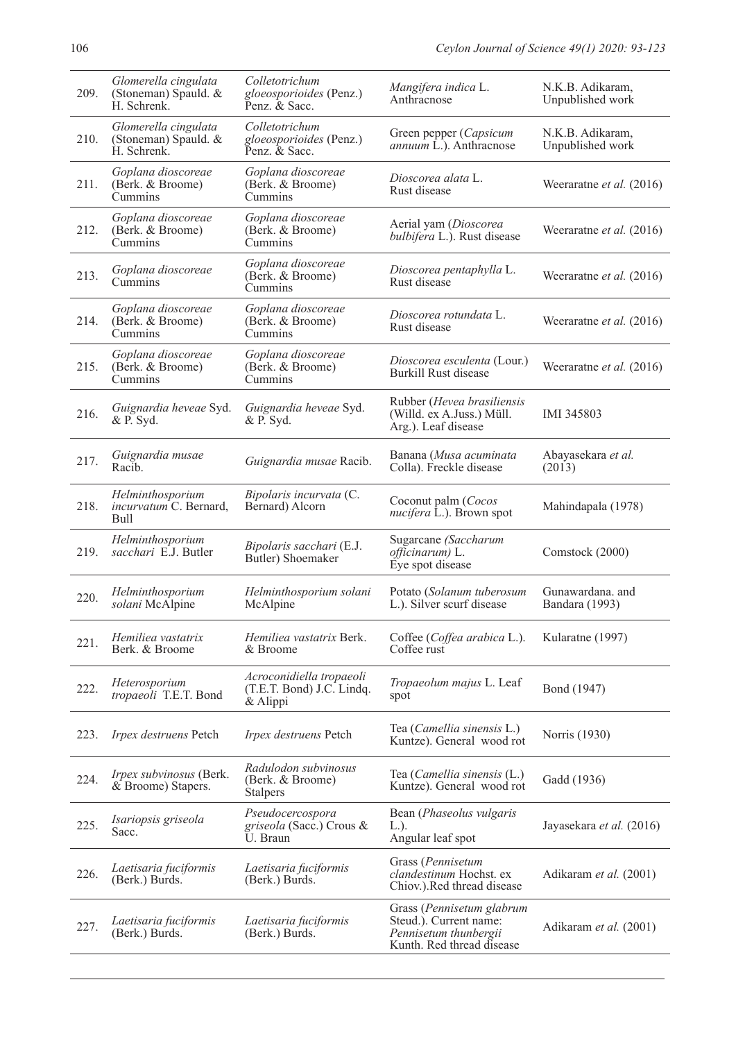| 209. | Glomerella cingulata<br>(Stoneman) Spauld. &<br>H. Schrenk. | Colletotrichum<br>gloeosporioides (Penz.)<br>Penz. & Sacc.          | Mangifera indica L.<br>Anthracnose                                                                        | N.K.B. Adikaram,<br>Unpublished work |
|------|-------------------------------------------------------------|---------------------------------------------------------------------|-----------------------------------------------------------------------------------------------------------|--------------------------------------|
| 210. | Glomerella cingulata<br>(Stoneman) Spauld. &<br>H. Schrenk. | Colletotrichum<br>gloeosporioides (Penz.)<br>Penz. & Sacc.          | Green pepper (Capsicum<br>annuum L.). Anthracnose                                                         | N.K.B. Adikaram,<br>Unpublished work |
| 211. | Goplana dioscoreae<br>(Berk. & Broome)<br>Cummins           | Goplana dioscoreae<br>(Berk. & Broome)<br>Cummins                   | Dioscorea alata L.<br>Rust disease                                                                        | Weeraratne et al. (2016)             |
| 212. | Goplana dioscoreae<br>(Berk. & Broome)<br>Cummins           | Goplana dioscoreae<br>(Berk. & Broome)<br>Cummins                   | Aerial yam (Dioscorea<br>bulbifera L.). Rust disease                                                      | Weeraratne et al. (2016)             |
| 213. | Goplana dioscoreae<br>Cummins                               | Goplana dioscoreae<br>(Berk. & Broome)<br>Cummins                   | Dioscorea pentaphylla L.<br>Rust disease                                                                  | Weeraratne et al. (2016)             |
| 214. | Goplana dioscoreae<br>(Berk. & Broome)<br>Cummins           | Goplana dioscoreae<br>(Berk. & Broome)<br>Cummins                   | Dioscorea rotundata L.<br>Rust disease                                                                    | Weeraratne et al. (2016)             |
| 215. | Goplana dioscoreae<br>(Berk. & Broome)<br>Cummins           | Goplana dioscoreae<br>(Berk. & Broome)<br>Cummins                   | Dioscorea esculenta (Lour.)<br><b>Burkill Rust disease</b>                                                | Weeraratne et al. (2016)             |
| 216. | Guignardia heveae Syd.<br>$&$ P. Syd.                       | Guignardia heveae Syd.<br>$&$ P. Syd.                               | Rubber (Hevea brasiliensis<br>(Willd. ex A.Juss.) Müll.<br>Arg.). Leaf disease                            | IMI 345803                           |
| 217. | Guignardia musae<br>Racib.                                  | Guignardia musae Racib.                                             | Banana (Musa acuminata<br>Colla). Freckle disease                                                         | Abayasekara et al.<br>(2013)         |
| 218. | Helminthosporium<br>incurvatum C. Bernard,<br>Bull          | Bipolaris incurvata (C.<br>Bernard) Alcorn                          | Coconut palm (Cocos<br><i>nucifera</i> L.). Brown spot                                                    | Mahindapala (1978)                   |
| 219. | Helminthosporium<br>sacchari E.J. Butler                    | Bipolaris sacchari (E.J.<br>Butler) Shoemaker                       | Sugarcane (Saccharum<br><i>officinarum</i> ) L.<br>Eye spot disease                                       | Comstock (2000)                      |
| 220. | Helminthosporium<br>solani McAlpine                         | Helminthosporium solani<br>McAlpine                                 | Potato (Solanum tuberosum<br>L.). Silver scurf disease                                                    | Gunawardana, and<br>Bandara (1993)   |
| 221. | Hemiliea vastatrix<br>Berk. & Broome                        | Hemiliea vastatrix Berk.<br>& Broome                                | Coffee (Coffea arabica L.).<br>Coffee rust                                                                | Kularatne (1997)                     |
| 222. | Heterosporium<br>tropaeoli T.E.T. Bond                      | Acroconidiella tropaeoli<br>(T.E.T. Bond) J.C. Lindq.<br>$&$ Alippi | Tropaeolum majus L. Leaf<br>spot                                                                          | Bond (1947)                          |
| 223. | Irpex destruens Petch                                       | Irpex destruens Petch                                               | Tea (Camellia sinensis L.)<br>Kuntze). General wood rot                                                   | Norris (1930)                        |
| 224. | Irpex subvinosus (Berk.<br>& Broome) Stapers.               | Radulodon subvinosus<br>(Berk. & Broome)<br><b>Stalpers</b>         | Tea (Camellia sinensis (L.)<br>Kuntze). General wood rot                                                  | Gadd (1936)                          |
| 225. | Isariopsis griseola<br>Sacc.                                | Pseudocercospora<br>griseola (Sacc.) Crous &<br>U. Braun            | Bean (Phaseolus vulgaris<br>$L.$ ).<br>Angular leaf spot                                                  | Jayasekara et al. (2016)             |
| 226. | Laetisaria fuciformis<br>(Berk.) Burds.                     | Laetisaria fuciformis<br>(Berk.) Burds.                             | Grass (Pennisetum<br>clandestinum Hochst. ex<br>Chiov.). Red thread disease                               | Adikaram et al. (2001)               |
| 227. | Laetisaria fuciformis<br>(Berk.) Burds.                     | Laetisaria fuciformis<br>(Berk.) Burds.                             | Grass (Pennisetum glabrum<br>Steud.). Current name:<br>Pennisetum thunbergii<br>Kunth. Red thread disease | Adikaram et al. (2001)               |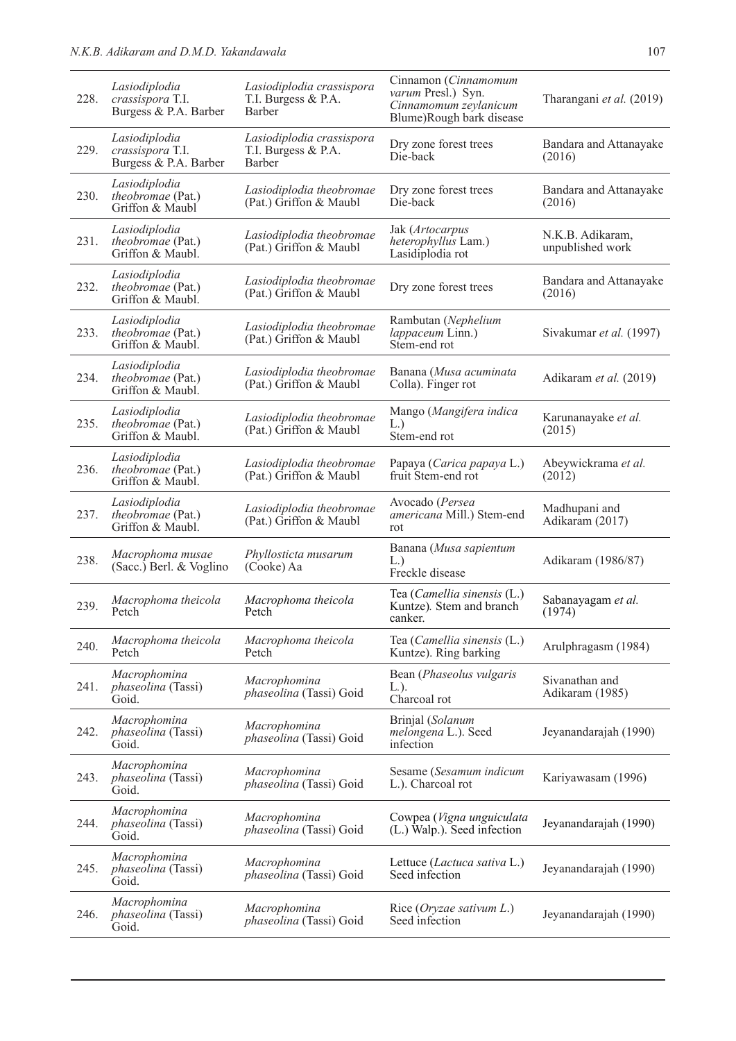| 228. | Lasiodiplodia<br>crassispora T.I.<br>Burgess & P.A. Barber | Lasiodiplodia crassispora<br>T.I. Burgess & P.A.<br>Barber | Cinnamon (Cinnamomum<br>varum Presl.) Syn.<br>Cinnamomum zeylanicum<br>Blume)Rough bark disease | Tharangani et al. (2019)             |
|------|------------------------------------------------------------|------------------------------------------------------------|-------------------------------------------------------------------------------------------------|--------------------------------------|
| 229. | Lasiodiplodia<br>crassispora T.I.<br>Burgess & P.A. Barber | Lasiodiplodia crassispora<br>T.I. Burgess & P.A.<br>Barber | Dry zone forest trees<br>Die-back                                                               | Bandara and Attanayake<br>(2016)     |
| 230. | Lasiodiplodia<br>theobromae (Pat.)<br>Griffon & Maubl      | Lasiodiplodia theobromae<br>(Pat.) Griffon & Maubl         | Dry zone forest trees<br>Die-back                                                               | Bandara and Attanayake<br>(2016)     |
| 231. | Lasiodiplodia<br>theobromae (Pat.)<br>Griffon & Maubl.     | Lasiodiplodia theobromae<br>(Pat.) Griffon & Maubl         | Jak (Artocarpus<br>heterophyllus Lam.)<br>Lasidiplodia rot                                      | N.K.B. Adikaram,<br>unpublished work |
| 232. | Lasiodiplodia<br>theobromae (Pat.)<br>Griffon & Maubl.     | Lasiodiplodia theobromae<br>(Pat.) Griffon & Maubl         | Dry zone forest trees                                                                           | Bandara and Attanayake<br>(2016)     |
| 233. | Lasiodiplodia<br>theobromae (Pat.)<br>Griffon & Maubl.     | Lasiodiplodia theobromae<br>(Pat.) Griffon & Maubl         | Rambutan (Nephelium<br>lappaceum Linn.)<br>Stem-end rot                                         | Sivakumar et al. (1997)              |
| 234. | Lasiodiplodia<br>theobromae (Pat.)<br>Griffon & Maubl.     | Lasiodiplodia theobromae<br>(Pat.) Griffon & Maubl         | Banana (Musa acuminata<br>Colla). Finger rot                                                    | Adikaram et al. (2019)               |
| 235. | Lasiodiplodia<br>theobromae (Pat.)<br>Griffon & Maubl.     | Lasiodiplodia theobromae<br>(Pat.) Griffon & Maubl         | Mango (Mangifera indica<br>L.)<br>Stem-end rot                                                  | Karunanayake et al.<br>(2015)        |
| 236. | Lasiodiplodia<br>theobromae (Pat.)<br>Griffon & Maubl.     | Lasiodiplodia theobromae<br>(Pat.) Griffon & Maubl         | Papaya (Carica papaya L.)<br>fruit Stem-end rot                                                 | Abeywickrama et al.<br>(2012)        |
| 237. | Lasiodiplodia<br>theobromae (Pat.)<br>Griffon & Maubl.     | Lasiodiplodia theobromae<br>(Pat.) Griffon & Maubl         | Avocado (Persea<br>americana Mill.) Stem-end<br>rot                                             | Madhupani and<br>Adikaram (2017)     |
| 238. | Macrophoma musae<br>(Sacc.) Berl. & Voglino                | Phyllosticta musarum<br>(Cooke) Aa                         | Banana (Musa sapientum<br>L.<br>Freckle disease                                                 | Adikaram (1986/87)                   |
| 239. | Macrophoma theicola<br>Petch                               | Macrophoma theicola<br>Petch                               | Tea (Camellia sinensis (L.)<br>Kuntze). Stem and branch<br>canker.                              | Sabanayagam et al.<br>(1974)         |
| 240. | Macrophoma theicola<br>Petch                               | Macrophoma theicola<br>Petch                               | Tea (Camellia sinensis (L.)<br>Kuntze). Ring barking                                            | Arulphragasm (1984)                  |
| 241. | Macrophomina<br><i>phaseolina</i> (Tassi)<br>Goid.         | Macrophomina<br>phaseolina (Tassi) Goid                    | Bean (Phaseolus vulgaris<br>$L.$ ).<br>Charcoal rot                                             | Sivanathan and<br>Adikaram (1985)    |
| 242. | Macrophomina<br><i>phaseolina</i> (Tassi)<br>Goid.         | Macrophomina<br>phaseolina (Tassi) Goid                    | Brinjal (Solanum<br>melongena L.). Seed<br>infection                                            | Jeyanandarajah (1990)                |
| 243. | Macrophomina<br><i>phaseolina</i> (Tassi)<br>Goid.         | Macrophomina<br>phaseolina (Tassi) Goid                    | Sesame (Sesamum indicum<br>L.). Charcoal rot                                                    | Kariyawasam (1996)                   |
| 244. | Macrophomina<br><i>phaseolina</i> (Tassi)<br>Goid.         | Macrophomina<br>phaseolina (Tassi) Goid                    | Cowpea (Vigna unguiculata<br>$(L.)$ Walp.). Seed infection                                      | Jeyanandarajah (1990)                |
| 245. | Macrophomina<br>phaseolina (Tassi)<br>Goid.                | Macrophomina<br>phaseolina (Tassi) Goid                    | Lettuce (Lactuca sativa L.)<br>Seed infection                                                   | Jeyanandarajah (1990)                |
| 246. | Macrophomina<br>phaseolina (Tassi)<br>Goid.                | Macrophomina<br>phaseolina (Tassi) Goid                    | Rice $(Oryzae sativum L.)$<br>Seed infection                                                    | Jeyanandarajah (1990)                |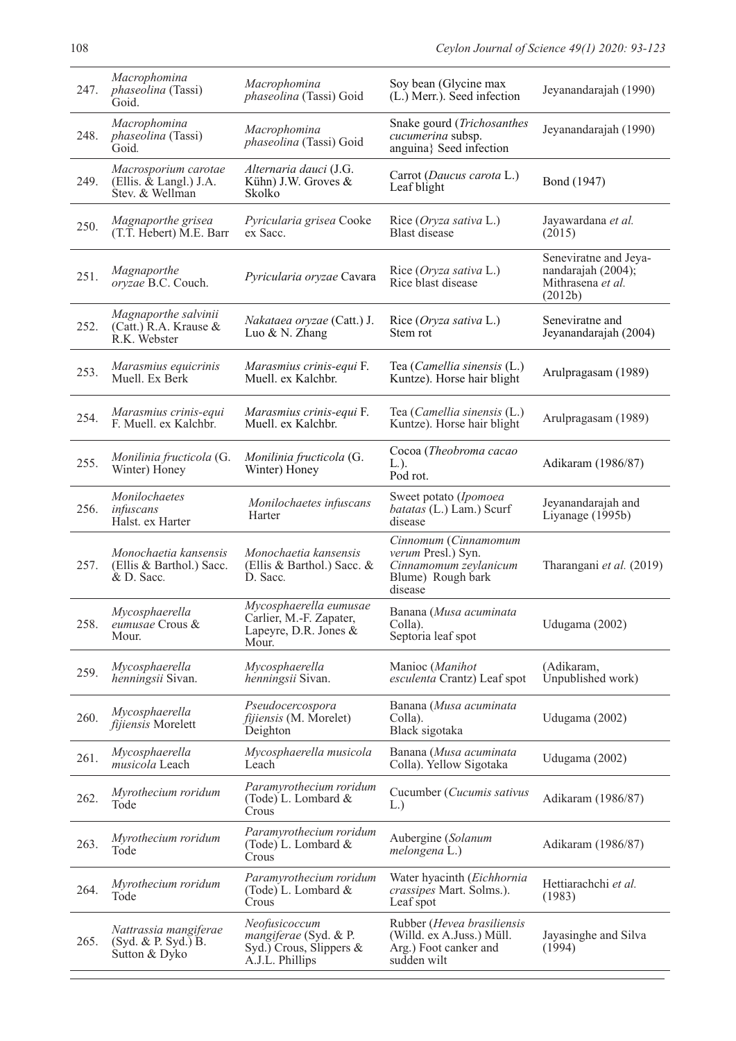| 247. | Macrophomina<br><i>phaseolina</i> (Tassi)<br>Goid.                  | Macrophomina<br>phaseolina (Tassi) Goid                                              | Soy bean (Glycine max<br>(L.) Merr.). Seed infection                                                | Jeyanandarajah (1990)                                                       |
|------|---------------------------------------------------------------------|--------------------------------------------------------------------------------------|-----------------------------------------------------------------------------------------------------|-----------------------------------------------------------------------------|
| 248. | Macrophomina<br>phaseolina (Tassi)<br>Goid.                         | Macrophomina<br>phaseolina (Tassi) Goid                                              | Snake gourd (Trichosanthes<br>cucumerina subsp.<br>anguina} Seed infection                          | Jeyanandarajah (1990)                                                       |
| 249. | Macrosporium carotae<br>(Ellis. $&$ Langl.) J.A.<br>Stev. & Wellman | Alternaria dauci (J.G.<br>Kühn) J.W. Groves &<br>Skolko                              | Carrot (Daucus carota L.)<br>Leaf blight                                                            | Bond (1947)                                                                 |
| 250. | Magnaporthe grisea<br>(T.T. Hebert) M.E. Barr                       | Pyricularia grisea Cooke<br>ex Sacc.                                                 | Rice (Oryza sativa L.)<br><b>Blast</b> disease                                                      | Jayawardana et al.<br>(2015)                                                |
| 251. | Magnaporthe<br>oryzae B.C. Couch.                                   | Pyricularia oryzae Cavara                                                            | Rice (Oryza sativa L.)<br>Rice blast disease                                                        | Seneviratne and Jeya-<br>nandarajah (2004);<br>Mithrasena et al.<br>(2012b) |
| 252. | Magnaporthe salvinii<br>$(Catt.)$ R.A. Krause &<br>R.K. Webster     | Nakataea oryzae (Catt.) J.<br>Luo & N. Zhang                                         | Rice (Oryza sativa L.)<br>Stem rot                                                                  | Seneviratne and<br>Jeyanandarajah (2004)                                    |
| 253. | Marasmius equicrinis<br>Muell. Ex Berk                              | Marasmius crinis-equi F.<br>Muell. ex Kalchbr.                                       | Tea (Camellia sinensis (L.)<br>Kuntze). Horse hair blight                                           | Arulpragasam (1989)                                                         |
| 254. | Marasmius crinis-equi<br>F. Muell. ex Kalchbr.                      | Marasmius crinis-equi F.<br>Muell. ex Kalchbr.                                       | Tea (Camellia sinensis (L.)<br>Kuntze). Horse hair blight                                           | Arulpragasam (1989)                                                         |
| 255. | Monilinia fructicola (G.<br>Winter) Honey                           | Monilinia fructicola (G.<br>Winter) Honey                                            | Cocoa (Theobroma cacao<br>$L.$ ).<br>Pod rot.                                                       | Adikaram (1986/87)                                                          |
| 256. | Monilochaetes<br>infuscans<br>Halst. ex Harter                      | Monilochaetes infuscans<br>Harter                                                    | Sweet potato (Ipomoea<br><i>batatas</i> (L.) Lam.) Scurf<br>disease                                 | Jeyanandarajah and<br>Liyanage (1995b)                                      |
| 257. | Monochaetia kansensis<br>(Ellis & Barthol.) Sacc.<br>& D. Sacc.     | Monochaetia kansensis<br>(Ellis & Barthol.) Sacc. &<br>D. Sacc.                      | Cinnomum (Cinnamomum<br>verum Presl.) Syn.<br>Cinnamomum zeylanicum<br>Blume) Rough bark<br>disease | Tharangani et al. (2019)                                                    |
| 258. | Mycosphaerella<br>eumusae Crous &<br>Mour.                          | Mycosphaerella eumusae<br>Carlier, M.-F. Zapater,<br>Lapeyre, D.R. Jones &<br>Mour.  | Banana (Musa acuminata<br>Colla).<br>Septoria leaf spot                                             | Udugama (2002)                                                              |
| 259. | Mycosphaerella<br>henningsii Sivan.                                 | Mycosphaerella<br>henningsii Sivan.                                                  | Manioc (Manihot<br>esculenta Crantz) Leaf spot                                                      | (Adikaram,<br>Unpublished work)                                             |
| 260. | Mycosphaerella<br>fijiensis Morelett                                | Pseudocercospora<br>fijiensis (M. Morelet)<br>Deighton                               | Banana (Musa acuminata<br>Colla).<br>Black sigotaka                                                 | Udugama (2002)                                                              |
| 261. | Mycosphaerella<br><i>musicola</i> Leach                             | Mycosphaerella musicola<br>Leach                                                     | Banana (Musa acuminata<br>Colla). Yellow Sigotaka                                                   | Udugama (2002)                                                              |
| 262. | Myrothecium roridum<br>Tode                                         | Paramyrothecium roridum<br>(Tode) L. Lombard &<br>Crous                              | Cucumber (Cucumis sativus<br>L.)                                                                    | Adikaram (1986/87)                                                          |
| 263. | Myrothecium roridum<br>Tode                                         | Paramyrothecium roridum<br>(Tode) L. Lombard &<br>Crous                              | Aubergine (Solanum<br>melongena L.)                                                                 | Adikaram (1986/87)                                                          |
| 264. | Myrothecium roridum<br>Tode                                         | Paramyrothecium roridum<br>(Tode) L. Lombard &<br>Crous                              | Water hyacinth (Eichhornia<br>crassipes Mart. Solms.).<br>Leaf spot                                 | Hettiarachchi et al.<br>(1983)                                              |
| 265. | Nattrassia mangiferae<br>(Syd. & P. Syd.) B.<br>Sutton & Dyko       | Neofusicoccum<br>mangiferae (Syd. & P.<br>Syd.) Crous, Slippers &<br>A.J.L. Phillips | Rubber (Hevea brasiliensis<br>(Willd. ex A.Juss.) Müll.<br>Arg.) Foot canker and<br>sudden wilt     | Jayasinghe and Silva<br>(1994)                                              |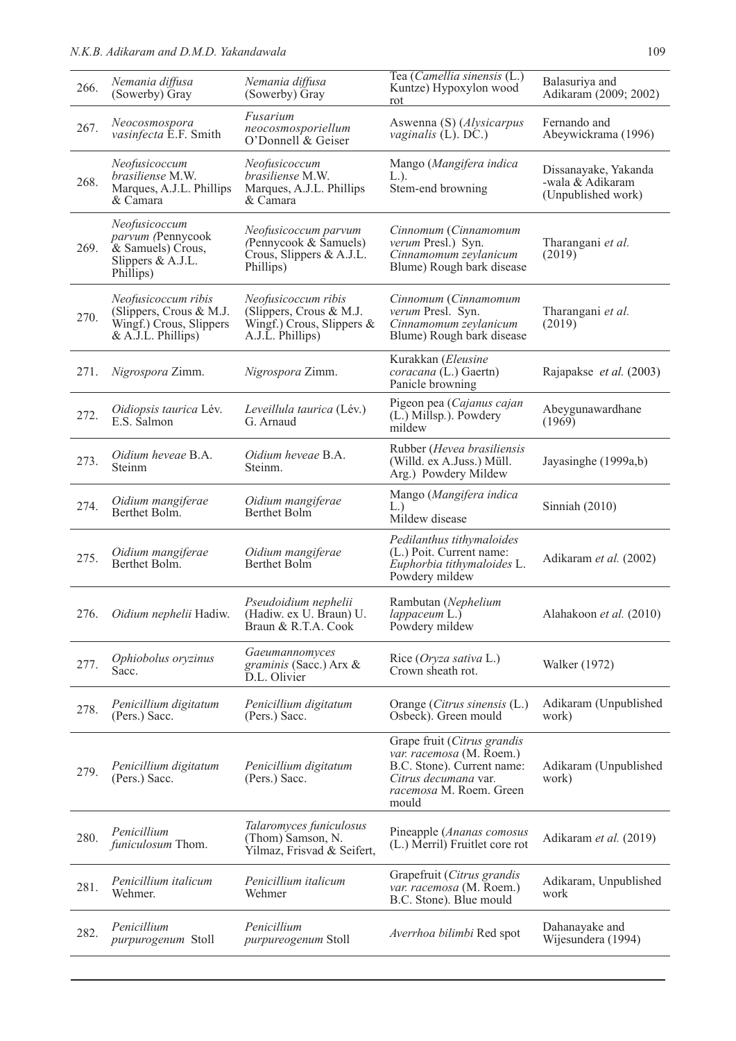| 266. | Nemania diffusa<br>(Sowerby) Gray                                                               | Nemania diffusa<br>(Sowerby) Gray                                                                  | Tea (Camellia sinensis (L.)<br>Kuntze) Hypoxylon wood<br>rot                                                                                      | Balasuriya and<br>Adikaram (2009; 2002)                        |
|------|-------------------------------------------------------------------------------------------------|----------------------------------------------------------------------------------------------------|---------------------------------------------------------------------------------------------------------------------------------------------------|----------------------------------------------------------------|
| 267. | Neocosmospora<br>vasinfecta E.F. Smith                                                          | Fusarium<br>neocosmosporiellum<br>O'Donnell & Geiser                                               | Aswenna (S) (Alysicarpus<br>vaginalis $(L)$ . DC.)                                                                                                | Fernando and<br>Abeywickrama (1996)                            |
| 268. | Neofusicoccum<br>brasiliense M.W.<br>Marques, A.J.L. Phillips<br>& Camara                       | Neofusicoccum<br>brasiliense M.W.<br>Marques, A.J.L. Phillips<br>& Camara                          | Mango (Mangifera indica<br>$L.$ ).<br>Stem-end browning                                                                                           | Dissanayake, Yakanda<br>-wala & Adikaram<br>(Unpublished work) |
| 269. | Neofusicoccum<br>parvum (Pennycook<br>& Samuels) Crous,<br>Slippers & A.J.L.<br>Phillips)       | Neofusicoccum parvum<br>(Pennycook & Samuels)<br>Crous, Slippers & A.J.L.<br>Phillips)             | Cinnomum (Cinnamomum<br>verum Presl.) Syn.<br>Cinnamomum zeylanicum<br>Blume) Rough bark disease                                                  | Tharangani et al.<br>(2019)                                    |
| 270. | Neofusicoccum ribis<br>(Slippers, Crous & M.J.<br>Wingf.) Crous, Slippers<br>& A.J.L. Phillips) | Neofusicoccum ribis<br>(Slippers, Crous & M.J.<br>Wingf.) Crous, Slippers $\&$<br>A.J.L. Phillips) | Cinnomum (Cinnamomum<br>verum Presl. Syn.<br>Cinnamomum zeylanicum<br>Blume) Rough bark disease                                                   | Tharangani et al.<br>(2019)                                    |
| 271. | Nigrospora Zimm.                                                                                | Nigrospora Zimm.                                                                                   | Kurakkan (Eleusine<br>coracana (L.) Gaertn)<br>Panicle browning                                                                                   | Rajapakse et al. (2003)                                        |
| 272. | Oidiopsis taurica Lév.<br>E.S. Salmon                                                           | Leveillula taurica (Lév.)<br>G. Arnaud                                                             | Pigeon pea (Cajanus cajan<br>(L.) Millsp.). Powdery<br>mildew                                                                                     | Abeygunawardhane<br>(1969)                                     |
| 273. | Oidium heveae B.A.<br>Steinm                                                                    | Oidium heveae B.A.<br>Steinm.                                                                      | Rubber (Hevea brasiliensis<br>(Willd. ex A.Juss.) Müll.<br>Arg.) Powdery Mildew                                                                   | Jayasinghe (1999a,b)                                           |
| 274. | Oidium mangiferae<br>Berthet Bolm.                                                              | Oidium mangiferae<br><b>Berthet Bolm</b>                                                           | Mango (Mangifera indica<br>L.<br>Mildew disease                                                                                                   | Sinniah $(2010)$                                               |
| 275. | Oidium mangiferae<br>Berthet Bolm.                                                              | Oidium mangiferae<br>Berthet Bolm                                                                  | Pedilanthus tithymaloides<br>(L.) Poit. Current name:<br>Euphorbia tithymaloides L.<br>Powdery mildew                                             | Adikaram et al. (2002)                                         |
| 276. | Oidium nephelii Hadiw.                                                                          | Pseudoidium nephelii<br>(Hadiw. ex U. Braun) U.<br>Braun & R.T.A. Cook                             | Rambutan (Nephelium<br>$lappaceum$ $L$ .)<br>Powdery mildew                                                                                       | Alahakoon et al. (2010)                                        |
| 277. | Ophiobolus oryzinus<br>Sacc.                                                                    | Gaeumannomyces<br>graminis (Sacc.) Arx &<br>D.L. Olivier                                           | Rice (Oryza sativa L.)<br>Crown sheath rot.                                                                                                       | Walker (1972)                                                  |
| 278. | Penicillium digitatum<br>(Pers.) Sacc.                                                          | Penicillium digitatum<br>(Pers.) Sacc.                                                             | Orange (Citrus sinensis (L.)<br>Osbeck). Green mould                                                                                              | Adikaram (Unpublished<br>work)                                 |
| 279. | Penicillium digitatum<br>(Pers.) Sacc.                                                          | Penicillium digitatum<br>(Pers.) Sacc.                                                             | Grape fruit (Citrus grandis<br>var. racemosa (M. Roem.)<br>B.C. Stone). Current name:<br>Citrus decumana var.<br>racemosa M. Roem. Green<br>mould | Adikaram (Unpublished<br>work)                                 |
| 280. | Penicillium<br>funiculosum Thom.                                                                | Talaromyces funiculosus<br>(Thom) Samson, N.<br>Yilmaz, Frisvad & Seifert,                         | Pineapple (Ananas comosus<br>(L.) Merril) Fruitlet core rot                                                                                       | Adikaram et al. (2019)                                         |
| 281. | Penicillium italicum<br>Wehmer.                                                                 | Penicillium italicum<br>Wehmer                                                                     | Grapefruit (Citrus grandis<br>var. racemosa (M. Roem.)<br>B.C. Stone). Blue mould                                                                 | Adikaram, Unpublished<br>work                                  |
| 282. | Penicillium<br>purpurogenum Stoll                                                               | Penicillium<br>purpureogenum Stoll                                                                 | Averrhoa bilimbi Red spot                                                                                                                         | Dahanayake and<br>Wijesundera (1994)                           |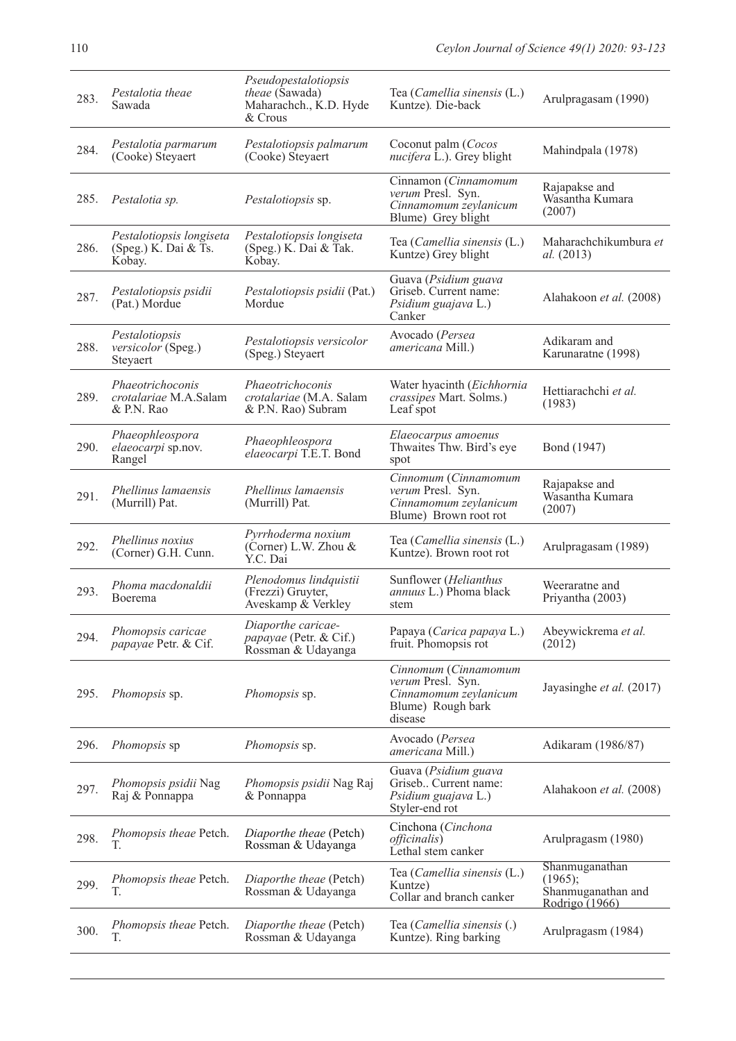| 283. | Pestalotia theae<br>Sawada                                 | Pseudopestalotiopsis<br><i>theae</i> (Sawada)<br>Maharachch., K.D. Hyde<br>& Crous | Tea (Camellia sinensis (L.)<br>Kuntze). Die-back                                                   | Arulpragasam (1990)                                               |
|------|------------------------------------------------------------|------------------------------------------------------------------------------------|----------------------------------------------------------------------------------------------------|-------------------------------------------------------------------|
| 284. | Pestalotia parmarum<br>(Cooke) Steyaert                    | Pestalotiopsis palmarum<br>(Cooke) Steyaert                                        | Coconut palm (Cocos<br><i>nucifera</i> L.). Grey blight                                            | Mahindpala (1978)                                                 |
| 285. | Pestalotia sp.                                             | Pestalotiopsis sp.                                                                 | Cinnamon (Cinnamomum<br>verum Presl. Syn.<br>Cinnamomum zeylanicum<br>Blume) Grey blight           | Rajapakse and<br>Wasantha Kumara<br>(2007)                        |
| 286. | Pestalotiopsis longiseta<br>(Speg.) K. Dai & Ts.<br>Kobay. | Pestalotiopsis longiseta<br>(Speg.) K. Dai & Tak.<br>Kobay.                        | Tea (Camellia sinensis (L.)<br>Kuntze) Grey blight                                                 | Maharachchikumbura et<br>al. (2013)                               |
| 287. | Pestalotiopsis psidii<br>(Pat.) Mordue                     | Pestalotiopsis psidii (Pat.)<br>Mordue                                             | Guava (Psidium guava<br>Griseb. Current name:<br>Psidium guajava L.)<br>Canker                     | Alahakoon et al. (2008)                                           |
| 288. | Pestalotiopsis<br>versicolor (Speg.)<br>Steyaert           | Pestalotiopsis versicolor<br>(Speg.) Steyaert                                      | Avocado (Persea<br>americana Mill.)                                                                | Adikaram and<br>Karunaratne (1998)                                |
| 289. | Phaeotrichoconis<br>crotalariae M.A.Salam<br>& P.N. Rao    | Phaeotrichoconis<br>crotalariae (M.A. Salam<br>& P.N. Rao) Subram                  | Water hyacinth (Eichhornia<br>crassipes Mart. Solms.)<br>Leaf spot                                 | Hettiarachchi et al.<br>(1983)                                    |
| 290. | Phaeophleospora<br>elaeocarpi sp.nov.<br>Rangel            | Phaeophleospora<br>elaeocarpi T.E.T. Bond                                          | Elaeocarpus amoenus<br>Thwaites Thw. Bird's eye<br>spot                                            | Bond (1947)                                                       |
| 291. | Phellinus lamaensis<br>(Murrill) Pat.                      | Phellinus lamaensis<br>(Murrill) Pat.                                              | Cinnomum (Cinnamomum<br>verum Presl. Syn.<br>Cinnamomum zeylanicum<br>Blume) Brown root rot        | Rajapakse and<br>Wasantha Kumara<br>(2007)                        |
| 292. | Phellinus noxius<br>(Corner) G.H. Cunn.                    | Pyrrhoderma noxium<br>(Corner) L.W. Zhou &<br>Y.C. Dai                             | Tea (Camellia sinensis (L.)<br>Kuntze). Brown root rot                                             | Arulpragasam (1989)                                               |
| 293. | Phoma macdonaldii<br>Boerema                               | Plenodomus lindquistii<br>(Frezzi) Gruyter,<br>Aveskamp & Verkley                  | Sunflower (Helianthus<br>annuus L.) Phoma black<br>stem                                            | Weeraratne and<br>Priyantha (2003)                                |
| 294. | Phomopsis caricae<br>papayae Petr. & Cif.                  | Diaporthe caricae-<br>papayae (Petr. & Cif.)<br>Rossman & Udayanga                 | Papaya (Carica papaya L.)<br>fruit. Phomopsis rot                                                  | Abeywickrema et al.<br>(2012)                                     |
| 295. | Phomopsis sp.                                              | Phomopsis sp.                                                                      | Cinnomum (Cinnamomum<br>verum Presl. Syn.<br>Cinnamomum zeylanicum<br>Blume) Rough bark<br>disease | Jayasinghe et al. (2017)                                          |
| 296. | Phomopsis sp                                               | Phomopsis sp.                                                                      | Avocado (Persea<br>americana Mill.)                                                                | Adikaram (1986/87)                                                |
| 297. | Phomopsis psidii Nag<br>Raj & Ponnappa                     | Phomopsis psidii Nag Raj<br>& Ponnappa                                             | Guava (Psidium guava<br>Griseb Current name:<br>Psidium guajava L.)<br>Styler-end rot              | Alahakoon et al. (2008)                                           |
| 298. | Phomopsis theae Petch.                                     | Diaporthe theae (Petch)<br>Rossman & Udayanga                                      | Cinchona (Cinchona<br><i>officinalis</i> )<br>Lethal stem canker                                   | Arulpragasm (1980)                                                |
| 299. | Phomopsis theae Petch.<br>T.                               | Diaporthe theae (Petch)<br>Rossman & Udayanga                                      | Tea (Camellia sinensis (L.)<br>Kuntze)<br>Collar and branch canker                                 | Shanmuganathan<br>(1965);<br>Shanmuganathan and<br>Rodrigo (1966) |
| 300. | Phomopsis theae Petch.<br>Τ.                               | Diaporthe theae (Petch)<br>Rossman & Udayanga                                      | Tea (Camellia sinensis (.)<br>Kuntze). Ring barking                                                | Arulpragasm (1984)                                                |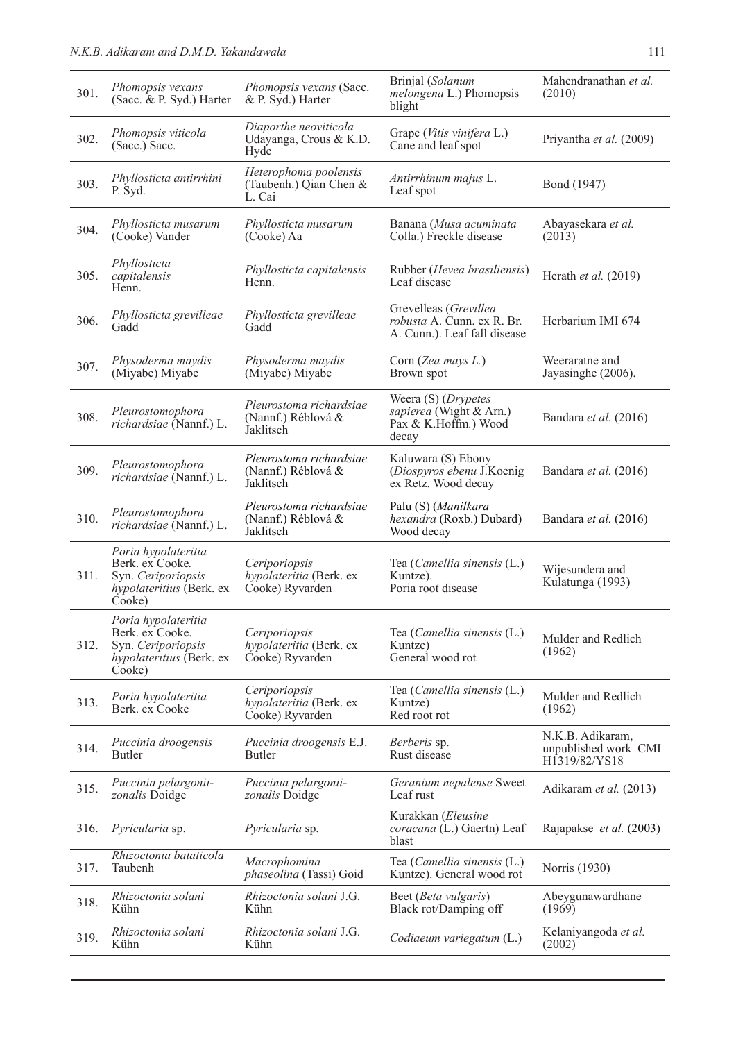| 301. | Phomopsis vexans<br>(Sacc. & P. Syd.) Harter                                                       | Phomopsis vexans (Sacc.<br>& P. Syd.) Harter                | Brinjal (Solanum<br>melongena L.) Phomopsis<br>blight                               | Mahendranathan et al.<br>(2010)                                        |
|------|----------------------------------------------------------------------------------------------------|-------------------------------------------------------------|-------------------------------------------------------------------------------------|------------------------------------------------------------------------|
| 302. | Phomopsis viticola<br>(Sacc.) Sacc.                                                                | Diaporthe neoviticola<br>Udayanga, Crous & K.D.<br>Hyde     | Grape (Vitis vinifera L.)<br>Cane and leaf spot                                     | Priyantha et al. (2009)                                                |
| 303. | Phyllosticta antirrhini<br>P. Syd.                                                                 | Heterophoma poolensis<br>(Taubenh.) Qian Chen &<br>L. Cai   | Antirrhinum majus L.<br>Leaf spot                                                   | Bond (1947)                                                            |
| 304. | Phyllosticta musarum<br>(Cooke) Vander                                                             | Phyllosticta musarum<br>(Cooke) Aa                          | Banana (Musa acuminata<br>Colla.) Freckle disease                                   | Abayasekara et al.<br>(2013)                                           |
| 305. | Phyllosticta<br>capitalensis<br>Henn.                                                              | Phyllosticta capitalensis<br>Henn.                          | Rubber (Hevea brasiliensis)<br>Leaf disease                                         | Herath et al. (2019)                                                   |
| 306. | Phyllosticta grevilleae<br>Gadd                                                                    | Phyllosticta grevilleae<br>Gadd                             | Grevelleas (Grevillea<br>robusta A. Cunn. ex R. Br.<br>A. Cunn.). Leaf fall disease | Herbarium IMI 674                                                      |
| 307. | Physoderma maydis<br>(Miyabe) Miyabe                                                               | Physoderma maydis<br>(Miyabe) Miyabe                        | Corn (Zea mays L.)<br>Brown spot                                                    | Weeraratne and<br>Jayasinghe (2006).                                   |
| 308. | Pleurostomophora<br>richardsiae (Nannf.) L.                                                        | Pleurostoma richardsiae<br>(Nannf.) Réblová &<br>Jaklitsch  | Weera (S) (Drypetes<br>sapierea (Wight & Arn.)<br>Pax & K.Hoffm.) Wood<br>decay     | Bandara et al. (2016)                                                  |
| 309. | Pleurostomophora<br>richardsiae (Nannf.) L.                                                        | Pleurostoma richardsiae<br>(Nannf.) Réblová &<br>Jaklitsch  | Kaluwara (S) Ebony<br>(Diospyros ebenu J.Koenig<br>ex Retz. Wood decay              | Bandara et al. (2016)                                                  |
| 310. | Pleurostomophora<br>richardsiae (Nannf.) L.                                                        | Pleurostoma richardsiae<br>(Nannf.) Réblová &<br>Jaklitsch  | Palu (S) (Manilkara<br>hexandra (Roxb.) Dubard)<br>Wood decay                       | Bandara et al. (2016)                                                  |
| 311. | Poria hypolateritia<br>Berk. ex Cooke.<br>Syn. Ceriporiopsis<br>hypolateritius (Berk. ex<br>Cooke) | Ceriporiopsis<br>hypolateritia (Berk. ex<br>Cooke) Ryvarden | Tea (Camellia sinensis (L.)<br>Kuntze).<br>Poria root disease                       | Wijesundera and<br>Kulatunga (1993)                                    |
| 312. | Poria hypolateritia<br>Berk. ex Cooke.<br>Syn. Ceriporiopsis<br>hypolateritius (Berk. ex<br>Cooke) | Ceriporiopsis<br>hypolateritia (Berk. ex<br>Cooke) Ryvarden | Tea (Camellia sinensis (L.)<br>Kuntze)<br>General wood rot                          | Mulder and Redlich<br>(1962)                                           |
| 313. | Poria hypolateritia<br>Berk. ex Cooke                                                              | Ceriporiopsis<br>hypolateritia (Berk. ex<br>Cooke) Ryvarden | Tea (Camellia sinensis (L.)<br>Kuntze)<br>Red root rot                              | Mulder and Redlich<br>(1962)                                           |
| 314. | Puccinia droogensis<br><b>Butler</b>                                                               | Puccinia droogensis E.J.<br><b>Butler</b>                   | <i>Berberis</i> sp.<br>Rust disease                                                 | N.K.B. Adikaram,<br>unpublished work CMI<br>H <sub>1</sub> 319/82/YS18 |
| 315. | Puccinia pelargonii-<br>zonalis Doidge                                                             | Puccinia pelargonii-<br>zonalis Doidge                      | Geranium nepalense Sweet<br>Leaf rust                                               | Adikaram et al. (2013)                                                 |
| 316. | <i>Pyricularia</i> sp.                                                                             | Pyricularia sp.                                             | Kurakkan (Eleusine<br>coracana (L.) Gaertn) Leaf<br>blast                           | Rajapakse et al. (2003)                                                |
| 317. | Rhizoctonia bataticola<br>Taubenh                                                                  | Macrophomina<br>phaseolina (Tassi) Goid                     | Tea (Camellia sinensis (L.)<br>Kuntze). General wood rot                            | Norris (1930)                                                          |
| 318. | Rhizoctonia solani<br>Kühn                                                                         | Rhizoctonia solani J.G.<br>Kühn                             | Beet (Beta vulgaris)<br>Black rot/Damping off                                       | Abeygunawardhane<br>(1969)                                             |
| 319. | Rhizoctonia solani<br>Kühn                                                                         | Rhizoctonia solani J.G.<br>Kühn                             | Codiaeum variegatum (L.)                                                            | Kelaniyangoda et al.<br>(2002)                                         |
|      |                                                                                                    |                                                             |                                                                                     |                                                                        |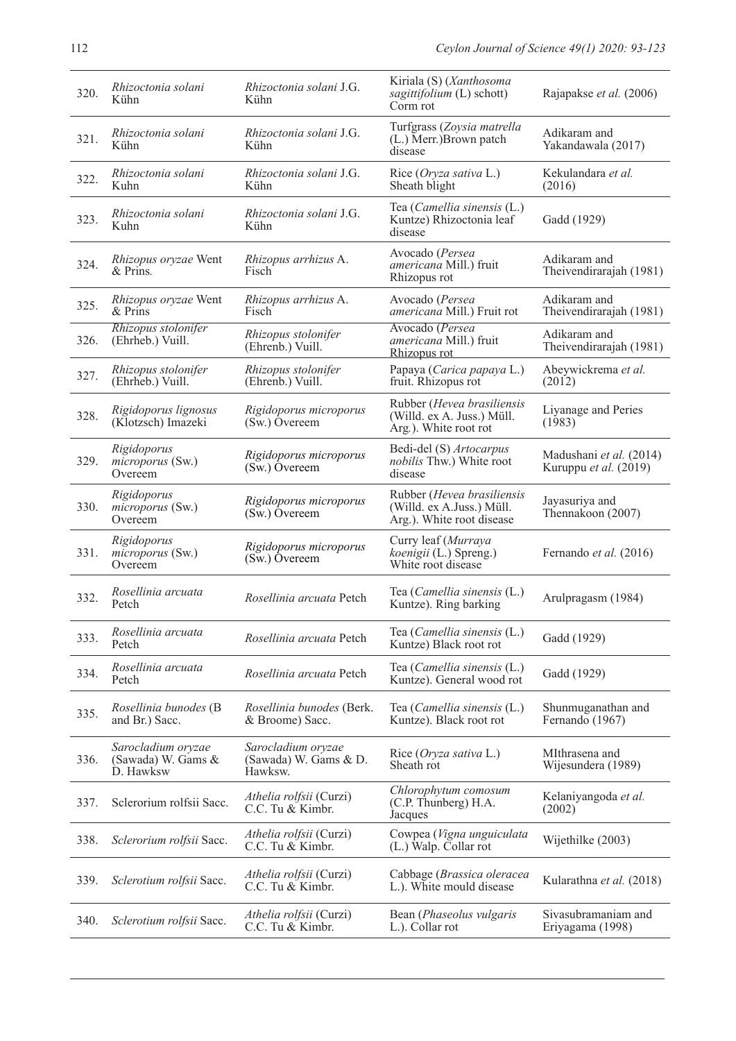| 320. | Rhizoctonia solani<br>Kühn                            | Rhizoctonia solani J.G.<br>Kühn                        | Kiriala (S) (Xanthosoma<br>sagittifolium (L) schott)<br>Corm rot                     | Rajapakse et al. (2006)                          |
|------|-------------------------------------------------------|--------------------------------------------------------|--------------------------------------------------------------------------------------|--------------------------------------------------|
| 321. | Rhizoctonia solani<br>Kühn                            | Rhizoctonia solani J.G.<br>Kühn                        | Turfgrass (Zoysia matrella<br>(L.) Merr.) Brown patch<br>disease                     | Adikaram and<br>Yakandawala (2017)               |
| 322. | Rhizoctonia solani<br>Kuhn                            | Rhizoctonia solani J.G.<br>Kühn                        | Rice (Oryza sativa L.)<br>Sheath blight                                              | Kekulandara et al.<br>(2016)                     |
| 323. | Rhizoctonia solani<br>Kuhn                            | Rhizoctonia solani J.G.<br>Kühn                        | Tea (Camellia sinensis (L.)<br>Kuntze) Rhizoctonia leaf<br>disease                   | Gadd (1929)                                      |
| 324. | Rhizopus oryzae Went<br>& Prins.                      | Rhizopus arrhizus A.<br>Fisch                          | Avocado (Persea<br>americana Mill.) fruit<br>Rhizopus rot                            | Adikaram and<br>Theivendirarajah (1981)          |
| 325. | Rhizopus oryzae Went<br>$&$ Prins                     | Rhizopus arrhizus A.<br>Fisch                          | Avocado (Persea<br>americana Mill.) Fruit rot                                        | Adikaram and<br>Theivendirarajah (1981)          |
| 326. | Rhizopus stolonifer<br>(Ehrheb.) Vuill.               | Rhizopus stolonifer<br>(Ehrenb.) Vuill.                | Avocado (Persea<br>americana Mill.) fruit<br>Rhizopus rot                            | Adikaram and<br>Theivendirarajah (1981)          |
| 327. | Rhizopus stolonifer<br>(Ehrheb.) Vuill.               | Rhizopus stolonifer<br>(Ehrenb.) Vuill.                | Papaya (Carica papaya L.)<br>fruit. Rhizopus rot                                     | Abeywickrema et al.<br>(2012)                    |
| 328. | Rigidoporus lignosus<br>(Klotzsch) Imazeki            | Rigidoporus microporus<br>$(Sw.)$ Overeem              | Rubber (Hevea brasiliensis<br>(Willd. ex A. Juss.) Müll.<br>Arg.). White root rot    | Liyanage and Peries<br>(1983)                    |
| 329. | Rigidoporus<br>microporus (Sw.)<br>Overeem            | Rigidoporus microporus<br>(Sw.) Overeem                | Bedi-del (S) Artocarpus<br>nobilis Thw.) White root<br>disease                       | Madushani et al. (2014)<br>Kuruppu et al. (2019) |
| 330. | Rigidoporus<br>microporus (Sw.)<br>Overeem            | Rigidoporus microporus<br>(Sw.) Overeem                | Rubber (Hevea brasiliensis<br>(Willd. ex A.Juss.) Müll.<br>Arg.). White root disease | Jayasuriya and<br>Thennakoon (2007)              |
| 331. | Rigidoporus<br>microporus (Sw.)<br>Overeem            | Rigidoporus microporus<br>$(Sw.)$ Overeem              | Curry leaf (Murraya<br>koenigii (L.) Spreng.)<br>White root disease                  | Fernando et al. (2016)                           |
| 332. | Rosellinia arcuata<br>Petch                           | Rosellinia arcuata Petch                               | Tea ( <i>Camellia sinensis</i> $(L)$ )<br>Kuntze). Ring barking                      | Arulpragasm (1984)                               |
| 333. | Rosellinia arcuata<br>Petch                           | Rosellinia arcuata Petch                               | Tea (Camellia sinensis (L.)<br>Kuntze) Black root rot                                | Gadd (1929)                                      |
| 334. | Rosellinia arcuata<br>Petch                           | Rosellinia arcuata Petch                               | Tea ( <i>Camellia sinensis</i> $(L)$ )<br>Kuntze). General wood rot                  | Gadd (1929)                                      |
| 335. | Rosellinia bunodes (B<br>and Br.) Sacc.               | Rosellinia bunodes (Berk.<br>& Broome) Sacc.           | Tea (Camellia sinensis (L.)<br>Kuntze). Black root rot                               | Shunmuganathan and<br>Fernando (1967)            |
| 336. | Sarocladium oryzae<br>(Sawada) W. Gams &<br>D. Hawksw | Sarocladium oryzae<br>(Sawada) W. Gams & D.<br>Hawksw. | Rice (Oryza sativa L.)<br>Sheath rot                                                 | MIthrasena and<br>Wijesundera (1989)             |
| 337. | Sclerorium rolfsii Sacc.                              | Athelia rolfsii (Curzi)<br>C.C. Tu & Kimbr.            | Chlorophytum comosum<br>(C.P. Thunberg) H.A.<br>Jacques                              | Kelaniyangoda et al.<br>(2002)                   |
| 338. | Sclerorium rolfsii Sacc.                              | Athelia rolfsii (Curzi)<br>C.C. Tu & Kimbr.            | Cowpea (Vigna unguiculata<br>(L.) Walp. Collar rot                                   | Wijethilke (2003)                                |
| 339. | Sclerotium rolfsii Sacc.                              | Athelia rolfsii (Curzi)<br>C.C. Tu & Kimbr.            | Cabbage (Brassica oleracea<br>L.). White mould disease                               | Kularathna et al. (2018)                         |
| 340. | Sclerotium rolfsii Sacc.                              | Athelia rolfsii (Curzi)<br>C.C. Tu & Kimbr.            | Bean (Phaseolus vulgaris<br>L.). Collar rot                                          | Sivasubramaniam and<br>Eriyagama (1998)          |
|      |                                                       |                                                        |                                                                                      |                                                  |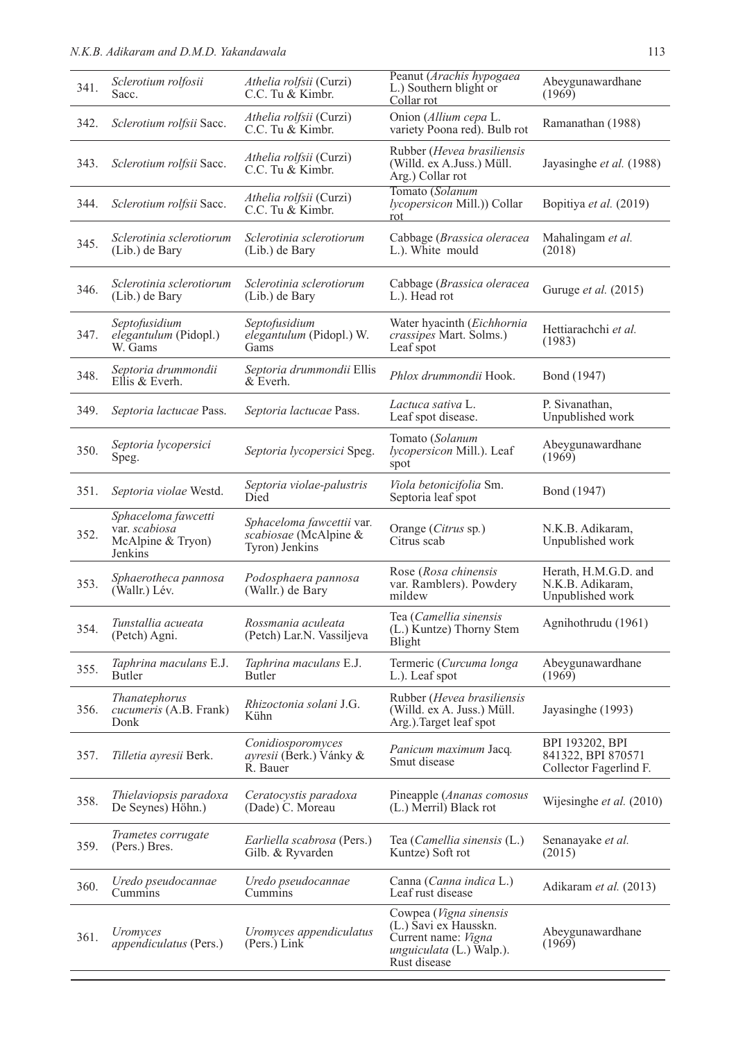| 341. | Sclerotium rolfosii<br>Sacc.                                         | Athelia rolfsii (Curzi)<br>C.C. Tu & Kimbr.                          | Peanut (Arachis hypogaea<br>L.) Southern blight or<br>Collar rot                                                   | Abeygunawardhane<br>(1969)                                      |
|------|----------------------------------------------------------------------|----------------------------------------------------------------------|--------------------------------------------------------------------------------------------------------------------|-----------------------------------------------------------------|
| 342. | Sclerotium rolfsii Sacc.                                             | Athelia rolfsii (Curzi)<br>C.C. Tu & Kimbr.                          | Onion (Allium cepa L.<br>variety Poona red). Bulb rot                                                              | Ramanathan (1988)                                               |
| 343. | Sclerotium rolfsii Sacc.                                             | Athelia rolfsii (Curzi)<br>C.C. Tu & Kimbr.                          | Rubber (Hevea brasiliensis<br>(Willd. ex A.Juss.) Müll.<br>Arg.) Collar rot                                        | Jayasinghe et al. (1988)                                        |
| 344. | Sclerotium rolfsii Sacc.                                             | Athelia rolfsii (Curzi)<br>C.C. Tu & Kimbr.                          | Tomato (Solanum<br>lycopersicon Mill.)) Collar<br>rot                                                              | Bopitiya et al. (2019)                                          |
| 345. | Sclerotinia sclerotiorum<br>(Lib.) de Bary                           | Sclerotinia sclerotiorum<br>(Lib.) de Bary                           | Cabbage (Brassica oleracea<br>L.). White mould                                                                     | Mahalingam et al.<br>(2018)                                     |
| 346. | Sclerotinia sclerotiorum<br>(Lib.) de Bary                           | Sclerotinia sclerotiorum<br>(Lib.) de Bary                           | Cabbage (Brassica oleracea<br>L.). Head rot                                                                        | Guruge et al. (2015)                                            |
| 347. | Septofusidium<br>elegantulum (Pidopl.)<br>W. Gams                    | Septofusidium<br>elegantulum (Pidopl.) W.<br>Gams                    | Water hyacinth (Eichhornia<br>crassipes Mart. Solms.)<br>Leaf spot                                                 | Hettiarachchi et al.<br>(1983)                                  |
| 348. | Septoria drummondii<br>Ellis & Everh.                                | Septoria drummondii Ellis<br>& Everh.                                | Phlox drummondii Hook.                                                                                             | Bond (1947)                                                     |
| 349. | Septoria lactucae Pass.                                              | Septoria lactucae Pass.                                              | Lactuca sativa L.<br>Leaf spot disease.                                                                            | P. Sivanathan,<br>Unpublished work                              |
| 350. | Septoria lycopersici<br>Speg.                                        | Septoria lycopersici Speg.                                           | Tomato (Solanum<br>lycopersicon Mill.). Leaf<br>spot                                                               | Abeygunawardhane<br>(1969)                                      |
| 351. | Septoria violae Westd.                                               | Septoria violae-palustris<br>Died                                    | Viola betonicifolia Sm.<br>Septoria leaf spot                                                                      | Bond (1947)                                                     |
| 352. | Sphaceloma fawcetti<br>var. scabiosa<br>McAlpine & Tryon)<br>Jenkins | Sphaceloma fawcettii var.<br>scabiosae (McAlpine &<br>Tyron) Jenkins | Orange (Citrus sp.)<br>Citrus scab                                                                                 | N.K.B. Adikaram,<br>Unpublished work                            |
| 353. | Sphaerotheca pannosa<br>(Wallr.) Lév.                                | Podosphaera pannosa<br>(Wallr.) de Bary                              | Rose (Rosa chinensis<br>var. Ramblers). Powdery<br>mildew                                                          | Herath, H.M.G.D. and<br>N.K.B. Adikaram,<br>Unpublished work    |
| 354. | Tunstallia acueata<br>(Petch) Agni.                                  | Rossmania aculeata<br>(Petch) Lar.N. Vassiljeva                      | Tea (Camellia sinensis<br>(L.) Kuntze) Thorny Stem<br>Blight                                                       | Agnihothrudu (1961)                                             |
| 355. | Taphrina maculans E.J.<br><b>Butler</b>                              | Taphrina maculans E.J.<br><b>Butler</b>                              | Termeric (Curcuma longa<br>L.). Leaf spot                                                                          | Abeygunawardhane<br>(1969)                                      |
| 356. | Thanatephorus<br>cucumeris (A.B. Frank)<br>Donk                      | Rhizoctonia solani J.G.<br>Kühn                                      | Rubber (Hevea brasiliensis<br>(Willd. ex A. Juss.) Müll.<br>Arg.).Target leaf spot                                 | Jayasinghe (1993)                                               |
| 357. | Tilletia ayresii Berk.                                               | Conidiosporomyces<br>ayresii (Berk.) Vánky &<br>R. Bauer             | Panicum maximum Jacq.<br>Smut disease                                                                              | BPI 193202, BPI<br>841322, BPI 870571<br>Collector Fagerlind F. |
| 358. | Thielaviopsis paradoxa<br>De Seynes) Höhn.)                          | Ceratocystis paradoxa<br>(Dade) C. Moreau                            | Pineapple (Ananas comosus<br>(L.) Merril) Black rot                                                                | Wijesinghe et al. (2010)                                        |
| 359. | Trametes corrugate<br>(Pers.) Bres.                                  | Earliella scabrosa (Pers.)<br>Gilb. & Ryvarden                       | Tea (Camellia sinensis (L.)<br>Kuntze) Soft rot                                                                    | Senanayake et al.<br>(2015)                                     |
| 360. | Uredo pseudocannae<br>Cummins                                        | Uredo pseudocannae<br>Cummins                                        | Canna (Canna indica L.)<br>Leaf rust disease                                                                       | Adikaram et al. (2013)                                          |
| 361. | <i>Uromyces</i><br>appendiculatus (Pers.)                            | Uromyces appendiculatus<br>(Pers.) Link                              | Cowpea (Vigna sinensis<br>(L.) Savi ex Hausskn.<br>Current name: Vigna<br>unguiculata (L.) Walp.).<br>Rust disease | Abeygunawardhane<br>(1969)                                      |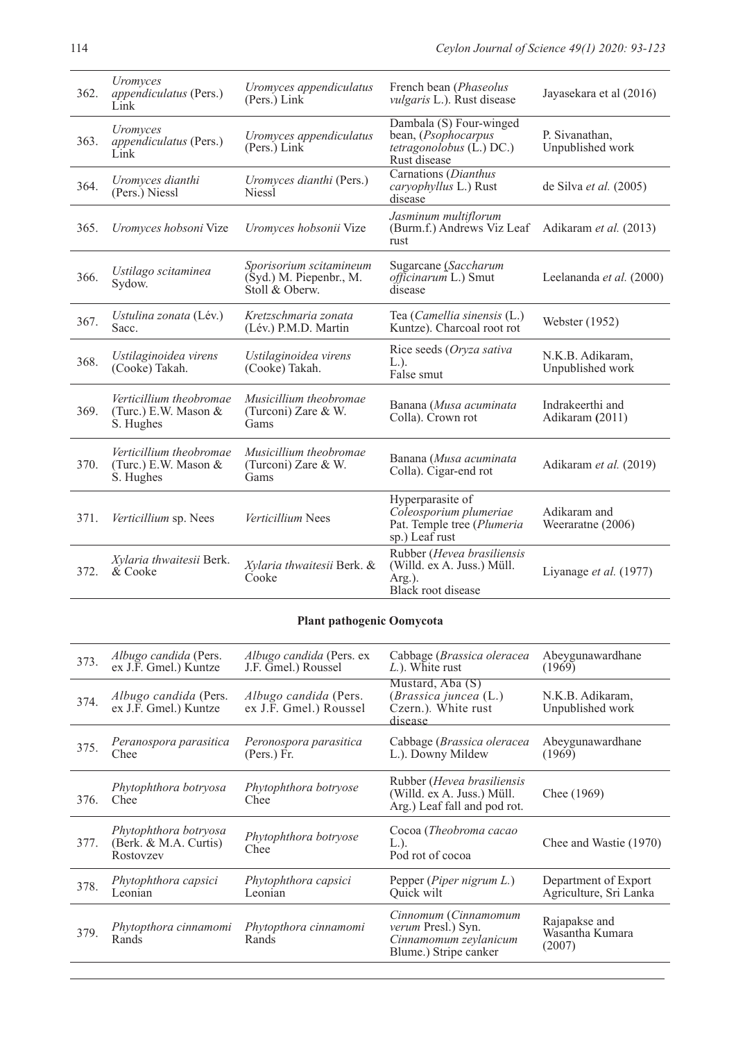| 362. | Uromyces<br>appendiculatus (Pers.)<br>Link                   | Uromyces appendiculatus<br>(Pers.) Link                              | French bean (Phaseolus<br>vulgaris L.). Rust disease                                                   | Jayasekara et al (2016)              |
|------|--------------------------------------------------------------|----------------------------------------------------------------------|--------------------------------------------------------------------------------------------------------|--------------------------------------|
| 363. | <i>Uromvces</i><br>appendiculatus (Pers.)<br>Link            | Uromyces appendiculatus<br>(Pers.) Link                              | Dambala (S) Four-winged<br>bean, (Psophocarpus<br>$tetragonolobus$ ( $\bar{L}$ .) DC.)<br>Rust disease | P. Sivanathan,<br>Unpublished work   |
| 364. | Uromyces dianthi<br>(Pers.) Niessl                           | Uromyces dianthi (Pers.)<br><b>Niessl</b>                            | Carnations (Dianthus<br>caryophyllus L.) Rust<br>disease                                               | de Silva <i>et al.</i> $(2005)$      |
| 365. | Uromyces hobsoni Vize                                        | Uromyces hobsonii Vize                                               | Jasminum multiflorum<br>(Burm.f.) Andrews Viz Leaf<br>rust                                             | Adikaram et al. (2013)               |
| 366. | Ustilago scitaminea<br>Sydow.                                | Sporisorium scitamineum<br>(Syd.) M. Piepenbr., M.<br>Stoll & Oberw. | Sugarcane (Saccharum<br>officinarum L.) Smut<br>disease                                                | Leelananda et al. (2000)             |
| 367. | Ustulina zonata (Lév.)<br>Sacc.                              | Kretzschmaria zonata<br>(Lév.) P.M.D. Martin                         | Tea (Camellia sinensis (L.)<br>Kuntze). Charcoal root rot                                              | Webster (1952)                       |
| 368. | Ustilaginoidea virens<br>(Cooke) Takah.                      | Ustilaginoidea virens<br>(Cooke) Takah.                              | Rice seeds (Oryza sativa<br>$L.$ ).<br>False smut                                                      | N.K.B. Adikaram,<br>Unpublished work |
| 369. | Verticillium theobromae<br>(Turc.) E.W. Mason &<br>S. Hughes | Musicillium theobromae<br>(Turconi) Zare & W.<br>Gams                | Banana (Musa acuminata<br>Colla). Crown rot                                                            | Indrakeerthi and<br>Adikaram (2011)  |
| 370. | Verticillium theobromae<br>(Turc.) E.W. Mason &<br>S. Hughes | Musicillium theobromae<br>(Turconi) Zare & W.<br>Gams                | Banana (Musa acuminata<br>Colla). Cigar-end rot                                                        | Adikaram et al. (2019)               |
| 371. | Verticillium sp. Nees                                        | Verticillium Nees                                                    | Hyperparasite of<br>Coleosporium plumeriae<br>Pat. Temple tree (Plumeria<br>sp.) Leaf rust             | Adikaram and<br>Weeraratne (2006)    |
| 372. | Xylaria thwaitesii Berk.<br>& Cooke                          | Xylaria thwaitesii Berk. &<br>Cooke                                  | Rubber (Hevea brasiliensis<br>(Willd. ex A. Juss.) Müll.<br>$Arg.$ ).<br><b>Black root disease</b>     | Liyanage et al. (1977)               |

# **Plant pathogenic Oomycota**

| 373. | <i>Albugo candida</i> (Pers.<br>ex J.F. Gmel.) Kuntze       | Albugo candida (Pers. ex<br>J.F. Gmel.) Roussel | Cabbage (Brassica oleracea<br>$L$ ). White rust                                                  | Abeygunawardhane<br>(1969)                     |
|------|-------------------------------------------------------------|-------------------------------------------------|--------------------------------------------------------------------------------------------------|------------------------------------------------|
| 374. | Albugo candida (Pers.<br>ex J.F. Gmel.) Kuntze              | Albugo candida (Pers.<br>ex J.F. Gmel.) Roussel | Mustard, Aba (S)<br>(Brassica juncea (L.)<br>Czern.). White rust<br>disease                      | N.K.B. Adikaram,<br>Unpublished work           |
| 375. | Peranospora parasitica<br>Chee                              | Peronospora parasitica<br>$(Pers.)$ Fr.         | Cabbage (Brassica oleracea<br>L.). Downy Mildew                                                  | Abeygunawardhane<br>(1969)                     |
| 376. | Phytophthora botryosa<br>Chee                               | Phytophthora botryose<br>Chee                   | Rubber ( <i>Hevea brasiliensis</i><br>(Willd. ex A. Juss.) Müll.<br>Arg.) Leaf fall and pod rot. | Chee (1969)                                    |
| 377. | Phytophthora botryosa<br>(Berk. & M.A. Curtis)<br>Rostovzev | Phytophthora botryose<br>Chee                   | Cocoa (Theobroma cacao<br>$L.$ ).<br>Pod rot of cocoa                                            | Chee and Wastie (1970)                         |
| 378. | Phytophthora capsici<br>Leonian                             | Phytophthora capsici<br>Leonian                 | Pepper ( <i>Piper nigrum L.</i> )<br>Quick wilt                                                  | Department of Export<br>Agriculture, Sri Lanka |
| 379. | Phytopthora cinnamomi<br>Rands                              | Phytopthora cinnamomi<br>Rands                  | Cinnomum (Cinnamomum<br>verum Presl.) Syn.<br>Cinnamomum zeylanicum<br>Blume.) Stripe canker     | Rajapakse and<br>Wasantha Kumara<br>(2007)     |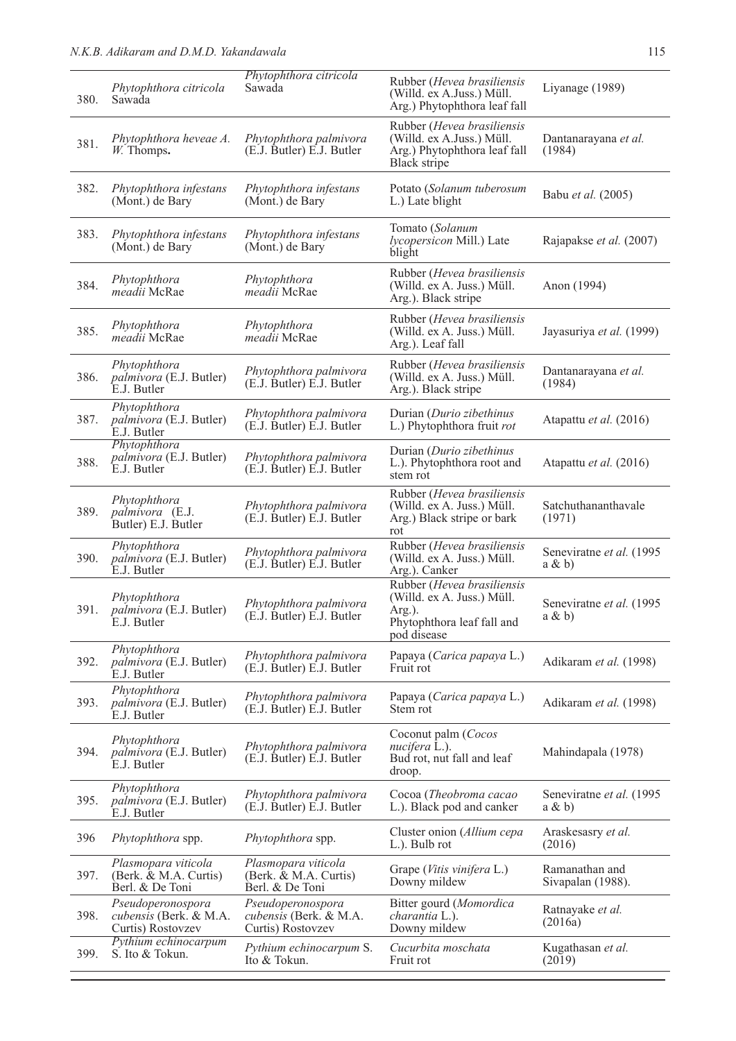| 380. | Phytophthora citricola<br>Sawada                                 | Phytophthora citricola<br>Sawada                                 | Rubber (Hevea brasiliensis<br>(Willd. ex A.Juss.) Müll.<br>Arg.) Phytophthora leaf fall                         | Liyanage (1989)                        |
|------|------------------------------------------------------------------|------------------------------------------------------------------|-----------------------------------------------------------------------------------------------------------------|----------------------------------------|
| 381. | Phytophthora heveae A.<br>W. Thomps.                             | Phytophthora palmivora<br>(E.J. Butler) E.J. Butler              | Rubber (Hevea brasiliensis<br>(Willd. ex A.Juss.) Müll.<br>Arg.) Phytophthora leaf fall<br>Black stripe         | Dantanarayana et al.<br>(1984)         |
| 382. | Phytophthora infestans<br>(Mont.) de Bary                        | Phytophthora infestans<br>(Mont.) de Bary                        | Potato (Solanum tuberosum<br>L.) Late blight                                                                    | Babu et al. (2005)                     |
| 383. | Phytophthora infestans<br>(Mont.) de Bary                        | Phytophthora infestans<br>(Mont.) de Bary                        | Tomato (Solanum<br>lycopersicon Mill.) Late<br>blight                                                           | Rajapakse et al. (2007)                |
| 384. | Phytophthora<br>meadii McRae                                     | Phytophthora<br>meadii McRae                                     | Rubber (Hevea brasiliensis<br>(Willd. ex A. Juss.) Müll.<br>Arg.). Black stripe                                 | Anon (1994)                            |
| 385. | Phytophthora<br>meadii McRae                                     | Phytophthora<br>meadii McRae                                     | Rubber (Hevea brasiliensis<br>(Willd. ex A. Juss.) Müll.<br>Arg.). Leaf fall                                    | Jayasuriya et al. (1999)               |
| 386. | Phytophthora<br><i>palmivora</i> (E.J. Butler)<br>E.J. Butler    | Phytophthora palmivora<br>(E.J. Butler) E.J. Butler              | Rubber (Hevea brasiliensis<br>(Willd. ex A. Juss.) Müll.<br>Arg.). Black stripe                                 | Dantanarayana et al.<br>(1984)         |
| 387. | Phytophthora<br><i>palmivora</i> (E.J. Butler)<br>E.J. Butler    | Phytophthora palmivora<br>(E.J. Butler) E.J. Butler              | Durian (Durio zibethinus<br>L.) Phytophthora fruit rot                                                          | Atapattu et al. (2016)                 |
| 388. | Phytophthora<br><i>palmivora</i> (E.J. Butler)<br>E.J. Butler    | Phytophthora palmivora<br>(E.J. Butler) E.J. Butler              | Durian (Durio zibethinus<br>L.). Phytophthora root and<br>stem rot                                              | Atapattu et al. (2016)                 |
| 389. | Phytophthora<br>palmivora (E.J.<br>Butler) E.J. Butler           | Phytophthora palmivora<br>(E.J. Butler) E.J. Butler              | Rubber (Hevea brasiliensis<br>(Willd. ex A. Juss.) Müll.<br>Arg.) Black stripe or bark<br>rot                   | Satchuthananthavale<br>(1971)          |
| 390. | Phytophthora<br><i>palmivora</i> (E.J. Butler)<br>E.J. Butler    | Phytophthora palmivora<br>(E.J. Butler) E.J. Butler              | Rubber (Hevea brasiliensis<br>(Willd. ex A. Juss.) Müll.<br>Arg.). Canker                                       | Seneviratne et al. (1995<br>$a \& b)$  |
| 391. | Phytophthora<br>palmivora (E.J. Butler)<br>E.J. Butler           | Phytophthora palmivora<br>(E.J. Butler) E.J. Butler              | Rubber (Hevea brasiliensis<br>(Willd. ex A. Juss.) Müll.<br>Arg.).<br>Phytophthora leaf fall and<br>pod disease | Seneviratne et al. (1995)<br>$a \& b)$ |
| 392. | Phytophthora<br>palmivora (E.J. Butler)<br>E.J. Butler           | Phytophthora palmivora<br>(E.J. Butler) E.J. Butler              | Papaya (Carica papaya L.)<br>Fruit rot                                                                          | Adikaram et al. (1998)                 |
| 393. | Phytophthora<br><i>palmivora</i> (E.J. Butler)<br>E.J. Butler    | Phytophthora palmivora<br>(E.J. Butler) E.J. Butler              | Papaya (Carica papaya L.)<br>Stem rot                                                                           | Adikaram et al. (1998)                 |
| 394. | Phytophthora<br><i>palmivora</i> (E.J. Butler)<br>E.J. Butler    | Phytophthora palmivora<br>(E.J. Butler) E.J. Butler              | Coconut palm (Cocos<br>nucifera L.).<br>Bud rot, nut fall and leaf<br>droop.                                    | Mahindapala (1978)                     |
| 395. | Phytophthora<br>palmivora (E.J. Butler)<br>E.J. Butler           | Phytophthora palmivora<br>(E.J. Butler) E.J. Butler              | Cocoa (Theobroma cacao<br>L.). Black pod and canker                                                             | Seneviratne et al. (1995)<br>$a \& b)$ |
| 396  | Phytophthora spp.                                                | Phytophthora spp.                                                | Cluster onion (Allium cepa<br>L.). Bulb rot                                                                     | Araskesasry et al.<br>(2016)           |
| 397. | Plasmopara viticola<br>(Berk. & M.A. Curtis)<br>Berl. & De Toni  | Plasmopara viticola<br>(Berk. & M.A. Curtis)<br>Berl. & De Toni  | Grape (Vitis vinifera L.)<br>Downy mildew                                                                       | Ramanathan and<br>Sivapalan (1988).    |
| 398. | Pseudoperonospora<br>cubensis (Berk. & M.A.<br>Curtis) Rostovzev | Pseudoperonospora<br>cubensis (Berk. & M.A.<br>Curtis) Rostovzev | Bitter gourd (Momordica<br>charantia L.).<br>Downy mildew                                                       | Ratnayake et al.<br>(2016a)            |
| 399. | Pythium echinocarpum<br>S. Ito & Tokun.                          | Pythium echinocarpum S.<br>Ito & Tokun.                          | Cucurbita moschata<br>Fruit rot                                                                                 | Kugathasan et al.<br>(2019)            |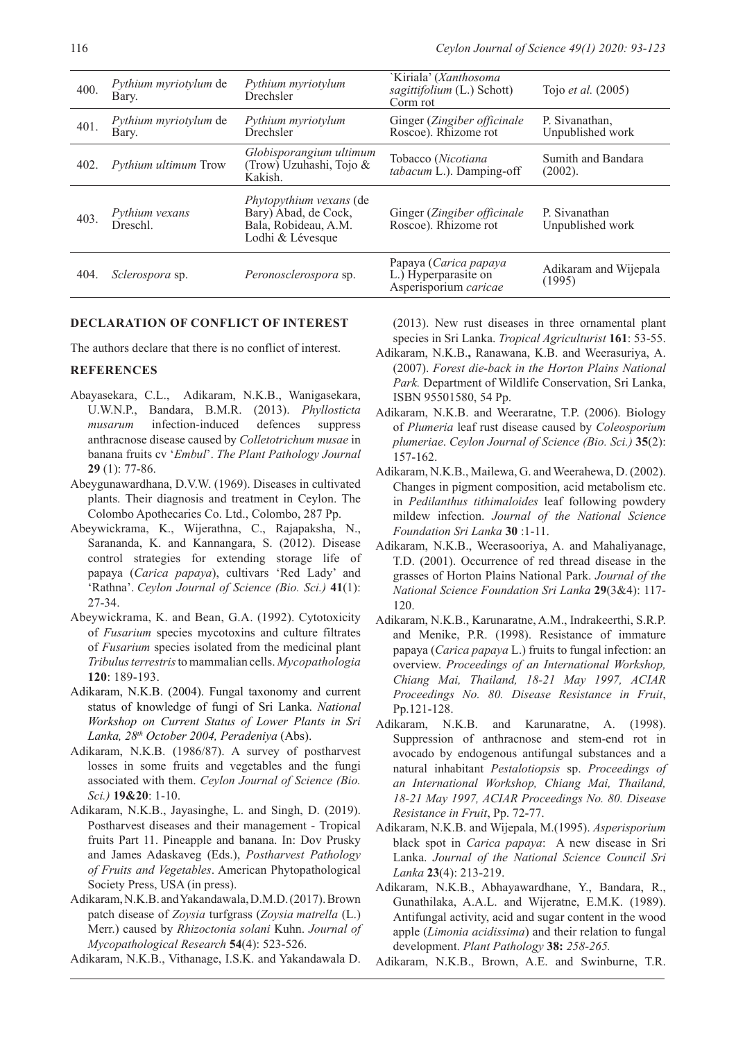| 400. | Pythium myriotylum de<br>Bary.        | Pythium myriotylum<br><b>Drechsler</b>                                                             | 'Kiriala' (Xanthosoma<br>sagittifolium (L.) Schott)<br>Corm rot        | Tojo et al. (2005)                 |
|------|---------------------------------------|----------------------------------------------------------------------------------------------------|------------------------------------------------------------------------|------------------------------------|
| 401. | <i>Pythium myriotylum</i> de<br>Bary. | Pythium myriotylum<br><b>Drechsler</b>                                                             | Ginger (Zingiber officinale<br>Roscoe). Rhizome rot                    | P. Sivanathan,<br>Unpublished work |
| 402. | <i>Pythium ultimum</i> Trow           | Globisporangium ultimum<br>(Trow) Uzuhashi, Tojo &<br>Kakish.                                      | Tobacco (Nicotiana<br>tabacum L.). Damping-off                         | Sumith and Bandara<br>(2002).      |
| 403. | Pythium vexans<br>Dreschl.            | <i>Phytopythium vexans</i> (de<br>Bary) Abad, de Cock,<br>Bala, Robideau, A.M.<br>Lodhi & Lévesque | Ginger (Zingiber officinale<br>Roscoe). Rhizome rot                    | P. Sivanathan<br>Unpublished work  |
| 404. | Sclerospora sp.                       | Peronosclerospora sp.                                                                              | Papaya (Carica papaya<br>L.) Hyperparasite on<br>Asperisporium caricae | Adikaram and Wijepala<br>(1995)    |

## **DECLARATION OF CONFLICT OF INTEREST**

The authors declare that there is no conflict of interest.

### **REFERENCES**

- Abayasekara, C.L., Adikaram, N.K.B., Wanigasekara, U.W.N.P., Bandara, B.M.R. (2013). *Phyllosticta musarum* infection-induced defences suppress anthracnose disease caused by *Colletotrichum musae* in banana fruits cv '*Embul*'. *The Plant Pathology Journal* **29** (1): 77-86.
- Abeygunawardhana, D.V.W. (1969). Diseases in cultivated plants. Their diagnosis and treatment in Ceylon. The Colombo Apothecaries Co. Ltd., Colombo, 287 Pp.
- Abeywickrama, K., Wijerathna, C., Rajapaksha, N., Sarananda, K. and Kannangara, S. (2012). Disease control strategies for extending storage life of papaya (*Carica papaya*), cultivars 'Red Lady' and 'Rathna'. *Ceylon Journal of Science (Bio. Sci.)* **41**(1): 27-34.
- Abeywickrama, K. and Bean, G.A. (1992). Cytotoxicity of *Fusarium* species mycotoxins and culture filtrates of *Fusarium* species isolated from the medicinal plant *Tribulus terrestris* to mammalian cells. *Mycopathologia* **120**: 189-193.
- Adikaram, N.K.B. (2004). Fungal taxonomy and current status of knowledge of fungi of Sri Lanka. *National Workshop on Current Status of Lower Plants in Sri Lanka, 28th October 2004, Peradeniya* (Abs).
- Adikaram, N.K.B. (1986/87). A survey of postharvest losses in some fruits and vegetables and the fungi associated with them. *Ceylon Journal of Science (Bio. Sci.)* **19&20**: 1-10.
- Adikaram, N.K.B., Jayasinghe, L. and Singh, D. (2019). Postharvest diseases and their management - Tropical fruits Part 11. Pineapple and banana. In: Dov Prusky and James Adaskaveg (Eds.), *Postharvest Pathology of Fruits and Vegetables*. American Phytopathological Society Press, USA (in press).
- Adikaram, N.K.B. and Yakandawala, D.M.D. (2017). Brown patch disease of *Zoysia* turfgrass (*Zoysia matrella* (L.) Merr.) caused by *Rhizoctonia solani* Kuhn. *Journal of Mycopathological Research* **54**(4): 523-526.

Adikaram, N.K.B., Vithanage, I.S.K. and Yakandawala D.

(2013). New rust diseases in three ornamental plant species in Sri Lanka. *Tropical Agriculturist* **161**: 53-55.

- Adikaram, N.K.B.**,** Ranawana, K.B. and Weerasuriya, A. (2007). *Forest die-back in the Horton Plains National Park.* Department of Wildlife Conservation, Sri Lanka, ISBN 95501580, 54 Pp.
- Adikaram, N.K.B. and Weeraratne, T.P. (2006). Biology of *Plumeria* leaf rust disease caused by *Coleosporium plumeriae*. *Ceylon Journal of Science (Bio. Sci.)* **35**(2): 157-162.
- Adikaram, N.K.B., Mailewa, G. and Weerahewa, D. (2002). Changes in pigment composition, acid metabolism etc. in *Pedilanthus tithimaloides* leaf following powdery mildew infection. *Journal of the National Science Foundation Sri Lanka* **30** :1-11.
- Adikaram, N.K.B., Weerasooriya, A. and Mahaliyanage, T.D. (2001). Occurrence of red thread disease in the grasses of Horton Plains National Park. *Journal of the National Science Foundation Sri Lanka* **29**(3&4): 117- 120.
- Adikaram, N.K.B., Karunaratne, A.M., Indrakeerthi, S.R.P. and Menike, P.R. (1998). Resistance of immature papaya (*Carica papaya* L.) fruits to fungal infection: an overview. *Proceedings of an International Workshop, Chiang Mai, Thailand, 18-21 May 1997, ACIAR Proceedings No. 80. Disease Resistance in Fruit*, Pp.121-128.
- Adikaram, N.K.B. and Karunaratne, A. (1998). Suppression of anthracnose and stem-end rot in avocado by endogenous antifungal substances and a natural inhabitant *Pestalotiopsis* sp. *Proceedings of an International Workshop, Chiang Mai, Thailand, 18-21 May 1997, ACIAR Proceedings No. 80. Disease Resistance in Fruit*, Pp. 72-77.
- Adikaram, N.K.B. and Wijepala, M.(1995). *Asperisporium* black spot in *Carica papaya*: A new disease in Sri Lanka. *Journal of the National Science Council Sri Lanka* **23**(4): 213-219.
- Adikaram, N.K.B., Abhayawardhane, Y., Bandara, R., Gunathilaka, A.A.L. and Wijeratne, E.M.K. (1989). Antifungal activity, acid and sugar content in the wood apple (*Limonia acidissima*) and their relation to fungal development. *Plant Pathology* **38:** *258-265.*

Adikaram, N.K.B., Brown, A.E. and Swinburne, T.R.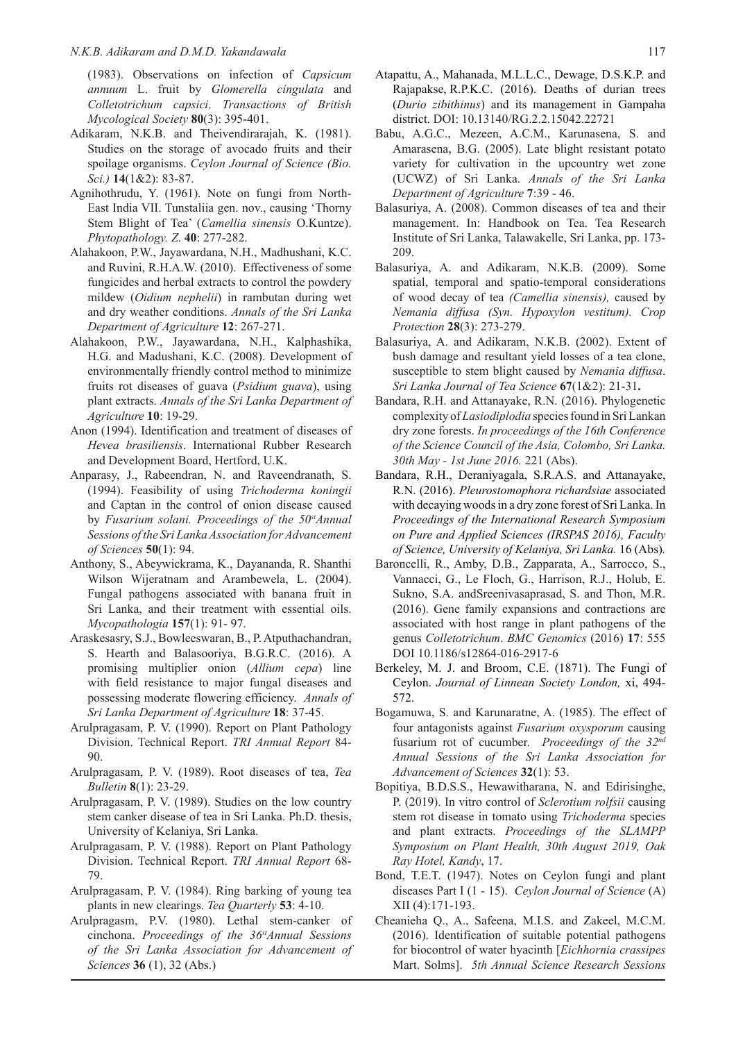(1983). Observations on infection of *Capsicum annuum* L. fruit by *Glomerella cingulata* and *Colletotrichum capsici*. *Transactions of British Mycological Society* **80**(3): 395-401.

- Adikaram, N.K.B. and Theivendirarajah, K. (1981). Studies on the storage of avocado fruits and their spoilage organisms. *Ceylon Journal of Science (Bio. Sci.)* **14**(1&2): 83-87.
- Agnihothrudu, Y. (1961). Note on fungi from North-East India VII. Tunstaliia gen. nov., causing 'Thorny Stem Blight of Tea' (*Camellia sinensis* O.Kuntze). *Phytopathology. Z*. **40**: 277-282.
- Alahakoon, P.W., Jayawardana, N.H., Madhushani, K.C. and Ruvini, R.H.A.W. (2010). Effectiveness of some fungicides and herbal extracts to control the powdery mildew (*Oidium nephelii*) in rambutan during wet and dry weather conditions. *Annals of the Sri Lanka Department of Agriculture* **12**: 267-271.
- Alahakoon, P.W., Jayawardana, N.H., Kalphashika, H.G. and Madushani, K.C. (2008). Development of environmentally friendly control method to minimize fruits rot diseases of guava (*Psidium guava*), using plant extracts. *Annals of the Sri Lanka Department of Agriculture* **10**: 19-29.
- Anon (1994). Identification and treatment of diseases of *Hevea brasiliensis*. International Rubber Research and Development Board, Hertford, U.K.
- Anparasy, J., Rabeendran, N. and Raveendranath, S. (1994). Feasibility of using *Trichoderma koningii*  and Captan in the control of onion disease caused by *Fusarium solani. Proceedings of the 50stAnnual Sessions of the Sri Lanka Association for Advancement of Sciences* **50**(1): 94.
- Anthony, S., Abeywickrama, K., Dayananda, R. Shanthi Wilson Wijeratnam and Arambewela, L. (2004). Fungal pathogens associated with banana fruit in Sri Lanka, and their treatment with essential oils. *Mycopathologia* **157**(1): 91- 97.
- Araskesasry, S.J., Bowleeswaran, B., P. Atputhachandran, S. Hearth and Balasooriya, B.G.R.C. (2016). A promising multiplier onion (*Allium cepa*) line with field resistance to major fungal diseases and possessing moderate flowering efficiency. *Annals of Sri Lanka Department of Agriculture* **18**: 37-45.
- Arulpragasam, P. V. (1990). Report on Plant Pathology Division. Technical Report. *TRI Annual Report* 84- 90.
- Arulpragasam, P. V. (1989). Root diseases of tea, *Tea Bulletin* **8**(1): 23-29.
- Arulpragasam, P. V. (1989). Studies on the low country stem canker disease of tea in Sri Lanka. Ph.D. thesis, University of Kelaniya, Sri Lanka.
- Arulpragasam, P. V. (1988). Report on Plant Pathology Division. Technical Report. *TRI Annual Report* 68- 79.
- Arulpragasam, P. V. (1984). Ring barking of young tea plants in new clearings. *Tea Quarterly* **53**: 4-10.
- Arulpragasm, P.V. (1980). Lethal stem-canker of cinchona. *Proceedings of the 36stAnnual Sessions of the Sri Lanka Association for Advancement of Sciences* **36** (1), 32 (Abs.)
- Atapattu, A., Mahanada, M.L.L.C., Dewage, D.S.K.P. and Rajapakse, R.P.K.C. (2016). Deaths of durian trees (*Durio zibithinus*) and its management in Gampaha district. DOI: 10.13140/RG.2.2.15042.22721
- Babu, A.G.C., Mezeen, A.C.M., Karunasena, S. and Amarasena, B.G. (2005). Late blight resistant potato variety for cultivation in the upcountry wet zone (UCWZ) of Sri Lanka. *Annals of the Sri Lanka Department of Agriculture* **7**:39 - 46.
- Balasuriya, A. (2008). Common diseases of tea and their management. In: Handbook on Tea. Tea Research Institute of Sri Lanka, Talawakelle, Sri Lanka, pp. 173- 209.
- Balasuriya, A. and Adikaram, N.K.B. (2009). Some spatial, temporal and spatio-temporal considerations of wood decay of tea *(Camellia sinensis),* caused by *Nemania diffusa (Syn. Hypoxylon vestitum). Crop Protection* **28**(3): 273-279.
- Balasuriya, A. and Adikaram, N.K.B. (2002). Extent of bush damage and resultant yield losses of a tea clone, susceptible to stem blight caused by *Nemania diffusa*. *Sri Lanka Journal of Tea Science* **67**(1&2): 21-31**.**
- Bandara, R.H. and Attanayake, R.N. (2016). Phylogenetic complexity of *Lasiodiplodia* species found in Sri Lankan dry zone forests. *In proceedings of the 16th Conference of the Science Council of the Asia, Colombo, Sri Lanka. 30th May - 1st June 2016.* 221 (Abs).
- Bandara, R.H., Deraniyagala, S.R.A.S. and Attanayake, R.N. (2016). *Pleurostomophora richardsiae* associated with decaying woods in a dry zone forest of Sri Lanka. In *Proceedings of the International Research Symposium on Pure and Applied Sciences (IRSPAS 2016), Faculty of Science, University of Kelaniya, Sri Lanka.* 16 (Abs)*.*
- Baroncelli, R., Amby, D.B., Zapparata, A., Sarrocco, S., Vannacci, G., Le Floch, G., Harrison, R.J., Holub, E. Sukno, S.A. andSreenivasaprasad, S. and Thon, M.R. (2016). Gene family expansions and contractions are associated with host range in plant pathogens of the genus *Colletotrichum*. *BMC Genomics* (2016) **17**: 555 DOI 10.1186/s12864-016-2917-6
- Berkeley, M. J. and Broom, C.E. (1871). The Fungi of Ceylon. *Journal of Linnean Society London,* xi, 494- 572.
- Bogamuwa, S. and Karunaratne, A. (1985). The effect of four antagonists against *Fusarium oxysporum* causing fusarium rot of cucumber. *Proceedings of the 32nd Annual Sessions of the Sri Lanka Association for Advancement of Sciences* **32**(1): 53.
- Bopitiya, B.D.S.S., Hewawitharana, N. and Edirisinghe, P. (2019). In vitro control of *Sclerotium rolfsii* causing stem rot disease in tomato using *Trichoderma* species and plant extracts. *Proceedings of the SLAMPP Symposium on Plant Health, 30th August 2019, Oak Ray Hotel, Kandy*, 17.
- Bond, T.E.T. (1947). Notes on Ceylon fungi and plant diseases Part I (1 - 15). *Ceylon Journal of Science* (A) XII (4):171-193.
- Cheanieha Q., A., Safeena, M.I.S. and Zakeel, M.C.M. (2016). Identification of suitable potential pathogens for biocontrol of water hyacinth [*Eichhornia crassipes* Mart. Solms]. *5th Annual Science Research Sessions*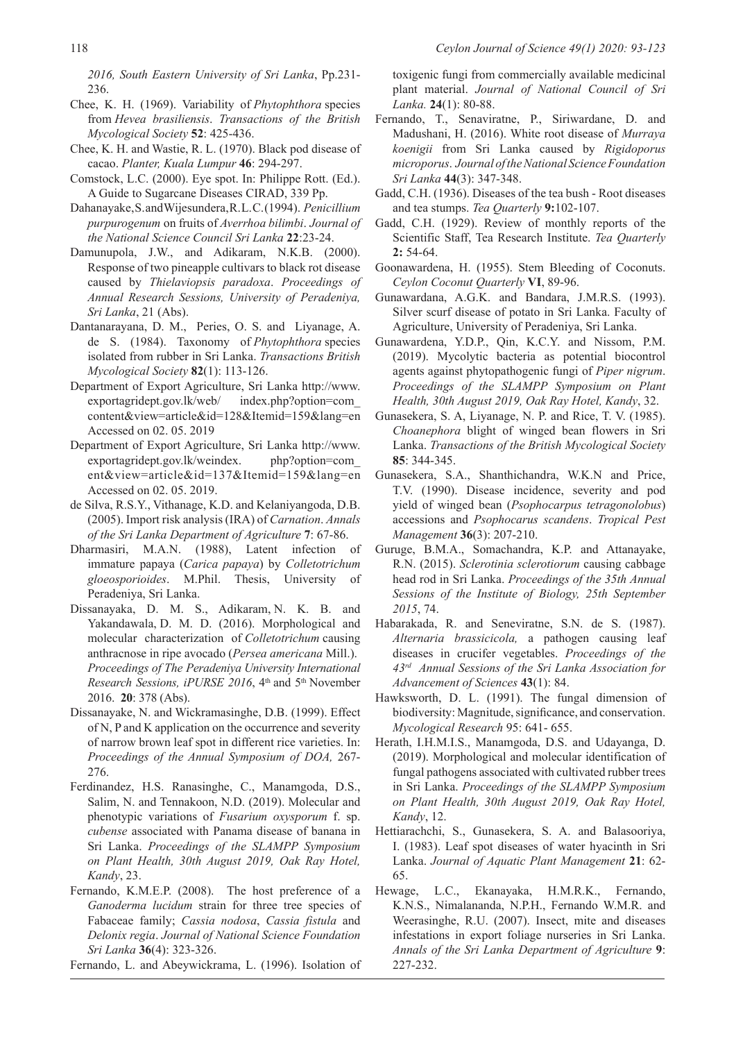*2016, South Eastern University of Sri Lanka*, Pp.231- 236.

- Chee, K. H. (1969). Variability of *Phytophthora* species from *Hevea brasiliensis*. *Transactions of the British Mycological Society* **52**: 425-436.
- Chee, K. H. and Wastie, R. L. (1970). Black pod disease of cacao. *Planter, Kuala Lumpur* **46**: 294-297.
- Comstock, L.C. (2000). Eye spot. In: Philippe Rott. (Ed.). A Guide to Sugarcane Diseases CIRAD, 339 Pp.
- Dahanayake, S. and Wijesundera, R. L. C. (1994). *Penicillium purpurogenum* on fruits of *Averrhoa bilimbi*. *Journal of the National Science Council Sri Lanka* **22**:23-24.
- Damunupola, J.W., and Adikaram, N.K.B. (2000). Response of two pineapple cultivars to black rot disease caused by *Thielaviopsis paradoxa*. *Proceedings of Annual Research Sessions, University of Peradeniya, Sri Lanka*, 21 (Abs).
- Dantanarayana, D. M., Peries, O. S. and Liyanage, A. de S. (1984). Taxonomy of *Phytophthora* species isolated from rubber in Sri Lanka. *Transactions British Mycological Society* **82**(1): 113-126.
- Department of Export Agriculture, Sri Lanka http://www. exportagridept.gov.lk/web/ index.php?option=com\_ content&view=article&id=128&Itemid=159&lang=en Accessed on 02. 05. 2019
- Department of Export Agriculture, Sri Lanka http://www. exportagridept.gov.lk/weindex. php?option=com\_ ent&view=article&id=137&Itemid=159&lang=en Accessed on 02. 05. 2019.
- de Silva, R.S.Y., Vithanage, K.D. and Kelaniyangoda, D.B. (2005). Import risk analysis (IRA) of *Carnation*. *Annals of the Sri Lanka Department of Agriculture* **7**: 67-86.
- Dharmasiri, M.A.N. (1988), Latent infection of immature papaya (*Carica papaya*) by *Colletotrichum gloeosporioides*. M.Phil. Thesis, University of Peradeniya, Sri Lanka.
- Dissanayaka, D. M. S., Adikaram, N. K. B. and Yakandawala, D. M. D. (2016). Morphological and molecular characterization of *Colletotrichum* causing anthracnose in ripe avocado (*Persea americana* Mill.). *Proceedings of The Peradeniya University International Research Sessions, iPURSE 2016*, 4<sup>th</sup> and 5<sup>th</sup> November 2016. **20**: 378 (Abs).
- Dissanayake, N. and Wickramasinghe, D.B. (1999). Effect of N, P and K application on the occurrence and severity of narrow brown leaf spot in different rice varieties. In: *Proceedings of the Annual Symposium of DOA,* 267- 276.
- Ferdinandez, H.S. Ranasinghe, C., Manamgoda, D.S., Salim, N. and Tennakoon, N.D. (2019). Molecular and phenotypic variations of *Fusarium oxysporum* f. sp. *cubense* associated with Panama disease of banana in Sri Lanka. *Proceedings of the SLAMPP Symposium on Plant Health, 30th August 2019, Oak Ray Hotel, Kandy*, 23.
- Fernando, K.M.E.P. (2008). The host preference of a *Ganoderma lucidum* strain for three tree species of Fabaceae family; *Cassia nodosa*, *Cassia fistula* and *Delonix regia*. *Journal of National Science Foundation Sri Lanka* **36**(4): 323-326.

Fernando, L. and Abeywickrama, L. (1996). Isolation of

toxigenic fungi from commercially available medicinal plant material. *Journal of National Council of Sri Lanka.* **24**(1): 80-88.

- Fernando, T., Senaviratne, P., Siriwardane, D. and Madushani, H. (2016). White root disease of *Murraya koenigii* from Sri Lanka caused by *Rigidoporus microporus*. *Journal of the National Science Foundation Sri Lanka* **44**(3): 347-348.
- Gadd, C.H. (1936). Diseases of the tea bush Root diseases and tea stumps. *Tea Quarterly* **9:**102-107.
- Gadd, C.H. (1929). Review of monthly reports of the Scientific Staff, Tea Research Institute. *Tea Quarterly*  **2:** 54-64.
- Goonawardena, H. (1955). Stem Bleeding of Coconuts. *Ceylon Coconut Quarterly* **VI**, 89-96.
- Gunawardana, A.G.K. and Bandara, J.M.R.S. (1993). Silver scurf disease of potato in Sri Lanka. Faculty of Agriculture, University of Peradeniya, Sri Lanka.
- Gunawardena, Y.D.P., Qin, K.C.Y. and Nissom, P.M. (2019). Mycolytic bacteria as potential biocontrol agents against phytopathogenic fungi of *Piper nigrum*. *Proceedings of the SLAMPP Symposium on Plant Health, 30th August 2019, Oak Ray Hotel, Kandy*, 32.
- Gunasekera, S. A, Liyanage, N. P. and Rice, T. V. (1985). *Choanephora* blight of winged bean flowers in Sri Lanka. *Transactions of the British Mycological Society* **85**: 344-345.
- Gunasekera, S.A., Shanthichandra, W.K.N and Price, T.V. (1990). Disease incidence, severity and pod yield of winged bean (*Psophocarpus tetragonolobus*) accessions and *Psophocarus scandens*. *Tropical Pest Management* **36**(3): 207-210.
- Guruge, B.M.A., Somachandra, K.P. and Attanayake, R.N. (2015). *Sclerotinia sclerotiorum* causing cabbage head rod in Sri Lanka. *Proceedings of the 35th Annual Sessions of the Institute of Biology, 25th September 2015*, 74.
- Habarakada, R. and Seneviratne, S.N. de S. (1987). *Alternaria brassicicola,* a pathogen causing leaf diseases in crucifer vegetables. *Proceedings of the 43rd Annual Sessions of the Sri Lanka Association for Advancement of Sciences* **43**(1): 84.
- Hawksworth, D. L. (1991). The fungal dimension of biodiversity: Magnitude, significance, and conservation. *Mycological Research* 95: 641- 655.
- Herath, I.H.M.I.S., Manamgoda, D.S. and Udayanga, D. (2019). Morphological and molecular identification of fungal pathogens associated with cultivated rubber trees in Sri Lanka. *Proceedings of the SLAMPP Symposium on Plant Health, 30th August 2019, Oak Ray Hotel, Kandy*, 12.
- Hettiarachchi, S., Gunasekera, S. A. and Balasooriya, I. (1983). Leaf spot diseases of water hyacinth in Sri Lanka. *Journal of Aquatic Plant Management* **21**: 62- 65.
- Hewage, L.C., Ekanayaka, H.M.R.K., Fernando, K.N.S., Nimalananda, N.P.H., Fernando W.M.R. and Weerasinghe, R.U. (2007). Insect, mite and diseases infestations in export foliage nurseries in Sri Lanka. *Annals of the Sri Lanka Department of Agriculture* **9**: 227-232.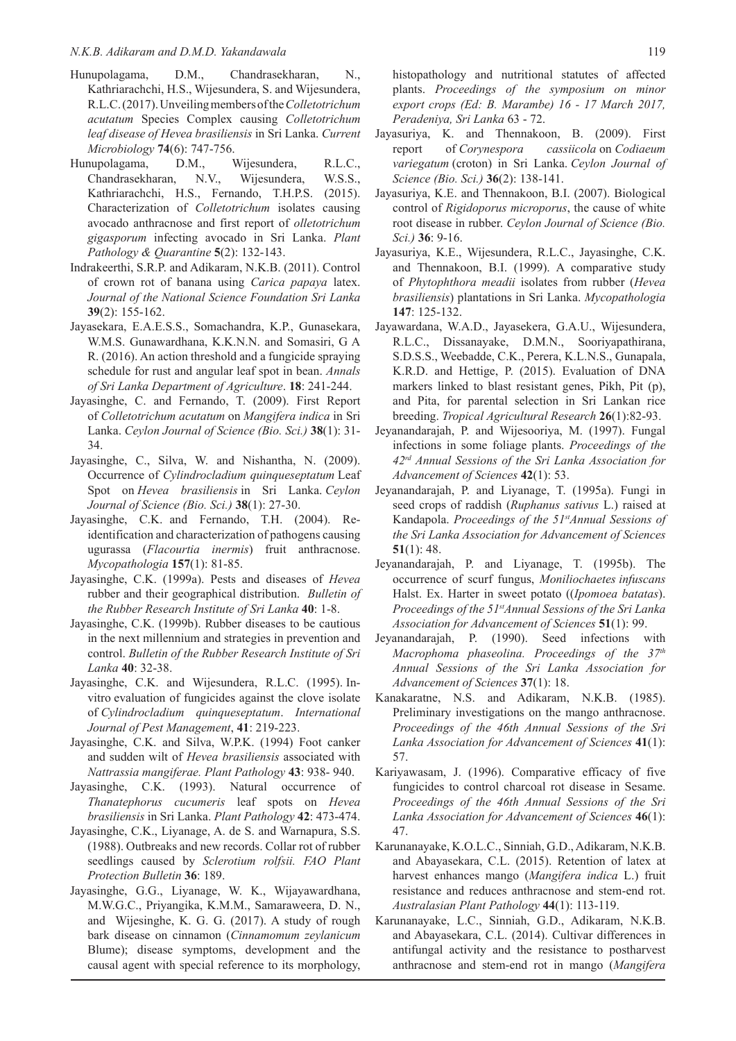### *N.K.B. Adikaram and D.M.D. Yakandawala* 119

- Hunupolagama, D.M., Chandrasekharan, N., Kathriarachchi, H.S., Wijesundera, S. and Wijesundera, R.L.C. (2017). Unveiling members of the *Colletotrichum acutatum* Species Complex causing *Colletotrichum leaf disease of Hevea brasiliensis* in Sri Lanka. *Current Microbiology* **74**(6): 747-756.
- Hunupolagama, D.M., Wijesundera, R.L.C., Chandrasekharan, N.V., Wijesundera, W.S.S., Kathriarachchi, H.S., Fernando, T.H.P.S. (2015). Characterization of *Colletotrichum* isolates causing avocado anthracnose and first report of *olletotrichum gigasporum* infecting avocado in Sri Lanka. *Plant Pathology & Quarantine* **5**(2): 132-143.
- Indrakeerthi, S.R.P. and Adikaram, N.K.B. (2011). Control of crown rot of banana using *Carica papaya* latex. *Journal of the National Science Foundation Sri Lanka* **39**(2): 155-162.
- Jayasekara, E.A.E.S.S., Somachandra, K.P., Gunasekara, W.M.S. Gunawardhana, K.K.N.N. and Somasiri, G A R. (2016). An action threshold and a fungicide spraying schedule for rust and angular leaf spot in bean. *Annals of Sri Lanka Department of Agriculture*. **18**: 241-244.
- Jayasinghe, C. and Fernando, T. (2009). First Report of *Colletotrichum acutatum* on *Mangifera indica* in Sri Lanka. *Ceylon Journal of Science (Bio. Sci.)* **38**(1): 31- 34.
- Jayasinghe, C., Silva, W. and Nishantha, N. (2009). Occurrence of *Cylindrocladium quinqueseptatum* Leaf Spot on *Hevea brasiliensis* in Sri Lanka. *Ceylon Journal of Science (Bio. Sci.)* **38**(1): 27-30.
- Jayasinghe, C.K. and Fernando, T.H. (2004). Reidentification and characterization of pathogens causing ugurassa (*Flacourtia inermis*) fruit anthracnose. *Mycopathologia* **157**(1): 81-85.
- Jayasinghe, C.K. (1999a). Pests and diseases of *Hevea* rubber and their geographical distribution. *Bulletin of the Rubber Research Institute of Sri Lanka* **40**: 1-8.
- Jayasinghe, C.K. (1999b). Rubber diseases to be cautious in the next millennium and strategies in prevention and control. *Bulletin of the Rubber Research Institute of Sri Lanka* **40**: 32-38.
- Jayasinghe, C.K. and Wijesundera, R.L.C. (1995). Invitro evaluation of fungicides against the clove isolate of *Cylindrocladium quinqueseptatum*. *International Journal of Pest Management*, **41**: 219-223.
- Jayasinghe, C.K. and Silva, W.P.K. (1994) Foot canker and sudden wilt of *Hevea brasiliensis* associated with *Nattrassia mangiferae. Plant Pathology* **43**: 938- 940.
- Jayasinghe, C.K. (1993). Natural occurrence of *Thanatephorus cucumeris* leaf spots on *Hevea brasiliensis* in Sri Lanka. *Plant Pathology* **42**: 473-474.
- Jayasinghe, C.K., Liyanage, A. de S. and Warnapura, S.S. (1988). Outbreaks and new records. Collar rot of rubber seedlings caused by *Sclerotium rolfsii. FAO Plant Protection Bulletin* **36**: 189.
- Jayasinghe, G.G., Liyanage, W. K., Wijayawardhana, M.W.G.C., Priyangika, K.M.M., Samaraweera, D. N., and Wijesinghe, K. G. G. (2017). A study of rough bark disease on cinnamon (*Cinnamomum zeylanicum* Blume); disease symptoms, development and the causal agent with special reference to its morphology,

histopathology and nutritional statutes of affected plants. *Proceedings of the symposium on minor export crops (Ed: B. Marambe) 16 - 17 March 2017, Peradeniya, Sri Lanka* 63 - 72.

- Jayasuriya, K. and Thennakoon, B. (2009). First report of *Corynespora cassiicola* on *Codiaeum variegatum* (croton) in Sri Lanka. *Ceylon Journal of Science (Bio. Sci.)* **36**(2): 138-141.
- Jayasuriya, K.E. and Thennakoon, B.I. (2007). Biological control of *Rigidoporus microporus*, the cause of white root disease in rubber. *Ceylon Journal of Science (Bio. Sci.)* **36**: 9-16.
- Jayasuriya, K.E., Wijesundera, R.L.C., Jayasinghe, C.K. and Thennakoon, B.I. (1999). A comparative study of *Phytophthora meadii* isolates from rubber (*Hevea brasiliensis*) plantations in Sri Lanka. *Mycopathologia*  **147**: 125-132.
- Jayawardana, W.A.D., Jayasekera, G.A.U., Wijesundera, R.L.C., Dissanayake, D.M.N., Sooriyapathirana, S.D.S.S., Weebadde, C.K., Perera, K.L.N.S., Gunapala, K.R.D. and Hettige, P. (2015). Evaluation of DNA markers linked to blast resistant genes, Pikh, Pit (p), and Pita, for parental selection in Sri Lankan rice breeding. *Tropical Agricultural Research* **26**(1):82-93.
- Jeyanandarajah, P. and Wijesooriya, M. (1997). Fungal infections in some foliage plants. *Proceedings of the 42rd Annual Sessions of the Sri Lanka Association for Advancement of Sciences* **42**(1): 53.
- Jeyanandarajah, P. and Liyanage, T. (1995a). Fungi in seed crops of raddish (*Ruphanus sativus* L.) raised at Kandapola. *Proceedings of the 51stAnnual Sessions of the Sri Lanka Association for Advancement of Sciences*  **51**(1): 48.
- Jeyanandarajah, P. and Liyanage, T. (1995b). The occurrence of scurf fungus, *Moniliochaetes infuscans*  Halst. Ex. Harter in sweet potato ((*Ipomoea batatas*). *Proceedings of the 51stAnnual Sessions of the Sri Lanka Association for Advancement of Sciences* **51**(1): 99.
- Jeyanandarajah, P. (1990). Seed infections with *Macrophoma phaseolina. Proceedings of the 37th Annual Sessions of the Sri Lanka Association for Advancement of Sciences* **37**(1): 18.
- Kanakaratne, N.S. and Adikaram, N.K.B. (1985). Preliminary investigations on the mango anthracnose. *Proceedings of the 46th Annual Sessions of the Sri Lanka Association for Advancement of Sciences* **41**(1): 57.
- Kariyawasam, J. (1996). Comparative efficacy of five fungicides to control charcoal rot disease in Sesame. *Proceedings of the 46th Annual Sessions of the Sri Lanka Association for Advancement of Sciences* **46**(1): 47.
- Karunanayake, K.O.L.C., Sinniah, G.D., Adikaram, N.K.B. and Abayasekara, C.L. (2015). Retention of latex at harvest enhances mango (*Mangifera indica* L.) fruit resistance and reduces anthracnose and stem-end rot. *Australasian Plant Pathology* **44**(1): 113-119.
- Karunanayake, L.C., Sinniah, G.D., Adikaram, N.K.B. and Abayasekara, C.L. (2014). Cultivar differences in antifungal activity and the resistance to postharvest anthracnose and stem-end rot in mango (*Mangifera*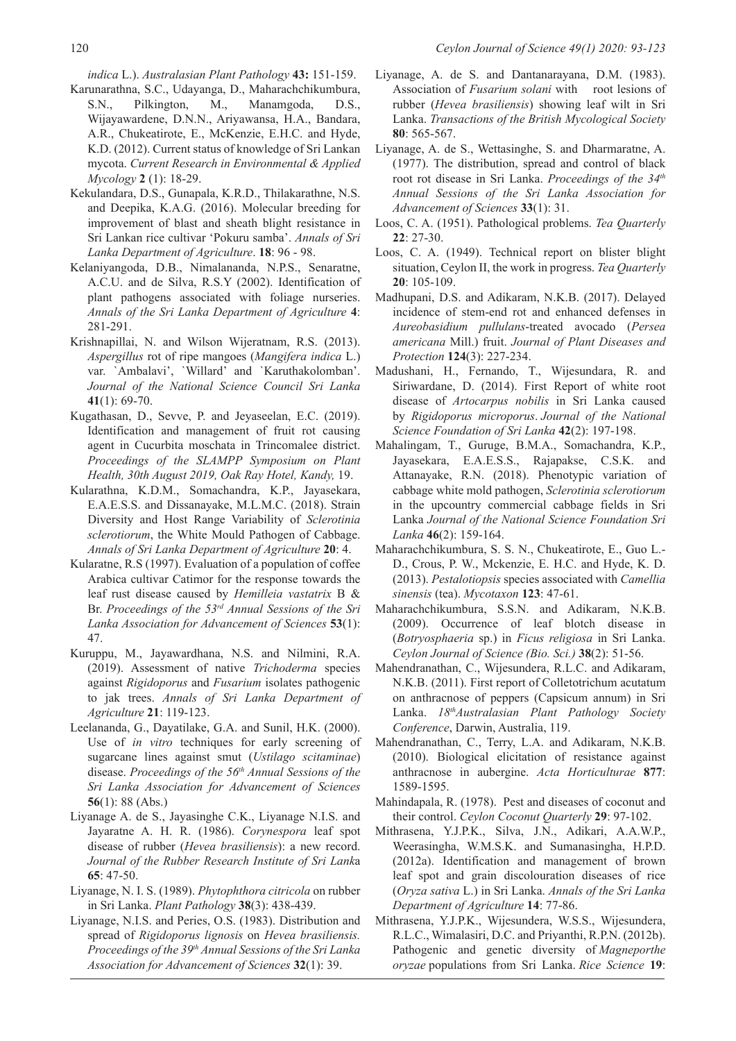*indica* L.). *Australasian Plant Pathology* **43:** 151-159.

- Karunarathna, S.C., Udayanga, D., Maharachchikumbura, S.N., Pilkington, M., Manamgoda, D.S., Wijayawardene, D.N.N., Ariyawansa, H.A., Bandara, A.R., Chukeatirote, E., McKenzie, E.H.C. and Hyde, K.D. (2012). Current status of knowledge of Sri Lankan mycota. *Current Research in Environmental & Applied Mycology* **2** (1): 18-29.
- Kekulandara, D.S., Gunapala, K.R.D., Thilakarathne, N.S. and Deepika, K.A.G. (2016). Molecular breeding for improvement of blast and sheath blight resistance in Sri Lankan rice cultivar 'Pokuru samba'. *Annals of Sri Lanka Department of Agriculture*. **18**: 96 - 98.
- Kelaniyangoda, D.B., Nimalananda, N.P.S., Senaratne, A.C.U. and de Silva, R.S.Y (2002). Identification of plant pathogens associated with foliage nurseries. *Annals of the Sri Lanka Department of Agriculture* **4**: 281-291.
- Krishnapillai, N. and Wilson Wijeratnam, R.S. (2013). *Aspergillus* rot of ripe mangoes (*Mangifera indica* L.) var. `Ambalavi', `Willard' and `Karuthakolomban'. *Journal of the National Science Council Sri Lanka* **41**(1): 69-70.
- Kugathasan, D., Sevve, P. and Jeyaseelan, E.C. (2019). Identification and management of fruit rot causing agent in Cucurbita moschata in Trincomalee district. *Proceedings of the SLAMPP Symposium on Plant Health, 30th August 2019, Oak Ray Hotel, Kandy,* 19.
- Kularathna, K.D.M., Somachandra, K.P., Jayasekara, E.A.E.S.S. and Dissanayake, M.L.M.C. (2018). Strain Diversity and Host Range Variability of *Sclerotinia sclerotiorum*, the White Mould Pathogen of Cabbage. *Annals of Sri Lanka Department of Agriculture* **20**: 4.
- Kularatne, R.S (1997). Evaluation of a population of coffee Arabica cultivar Catimor for the response towards the leaf rust disease caused by *Hemilleia vastatrix* B & Br. *Proceedings of the 53rd Annual Sessions of the Sri Lanka Association for Advancement of Sciences* **53**(1): 47.
- Kuruppu, M., Jayawardhana, N.S. and Nilmini, R.A. (2019). Assessment of native *Trichoderma* species against *Rigidoporus* and *Fusarium* isolates pathogenic to jak trees. *Annals of Sri Lanka Department of Agriculture* **21**: 119-123.
- Leelananda, G., Dayatilake, G.A. and Sunil, H.K. (2000). Use of *in vitro* techniques for early screening of sugarcane lines against smut (*Ustilago scitaminae*) disease. *Proceedings of the 56th Annual Sessions of the Sri Lanka Association for Advancement of Sciences*  **56**(1): 88 (Abs.)
- Liyanage A. de S., Jayasinghe C.K., Liyanage N.I.S. and Jayaratne A. H. R. (1986). *Corynespora* leaf spot disease of rubber (*Hevea brasiliensis*): a new record. *Journal of the Rubber Research Institute of Sri Lank*a **65**: 47-50.
- Liyanage, N. I. S. (1989). *Phytophthora citricola* on rubber in Sri Lanka. *Plant Pathology* **38**(3): 438-439.
- Liyanage, N.I.S. and Peries, O.S. (1983). Distribution and spread of *Rigidoporus lignosis* on *Hevea brasiliensis. Proceedings of the 39th Annual Sessions of the Sri Lanka Association for Advancement of Sciences* **32**(1): 39.
- Liyanage, A. de S. and Dantanarayana, D.M. (1983). Association of *Fusarium solani* with root lesions of rubber (*Hevea brasiliensis*) showing leaf wilt in Sri Lanka. *Transactions of the British Mycological Society* **80**: 565-567.
- Liyanage, A. de S., Wettasinghe, S. and Dharmaratne, A. (1977). The distribution, spread and control of black root rot disease in Sri Lanka. *Proceedings of the 34th Annual Sessions of the Sri Lanka Association for Advancement of Sciences* **33**(1): 31.
- Loos, C. A. (1951). Pathological problems. *Tea Quarterly* **22**: 27-30.
- Loos, C. A. (1949). Technical report on blister blight situation, Ceylon II, the work in progress. *Tea Quarterly* **20**: 105-109.
- Madhupani, D.S. and Adikaram, N.K.B. (2017). Delayed incidence of stem-end rot and enhanced defenses in *Aureobasidium pullulans*-treated avocado (*Persea americana* Mill.) fruit. *Journal of Plant Diseases and Protection* **124**(3): 227-234.
- Madushani, H., Fernando, T., Wijesundara, R. and Siriwardane, D. (2014). First Report of white root disease of *Artocarpus nobilis* in Sri Lanka caused by *Rigidoporus microporus*. *Journal of the National Science Foundation of Sri Lanka* **42**(2): 197-198.
- Mahalingam, T., Guruge, B.M.A., Somachandra, K.P., Jayasekara, E.A.E.S.S., Rajapakse, C.S.K. and Attanayake, R.N. (2018). Phenotypic variation of cabbage white mold pathogen, *Sclerotinia sclerotiorum* in the upcountry commercial cabbage fields in Sri Lanka *Journal of the National Science Foundation Sri Lanka* **46**(2): 159-164.
- Maharachchikumbura, S. S. N., Chukeatirote, E., Guo L.- D., Crous, P. W., Mckenzie, E. H.C. and Hyde, K. D. (2013). *Pestalotiopsis* species associated with *Camellia sinensis* (tea). *Mycotaxon* **123**: 47-61.
- Maharachchikumbura, S.S.N. and Adikaram, N.K.B. (2009). Occurrence of leaf blotch disease in (*Botryosphaeria* sp.) in *Ficus religiosa* in Sri Lanka. *Ceylon Journal of Science (Bio. Sci.)* **38**(2): 51-56.
- Mahendranathan, C., Wijesundera, R.L.C. and Adikaram, N.K.B. (2011). First report of Colletotrichum acutatum on anthracnose of peppers (Capsicum annum) in Sri Lanka. *18thAustralasian Plant Pathology Society Conference*, Darwin, Australia, 119.
- Mahendranathan, C., Terry, L.A. and Adikaram, N.K.B. (2010). Biological elicitation of resistance against anthracnose in aubergine. *Acta Horticulturae* **877**: 1589-1595.
- Mahindapala, R. (1978). Pest and diseases of coconut and their control. *Ceylon Coconut Quarterly* **29**: 97-102.
- Mithrasena, Y.J.P.K., Silva, J.N., Adikari, A.A.W.P., Weerasingha, W.M.S.K. and Sumanasingha, H.P.D. (2012a). Identification and management of brown leaf spot and grain discolouration diseases of rice (*Oryza sativa* L.) in Sri Lanka. *Annals of the Sri Lanka Department of Agriculture* **14**: 77-86.
- Mithrasena, Y.J.P.K., Wijesundera, W.S.S., Wijesundera, R.L.C., Wimalasiri, D.C. and Priyanthi, R.P.N. (2012b). Pathogenic and genetic diversity of *Magneporthe oryzae* populations from Sri Lanka. *Rice Science* **19**: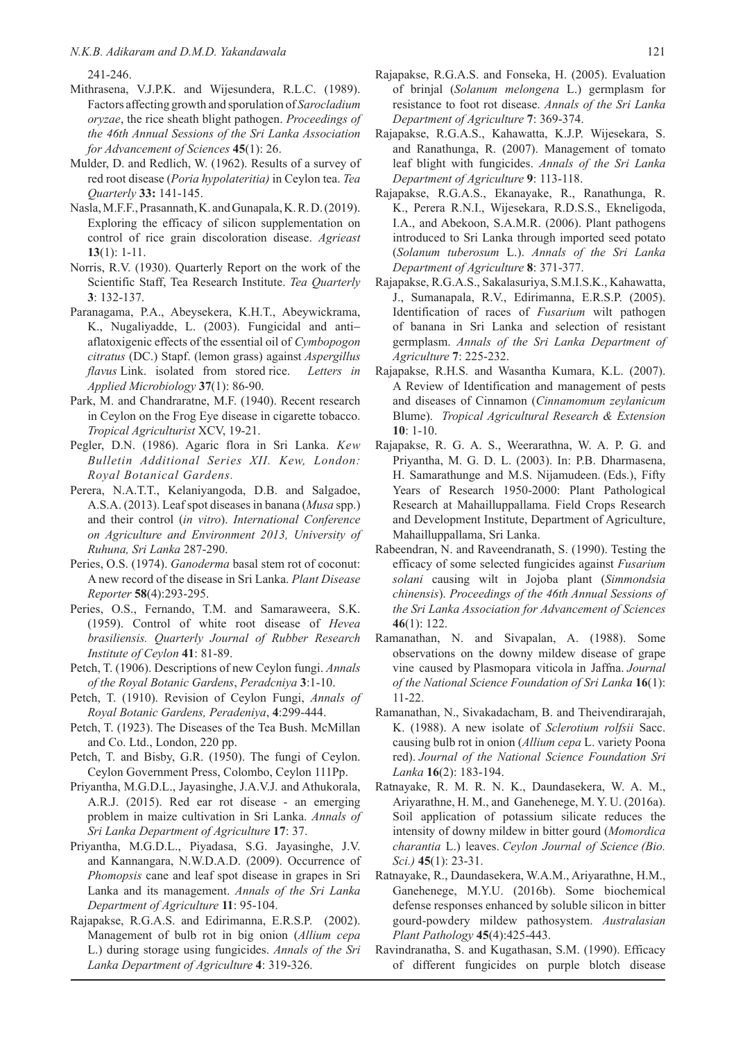241-246.

- Mithrasena, V.J.P.K. and Wijesundera, R.L.C. (1989). Factors affecting growth and sporulation of *Sarocladium oryzae*, the rice sheath blight pathogen. *Proceedings of the 46th Annual Sessions of the Sri Lanka Association for Advancement of Sciences* **45**(1): 26.
- Mulder, D. and Redlich, W. (1962). Results of a survey of red root disease (*Poria hypolateritia)* in Ceylon tea. *Tea Quarterly* **33:** 141-145.
- Nasla, M.F.F., Prasannath, K. and Gunapala, K. R. D. (2019). Exploring the efficacy of silicon supplementation on control of rice grain discoloration disease. *Agrieast* **13**(1): 1-11.
- Norris, R.V. (1930). Quarterly Report on the work of the Scientific Staff, Tea Research Institute. *Tea Quarterly* **3**: 132-137.
- Paranagama, P.A., Abeysekera, K.H.T., Abeywickrama, K., Nugaliyadde, L. (2003). Fungicidal and antiaflatoxigenic effects of the essential oil of *Cymbopogon citratus* (DC.) Stapf. (lemon grass) against *Aspergillus flavus* Link. isolated from stored rice. *Letters in Applied Microbiology* **37**(1): 86-90.
- Park, M. and Chandraratne, M.F. (1940). Recent research in Ceylon on the Frog Eye disease in cigarette tobacco. *Tropical Agriculturist* XCV, 19-21.
- Pegler, D.N. (1986). Agaric flora in Sri Lanka. *Kew Bulletin Additional Series XII. Kew, London: Royal Botanical Gardens.*
- Perera, N.A.T.T., Kelaniyangoda, D.B. and Salgadoe, A.S.A. (2013). Leaf spot diseases in banana (*Musa* spp.) and their control (*in vitro*). *International Conference on Agriculture and Environment 2013, University of Ruhuna, Sri Lanka* 287-290.
- Peries, O.S. (1974). *Ganoderma* basal stem rot of coconut: A new record of the disease in Sri Lanka. *Plant Disease Reporter* **58**(4):293-295.
- Peries, O.S., Fernando, T.M. and Samaraweera, S.K. (1959). Control of white root disease of *Hevea brasiliensis. Quarterly Journal of Rubber Research Institute of Ceylon* **41**: 81-89.
- Petch, T. (1906). Descriptions of new Ceylon fungi. *Annals of the Royal Botanic Gardens*, *Peradcniya* **3**:1-10.
- Petch, T. (1910). Revision of Ceylon Fungi, *Annals of Royal Botanic Gardens, Peradeniya*, **4**:299-444.
- Petch, T. (1923). The Diseases of the Tea Bush. McMillan and Co. Ltd., London, 220 pp.
- Petch, T. and Bisby, G.R. (1950). The fungi of Ceylon. Ceylon Government Press, Colombo, Ceylon 111Pp.
- Priyantha, M.G.D.L., Jayasinghe, J.A.V.J. and Athukorala, A.R.J. (2015). Red ear rot disease - an emerging problem in maize cultivation in Sri Lanka. *Annals of Sri Lanka Department of Agriculture* **17**: 37.
- Priyantha, M.G.D.L., Piyadasa, S.G. Jayasinghe, J.V. and Kannangara, N.W.D.A.D. (2009). Occurrence of *Phomopsis* cane and leaf spot disease in grapes in Sri Lanka and its management. *Annals of the Sri Lanka Department of Agriculture* **11**: 95-104.
- Rajapakse, R.G.A.S. and Edirimanna, E.R.S.P. (2002). Management of bulb rot in big onion (*Allium cepa*  L.) during storage using fungicides. *Annals of the Sri Lanka Department of Agriculture* **4**: 319-326.
- Rajapakse, R.G.A.S. and Fonseka, H. (2005). Evaluation of brinjal (*Solanum melongena* L.) germplasm for resistance to foot rot disease. *Annals of the Sri Lanka Department of Agriculture* **7**: 369-374.
- Rajapakse, R.G.A.S., Kahawatta, K.J.P. Wijesekara, S. and Ranathunga, R. (2007). Management of tomato leaf blight with fungicides. *Annals of the Sri Lanka Department of Agriculture* **9**: 113-118.
- Rajapakse, R.G.A.S., Ekanayake, R., Ranathunga, R. K., Perera R.N.I., Wijesekara, R.D.S.S., Ekneligoda, I.A., and Abekoon, S.A.M.R. (2006). Plant pathogens introduced to Sri Lanka through imported seed potato (*Solanum tuberosum* L.). *Annals of the Sri Lanka Department of Agriculture* **8**: 371-377.
- Rajapakse, R.G.A.S., Sakalasuriya, S.M.I.S.K., Kahawatta, J., Sumanapala, R.V., Edirimanna, E.R.S.P. (2005). Identification of races of *Fusarium* wilt pathogen of banana in Sri Lanka and selection of resistant germplasm. *Annals of the Sri Lanka Department of Agriculture* **7**: 225-232.
- Rajapakse, R.H.S. and Wasantha Kumara, K.L. (2007). A Review of Identification and management of pests and diseases of Cinnamon (*Cinnamomum zeylanicum* Blume). *Tropical Agricultural Research & Extension* **10**: 1-10.
- Rajapakse, R. G. A. S., Weerarathna, W. A. P. G. and Priyantha, M. G. D. L. (2003). In: P.B. Dharmasena, H. Samarathunge and M.S. Nijamudeen. (Eds.), Fifty Years of Research 1950-2000: Plant Pathological Research at Mahailluppallama. Field Crops Research and Development Institute, Department of Agriculture, Mahailluppallama, Sri Lanka.
- Rabeendran, N. and Raveendranath, S. (1990). Testing the efficacy of some selected fungicides against *Fusarium solani* causing wilt in Jojoba plant (*Simmondsia chinensis*). *Proceedings of the 46th Annual Sessions of the Sri Lanka Association for Advancement of Sciences* **46**(1): 122.
- Ramanathan, N. and Sivapalan, A. (1988). Some observations on the downy mildew disease of grape vine caused by Plasmopara viticola in Jaffna. *Journal of the National Science Foundation of Sri Lanka* **16**(1): 11-22.
- Ramanathan, N., Sivakadacham, B. and Theivendirarajah, K. (1988). A new isolate of *Sclerotium rolfsii* Sacc. causing bulb rot in onion (*Allium cepa* L. variety Poona red). *Journal of the National Science Foundation Sri Lanka* **16**(2): 183-194.
- Ratnayake, R. M. R. N. K., Daundasekera, W. A. M., Ariyarathne, H. M., and Ganehenege, M. Y. U. (2016a). Soil application of potassium silicate reduces the intensity of downy mildew in bitter gourd (*Momordica charantia* L.) leaves. *Ceylon Journal of Science (Bio. Sci.)* **45**(1): 23-31.
- Ratnayake, R., Daundasekera, W.A.M., Ariyarathne, H.M., Ganehenege, M.Y.U. (2016b). Some biochemical defense responses enhanced by soluble silicon in bitter gourd-powdery mildew pathosystem. *Australasian Plant Pathology* **45**(4):425-443.
- Ravindranatha, S. and Kugathasan, S.M. (1990). Efficacy of different fungicides on purple blotch disease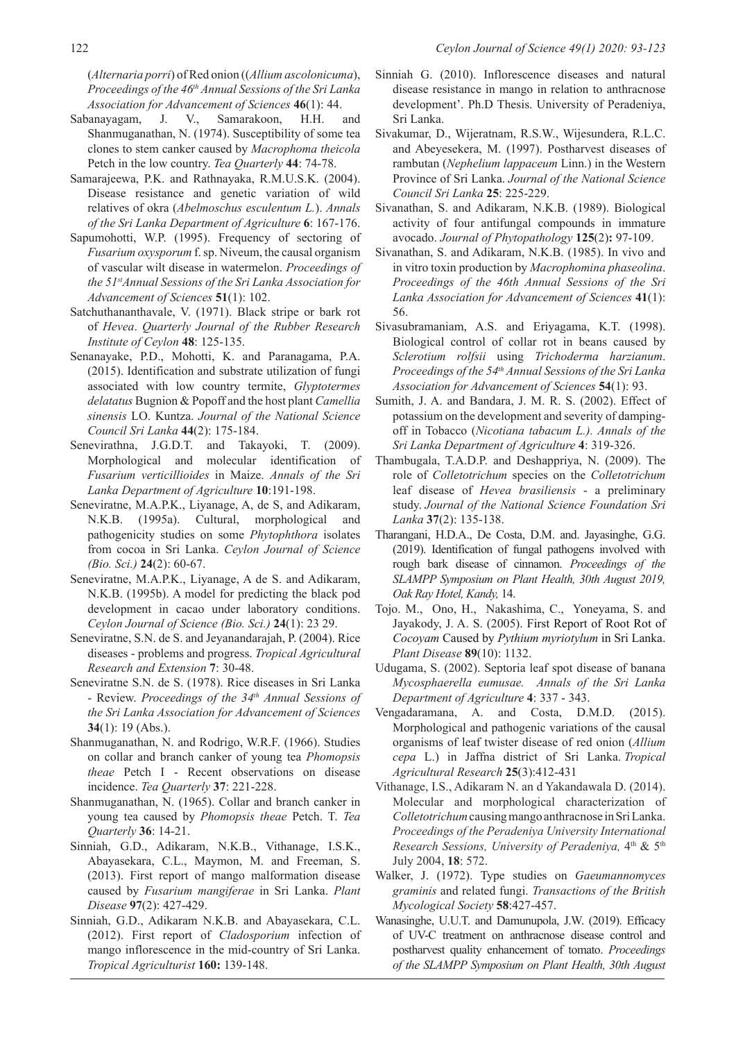(*Alternaria porri*) of Red onion ((*Allium ascolonicuma*), *Proceedings of the 46th Annual Sessions of the Sri Lanka Association for Advancement of Sciences* **46**(1): 44.

- Sabanayagam, J. V., Samarakoon, H.H. and Shanmuganathan, N. (1974). Susceptibility of some tea clones to stem canker caused by *Macrophoma theicola* Petch in the low country. *Tea Quarterly* **44**: 74-78.
- Samarajeewa, P.K. and Rathnayaka, R.M.U.S.K. (2004). Disease resistance and genetic variation of wild relatives of okra (*Abelmoschus esculentum L.*). *Annals of the Sri Lanka Department of Agriculture* **6**: 167-176.
- Sapumohotti, W.P. (1995). Frequency of sectoring of *Fusarium oxysporum* f. sp. Niveum, the causal organism of vascular wilt disease in watermelon. *Proceedings of the 51stAnnual Sessions of the Sri Lanka Association for Advancement of Sciences* **51**(1): 102.
- Satchuthananthavale, V. (1971). Black stripe or bark rot of *Hevea*. *Quarterly Journal of the Rubber Research Institute of Ceylon* **48**: 125-135.
- Senanayake, P.D., Mohotti, K. and Paranagama, P.A. (2015). Identification and substrate utilization of fungi associated with low country termite, *Glyptotermes delatatus* Bugnion & Popoff and the host plant *Camellia sinensis* LO. Kuntza. *Journal of the National Science Council Sri Lanka* **44**(2): 175-184.
- Senevirathna, J.G.D.T. and Takayoki, T. (2009). Morphological and molecular identification of *Fusarium verticillioides* in Maize. *Annals of the Sri Lanka Department of Agriculture* **10**:191-198.
- Seneviratne, M.A.P.K., Liyanage, A, de S, and Adikaram, N.K.B. (1995a). Cultural, morphological and pathogenicity studies on some *Phytophthora* isolates from cocoa in Sri Lanka. *Ceylon Journal of Science (Bio. Sci.)* **24**(2): 60-67.
- Seneviratne, M.A.P.K., Liyanage, A de S. and Adikaram, N.K.B. (1995b). A model for predicting the black pod development in cacao under laboratory conditions. *Ceylon Journal of Science (Bio. Sci.)* **24**(1): 23 29.
- Seneviratne, S.N. de S. and Jeyanandarajah, P. (2004). Rice diseases - problems and progress. *Tropical Agricultural Research and Extension* **7**: 30-48.
- Seneviratne S.N. de S. (1978). Rice diseases in Sri Lanka - Review. *Proceedings of the 34th Annual Sessions of the Sri Lanka Association for Advancement of Sciences*  **34**(1): 19 (Abs.).
- Shanmuganathan, N. and Rodrigo, W.R.F. (1966). Studies on collar and branch canker of young tea *Phomopsis theae* Petch I - Recent observations on disease incidence. *Tea Quarterly* **37**: 221-228.
- Shanmuganathan, N. (1965). Collar and branch canker in young tea caused by *Phomopsis theae* Petch. T. *Tea Quarterly* **36**: 14-21.
- Sinniah, G.D., Adikaram, N.K.B., Vithanage, I.S.K., Abayasekara, C.L., Maymon, M. and Freeman, S. (2013). First report of mango malformation disease caused by *Fusarium mangiferae* in Sri Lanka. *Plant Disease* **97**(2): 427-429.
- Sinniah, G.D., Adikaram N.K.B. and Abayasekara, C.L. (2012). First report of *Cladosporium* infection of mango inflorescence in the mid-country of Sri Lanka. *Tropical Agriculturist* **160:** 139-148.
- Sinniah G. (2010). Inflorescence diseases and natural disease resistance in mango in relation to anthracnose development'. Ph.D Thesis. University of Peradeniya, Sri Lanka.
- Sivakumar, D., Wijeratnam, R.S.W., Wijesundera, R.L.C. and Abeyesekera, M. (1997). Postharvest diseases of rambutan (*Nephelium lappaceum* Linn.) in the Western Province of Sri Lanka. *Journal of the National Science Council Sri Lanka* **25**: 225-229.
- Sivanathan, S. and Adikaram, N.K.B. (1989). Biological activity of four antifungal compounds in immature avocado. *Journal of Phytopathology* **125**(2)**:** 97-109.
- Sivanathan, S. and Adikaram, N.K.B. (1985). In vivo and in vitro toxin production by *Macrophomina phaseolina*. *Proceedings of the 46th Annual Sessions of the Sri Lanka Association for Advancement of Sciences* **41**(1): 56.
- Sivasubramaniam, A.S. and Eriyagama, K.T. (1998). Biological control of collar rot in beans caused by *Sclerotium rolfsii* using *Trichoderma harzianum*. *Proceedings of the 54th Annual Sessions of the Sri Lanka Association for Advancement of Sciences* **54**(1): 93.
- Sumith, J. A. and Bandara, J. M. R. S. (2002). Effect of potassium on the development and severity of dampingoff in Tobacco (*Nicotiana tabacum L.). Annals of the Sri Lanka Department of Agriculture* **4**: 319-326.
- Thambugala, T.A.D.P. and Deshappriya, N. (2009). The role of *Colletotrichum* species on the *Colletotrichum* leaf disease of *Hevea brasiliensis* - a preliminary study. *Journal of the National Science Foundation Sri Lanka* **37**(2): 135-138.
- Tharangani, H.D.A., De Costa, D.M. and. Jayasinghe, G.G. (2019). Identification of fungal pathogens involved with rough bark disease of cinnamon. *Proceedings of the SLAMPP Symposium on Plant Health, 30th August 2019, Oak Ray Hotel, Kandy,* 14.
- Tojo. M., Ono, H., Nakashima, C., Yoneyama, S. and Jayakody, J. A. S. (2005). First Report of Root Rot of *Cocoyam* Caused by *Pythium myriotylum* in Sri Lanka. *Plant Disease* **89**(10): 1132.
- Udugama, S. (2002). Septoria leaf spot disease of banana *Mycosphaerella eumusae. Annals of the Sri Lanka Department of Agriculture* **4**: 337 - 343.
- Vengadaramana, A. and Costa, D.M.D. (2015). Morphological and pathogenic variations of the causal organisms of leaf twister disease of red onion (*Allium cepa* L.) in Jaffna district of Sri Lanka. *Tropical Agricultural Research* **25**(3):412-431
- Vithanage, I.S., Adikaram N. an d Yakandawala D. (2014). Molecular and morphological characterization of *Colletotrichum* causing mango anthracnose in Sri Lanka. *Proceedings of the Peradeniya University International Research Sessions, University of Peradeniya,* 4th & 5th July 2004, **18**: 572.
- Walker, J. (1972). Type studies on *Gaeumannomyces graminis* and related fungi. *Transactions of the British Mycological Society* **58**:427-457.
- Wanasinghe, U.U.T. and Damunupola, J.W. (2019). Efficacy of UV-C treatment on anthracnose disease control and postharvest quality enhancement of tomato. *Proceedings of the SLAMPP Symposium on Plant Health, 30th August*